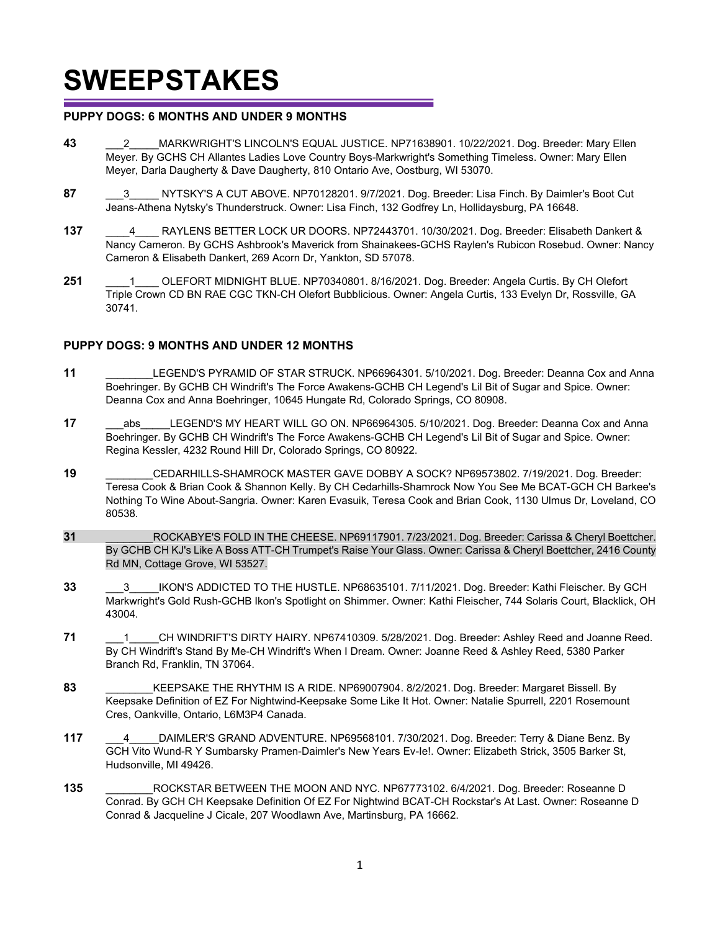#### **PUPPY DOGS: 6 MONTHS AND UNDER 9 MONTHS**

- **43** \_\_\_2\_\_\_\_\_MARKWRIGHT'S LINCOLN'S EQUAL JUSTICE. NP71638901. 10/22/2021. Dog. Breeder: Mary Ellen Meyer. By GCHS CH Allantes Ladies Love Country Boys-Markwright's Something Timeless. Owner: Mary Ellen Meyer, Darla Daugherty & Dave Daugherty, 810 Ontario Ave, Oostburg, WI 53070.
- **87** \_\_\_3\_\_\_\_\_ NYTSKY'S A CUT ABOVE. NP70128201. 9/7/2021. Dog. Breeder: Lisa Finch. By Daimler's Boot Cut Jeans-Athena Nytsky's Thunderstruck. Owner: Lisa Finch, 132 Godfrey Ln, Hollidaysburg, PA 16648.
- **137** \_\_\_\_4\_\_\_\_ RAYLENS BETTER LOCK UR DOORS. NP72443701. 10/30/2021. Dog. Breeder: Elisabeth Dankert & Nancy Cameron. By GCHS Ashbrook's Maverick from Shainakees-GCHS Raylen's Rubicon Rosebud. Owner: Nancy Cameron & Elisabeth Dankert, 269 Acorn Dr, Yankton, SD 57078.
- **251** \_\_\_\_1\_\_\_\_ OLEFORT MIDNIGHT BLUE. NP70340801. 8/16/2021. Dog. Breeder: Angela Curtis. By CH Olefort Triple Crown CD BN RAE CGC TKN-CH Olefort Bubblicious. Owner: Angela Curtis, 133 Evelyn Dr, Rossville, GA 30741.

#### **PUPPY DOGS: 9 MONTHS AND UNDER 12 MONTHS**

- **11** \_\_\_\_\_\_\_\_LEGEND'S PYRAMID OF STAR STRUCK. NP66964301. 5/10/2021. Dog. Breeder: Deanna Cox and Anna Boehringer. By GCHB CH Windrift's The Force Awakens-GCHB CH Legend's Lil Bit of Sugar and Spice. Owner: Deanna Cox and Anna Boehringer, 10645 Hungate Rd, Colorado Springs, CO 80908.
- **17** abs LEGEND'S MY HEART WILL GO ON. NP66964305. 5/10/2021. Dog. Breeder: Deanna Cox and Anna Boehringer. By GCHB CH Windrift's The Force Awakens-GCHB CH Legend's Lil Bit of Sugar and Spice. Owner: Regina Kessler, 4232 Round Hill Dr, Colorado Springs, CO 80922.
- **19** \_\_\_\_\_\_\_\_CEDARHILLS-SHAMROCK MASTER GAVE DOBBY A SOCK? NP69573802. 7/19/2021. Dog. Breeder: Teresa Cook & Brian Cook & Shannon Kelly. By CH Cedarhills-Shamrock Now You See Me BCAT-GCH CH Barkee's Nothing To Wine About-Sangria. Owner: Karen Evasuik, Teresa Cook and Brian Cook, 1130 Ulmus Dr, Loveland, CO 80538.
- **31** \_\_\_\_\_\_\_\_ROCKABYE'S FOLD IN THE CHEESE. NP69117901. 7/23/2021. Dog. Breeder: Carissa & Cheryl Boettcher. By GCHB CH KJ's Like A Boss ATT-CH Trumpet's Raise Your Glass. Owner: Carissa & Cheryl Boettcher, 2416 County Rd MN, Cottage Grove, WI 53527.
- **33 33** IKON'S ADDICTED TO THE HUSTLE. NP68635101. 7/11/2021. Dog. Breeder: Kathi Fleischer. By GCH Markwright's Gold Rush-GCHB Ikon's Spotlight on Shimmer. Owner: Kathi Fleischer, 744 Solaris Court, Blacklick, OH 43004.
- 71 **1** CH WINDRIFT'S DIRTY HAIRY. NP67410309. 5/28/2021. Dog. Breeder: Ashley Reed and Joanne Reed. By CH Windrift's Stand By Me-CH Windrift's When I Dream. Owner: Joanne Reed & Ashley Reed, 5380 Parker Branch Rd, Franklin, TN 37064.
- **83** \_\_\_\_\_\_\_\_KEEPSAKE THE RHYTHM IS A RIDE. NP69007904. 8/2/2021. Dog. Breeder: Margaret Bissell. By Keepsake Definition of EZ For Nightwind-Keepsake Some Like It Hot. Owner: Natalie Spurrell, 2201 Rosemount Cres, Oankville, Ontario, L6M3P4 Canada.
- **117** \_\_\_4\_\_\_\_\_DAIMLER'S GRAND ADVENTURE. NP69568101. 7/30/2021. Dog. Breeder: Terry & Diane Benz. By GCH Vito Wund-R Y Sumbarsky Pramen-Daimler's New Years Ev-Ie!. Owner: Elizabeth Strick, 3505 Barker St, Hudsonville, MI 49426.
- **135** \_\_\_\_\_\_\_\_ROCKSTAR BETWEEN THE MOON AND NYC. NP67773102. 6/4/2021. Dog. Breeder: Roseanne D Conrad. By GCH CH Keepsake Definition Of EZ For Nightwind BCAT-CH Rockstar's At Last. Owner: Roseanne D Conrad & Jacqueline J Cicale, 207 Woodlawn Ave, Martinsburg, PA 16662.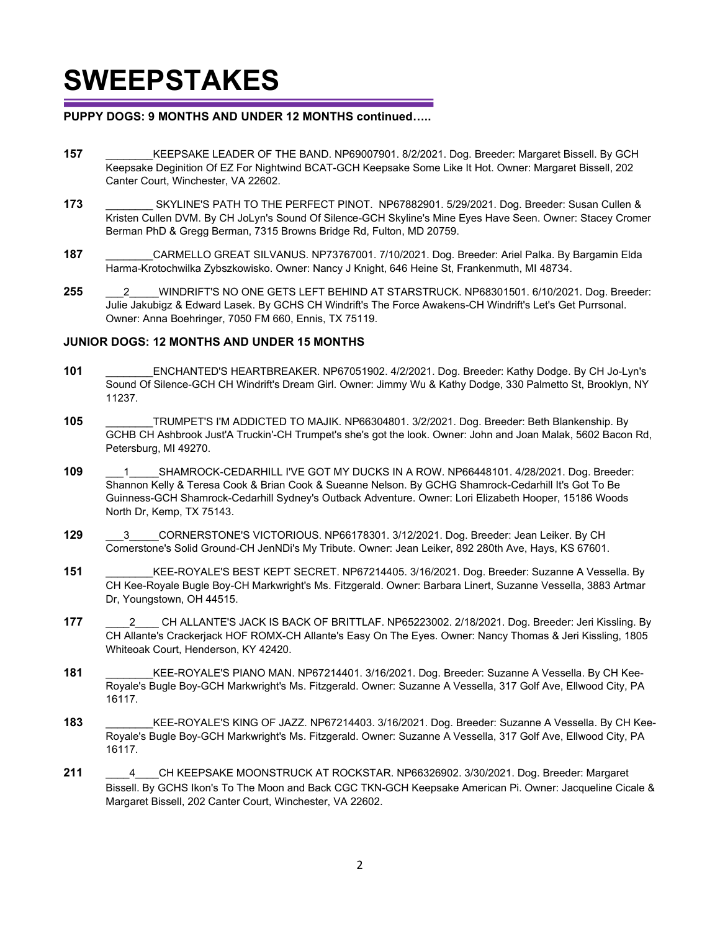#### **PUPPY DOGS: 9 MONTHS AND UNDER 12 MONTHS continued…..**

- **157** \_\_\_\_\_\_\_\_KEEPSAKE LEADER OF THE BAND. NP69007901. 8/2/2021. Dog. Breeder: Margaret Bissell. By GCH Keepsake Deginition Of EZ For Nightwind BCAT-GCH Keepsake Some Like It Hot. Owner: Margaret Bissell, 202 Canter Court, Winchester, VA 22602.
- **173** \_\_\_\_\_\_\_\_ SKYLINE'S PATH TO THE PERFECT PINOT. NP67882901. 5/29/2021. Dog. Breeder: Susan Cullen & Kristen Cullen DVM. By CH JoLyn's Sound Of Silence-GCH Skyline's Mine Eyes Have Seen. Owner: Stacey Cromer Berman PhD & Gregg Berman, 7315 Browns Bridge Rd, Fulton, MD 20759.
- **187** \_\_\_\_\_\_\_\_CARMELLO GREAT SILVANUS. NP73767001. 7/10/2021. Dog. Breeder: Ariel Palka. By Bargamin Elda Harma-Krotochwilka Zybszkowisko. Owner: Nancy J Knight, 646 Heine St, Frankenmuth, MI 48734.
- **255** \_\_\_2\_\_\_\_\_WINDRIFT'S NO ONE GETS LEFT BEHIND AT STARSTRUCK. NP68301501. 6/10/2021. Dog. Breeder: Julie Jakubigz & Edward Lasek. By GCHS CH Windrift's The Force Awakens-CH Windrift's Let's Get Purrsonal. Owner: Anna Boehringer, 7050 FM 660, Ennis, TX 75119.

#### **JUNIOR DOGS: 12 MONTHS AND UNDER 15 MONTHS**

- **101** \_\_\_\_\_\_\_\_ENCHANTED'S HEARTBREAKER. NP67051902. 4/2/2021. Dog. Breeder: Kathy Dodge. By CH Jo-Lyn's Sound Of Silence-GCH CH Windrift's Dream Girl. Owner: Jimmy Wu & Kathy Dodge, 330 Palmetto St, Brooklyn, NY 11237.
- **105** \_\_\_\_\_\_\_\_TRUMPET'S I'M ADDICTED TO MAJIK. NP66304801. 3/2/2021. Dog. Breeder: Beth Blankenship. By GCHB CH Ashbrook Just'A Truckin'-CH Trumpet's she's got the look. Owner: John and Joan Malak, 5602 Bacon Rd, Petersburg, MI 49270.
- **109** \_\_\_1\_\_\_\_\_SHAMROCK-CEDARHILL I'VE GOT MY DUCKS IN A ROW. NP66448101. 4/28/2021. Dog. Breeder: Shannon Kelly & Teresa Cook & Brian Cook & Sueanne Nelson. By GCHG Shamrock-Cedarhill It's Got To Be Guinness-GCH Shamrock-Cedarhill Sydney's Outback Adventure. Owner: Lori Elizabeth Hooper, 15186 Woods North Dr, Kemp, TX 75143.
- **129** \_\_\_3\_\_\_\_\_CORNERSTONE'S VICTORIOUS. NP66178301. 3/12/2021. Dog. Breeder: Jean Leiker. By CH Cornerstone's Solid Ground-CH JenNDi's My Tribute. Owner: Jean Leiker, 892 280th Ave, Hays, KS 67601.
- **151** \_\_\_\_\_\_\_\_KEE-ROYALE'S BEST KEPT SECRET. NP67214405. 3/16/2021. Dog. Breeder: Suzanne A Vessella. By CH Kee-Royale Bugle Boy-CH Markwright's Ms. Fitzgerald. Owner: Barbara Linert, Suzanne Vessella, 3883 Artmar Dr, Youngstown, OH 44515.
- **177** \_\_\_\_2\_\_\_\_ CH ALLANTE'S JACK IS BACK OF BRITTLAF. NP65223002. 2/18/2021. Dog. Breeder: Jeri Kissling. By CH Allante's Crackerjack HOF ROMX-CH Allante's Easy On The Eyes. Owner: Nancy Thomas & Jeri Kissling, 1805 Whiteoak Court, Henderson, KY 42420.
- **181** \_\_\_\_\_\_\_\_KEE-ROYALE'S PIANO MAN. NP67214401. 3/16/2021. Dog. Breeder: Suzanne A Vessella. By CH Kee-Royale's Bugle Boy-GCH Markwright's Ms. Fitzgerald. Owner: Suzanne A Vessella, 317 Golf Ave, Ellwood City, PA 16117.
- **183** \_\_\_\_\_\_\_\_KEE-ROYALE'S KING OF JAZZ. NP67214403. 3/16/2021. Dog. Breeder: Suzanne A Vessella. By CH Kee-Royale's Bugle Boy-GCH Markwright's Ms. Fitzgerald. Owner: Suzanne A Vessella, 317 Golf Ave, Ellwood City, PA 16117.
- **211** \_\_\_\_4\_\_\_\_CH KEEPSAKE MOONSTRUCK AT ROCKSTAR. NP66326902. 3/30/2021. Dog. Breeder: Margaret Bissell. By GCHS Ikon's To The Moon and Back CGC TKN-GCH Keepsake American Pi. Owner: Jacqueline Cicale & Margaret Bissell, 202 Canter Court, Winchester, VA 22602.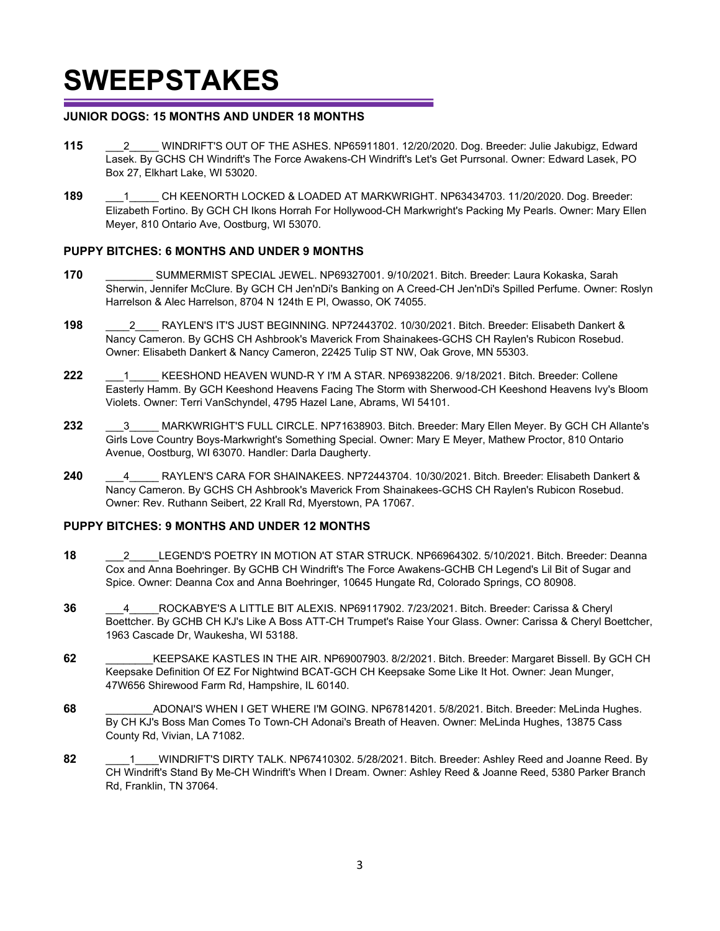#### **JUNIOR DOGS: 15 MONTHS AND UNDER 18 MONTHS**

- **115** \_\_\_2\_\_\_\_\_ WINDRIFT'S OUT OF THE ASHES. NP65911801. 12/20/2020. Dog. Breeder: Julie Jakubigz, Edward Lasek. By GCHS CH Windrift's The Force Awakens-CH Windrift's Let's Get Purrsonal. Owner: Edward Lasek, PO Box 27, Elkhart Lake, WI 53020.
- **189** \_\_\_1\_\_\_\_\_ CH KEENORTH LOCKED & LOADED AT MARKWRIGHT. NP63434703. 11/20/2020. Dog. Breeder: Elizabeth Fortino. By GCH CH Ikons Horrah For Hollywood-CH Markwright's Packing My Pearls. Owner: Mary Ellen Meyer, 810 Ontario Ave, Oostburg, WI 53070.

#### **PUPPY BITCHES: 6 MONTHS AND UNDER 9 MONTHS**

- **170** \_\_\_\_\_\_\_\_ SUMMERMIST SPECIAL JEWEL. NP69327001. 9/10/2021. Bitch. Breeder: Laura Kokaska, Sarah Sherwin, Jennifer McClure. By GCH CH Jen'nDi's Banking on A Creed-CH Jen'nDi's Spilled Perfume. Owner: Roslyn Harrelson & Alec Harrelson, 8704 N 124th E Pl, Owasso, OK 74055.
- **198** \_\_\_\_2\_\_\_\_ RAYLEN'S IT'S JUST BEGINNING. NP72443702. 10/30/2021. Bitch. Breeder: Elisabeth Dankert & Nancy Cameron. By GCHS CH Ashbrook's Maverick From Shainakees-GCHS CH Raylen's Rubicon Rosebud. Owner: Elisabeth Dankert & Nancy Cameron, 22425 Tulip ST NW, Oak Grove, MN 55303.
- **222** \_\_\_1\_\_\_\_\_ KEESHOND HEAVEN WUND-R Y I'M A STAR. NP69382206. 9/18/2021. Bitch. Breeder: Collene Easterly Hamm. By GCH Keeshond Heavens Facing The Storm with Sherwood-CH Keeshond Heavens Ivy's Bloom Violets. Owner: Terri VanSchyndel, 4795 Hazel Lane, Abrams, WI 54101.
- **232** \_\_\_3\_\_\_\_\_ MARKWRIGHT'S FULL CIRCLE. NP71638903. Bitch. Breeder: Mary Ellen Meyer. By GCH CH Allante's Girls Love Country Boys-Markwright's Something Special. Owner: Mary E Meyer, Mathew Proctor, 810 Ontario Avenue, Oostburg, WI 63070. Handler: Darla Daugherty.
- 240 **4** RAYLEN'S CARA FOR SHAINAKEES. NP72443704. 10/30/2021. Bitch. Breeder: Elisabeth Dankert & Nancy Cameron. By GCHS CH Ashbrook's Maverick From Shainakees-GCHS CH Raylen's Rubicon Rosebud. Owner: Rev. Ruthann Seibert, 22 Krall Rd, Myerstown, PA 17067.

#### **PUPPY BITCHES: 9 MONTHS AND UNDER 12 MONTHS**

- **18** \_\_\_2\_\_\_\_\_LEGEND'S POETRY IN MOTION AT STAR STRUCK. NP66964302. 5/10/2021. Bitch. Breeder: Deanna Cox and Anna Boehringer. By GCHB CH Windrift's The Force Awakens-GCHB CH Legend's Lil Bit of Sugar and Spice. Owner: Deanna Cox and Anna Boehringer, 10645 Hungate Rd, Colorado Springs, CO 80908.
- **36** \_\_\_4\_\_\_\_\_ROCKABYE'S A LITTLE BIT ALEXIS. NP69117902. 7/23/2021. Bitch. Breeder: Carissa & Cheryl Boettcher. By GCHB CH KJ's Like A Boss ATT-CH Trumpet's Raise Your Glass. Owner: Carissa & Cheryl Boettcher, 1963 Cascade Dr, Waukesha, WI 53188.
- **62** \_\_\_\_\_\_\_\_KEEPSAKE KASTLES IN THE AIR. NP69007903. 8/2/2021. Bitch. Breeder: Margaret Bissell. By GCH CH Keepsake Definition Of EZ For Nightwind BCAT-GCH CH Keepsake Some Like It Hot. Owner: Jean Munger, 47W656 Shirewood Farm Rd, Hampshire, IL 60140.
- **68** \_\_\_\_\_\_\_\_ADONAI'S WHEN I GET WHERE I'M GOING. NP67814201. 5/8/2021. Bitch. Breeder: MeLinda Hughes. By CH KJ's Boss Man Comes To Town-CH Adonai's Breath of Heaven. Owner: MeLinda Hughes, 13875 Cass County Rd, Vivian, LA 71082.
- **82** \_\_\_\_1\_\_\_\_WINDRIFT'S DIRTY TALK. NP67410302. 5/28/2021. Bitch. Breeder: Ashley Reed and Joanne Reed. By CH Windrift's Stand By Me-CH Windrift's When I Dream. Owner: Ashley Reed & Joanne Reed, 5380 Parker Branch Rd, Franklin, TN 37064.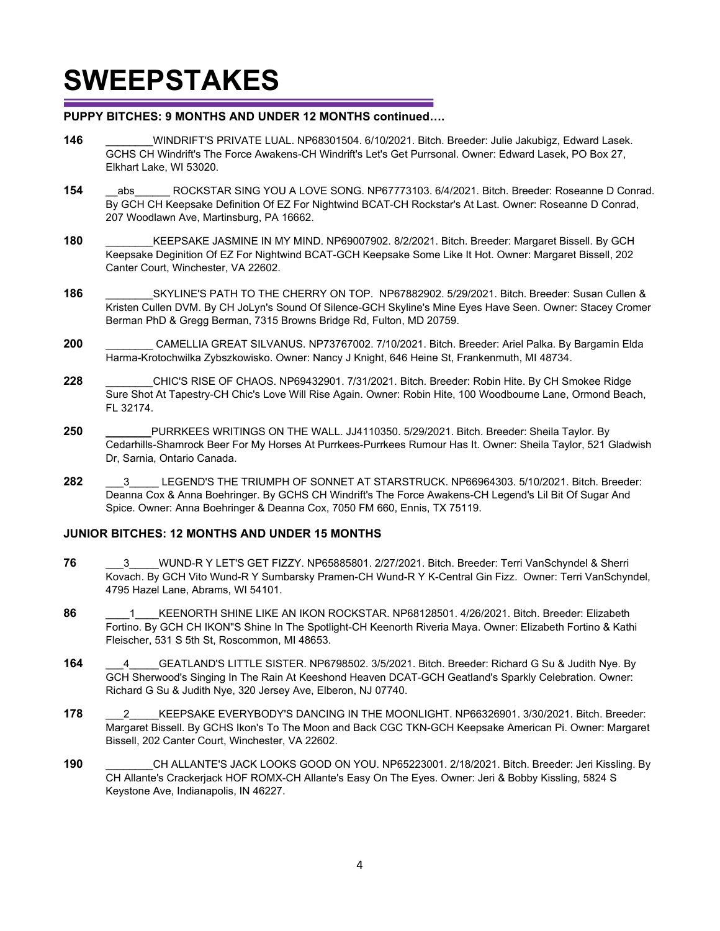#### **PUPPY BITCHES: 9 MONTHS AND UNDER 12 MONTHS continued….**

- **146** \_\_\_\_\_\_\_\_WINDRIFT'S PRIVATE LUAL. NP68301504. 6/10/2021. Bitch. Breeder: Julie Jakubigz, Edward Lasek. GCHS CH Windrift's The Force Awakens-CH Windrift's Let's Get Purrsonal. Owner: Edward Lasek, PO Box 27, Elkhart Lake, WI 53020.
- 154 abs ROCKSTAR SING YOU A LOVE SONG. NP67773103. 6/4/2021. Bitch. Breeder: Roseanne D Conrad. By GCH CH Keepsake Definition Of EZ For Nightwind BCAT-CH Rockstar's At Last. Owner: Roseanne D Conrad, 207 Woodlawn Ave, Martinsburg, PA 16662.
- **180** KEEPSAKE JASMINE IN MY MIND. NP69007902. 8/2/2021. Bitch. Breeder: Margaret Bissell. By GCH Keepsake Deginition Of EZ For Nightwind BCAT-GCH Keepsake Some Like It Hot. Owner: Margaret Bissell, 202 Canter Court, Winchester, VA 22602.
- **186** \_\_\_\_\_\_\_\_SKYLINE'S PATH TO THE CHERRY ON TOP. NP67882902. 5/29/2021. Bitch. Breeder: Susan Cullen & Kristen Cullen DVM. By CH JoLyn's Sound Of Silence-GCH Skyline's Mine Eyes Have Seen. Owner: Stacey Cromer Berman PhD & Gregg Berman, 7315 Browns Bridge Rd, Fulton, MD 20759.
- **200** \_\_\_\_\_\_\_\_ CAMELLIA GREAT SILVANUS. NP73767002. 7/10/2021. Bitch. Breeder: Ariel Palka. By Bargamin Elda Harma-Krotochwilka Zybszkowisko. Owner: Nancy J Knight, 646 Heine St, Frankenmuth, MI 48734.
- **228** \_\_\_\_\_\_\_\_CHIC'S RISE OF CHAOS. NP69432901. 7/31/2021. Bitch. Breeder: Robin Hite. By CH Smokee Ridge Sure Shot At Tapestry-CH Chic's Love Will Rise Again. Owner: Robin Hite, 100 Woodbourne Lane, Ormond Beach, FL 32174.
- **250 \_\_\_\_\_\_\_**PURRKEES WRITINGS ON THE WALL. JJ4110350. 5/29/2021. Bitch. Breeder: Sheila Taylor. By Cedarhills-Shamrock Beer For My Horses At Purrkees-Purrkees Rumour Has It. Owner: Sheila Taylor, 521 Gladwish Dr, Sarnia, Ontario Canada.
- **282** \_\_\_3\_\_\_\_\_ LEGEND'S THE TRIUMPH OF SONNET AT STARSTRUCK. NP66964303. 5/10/2021. Bitch. Breeder: Deanna Cox & Anna Boehringer. By GCHS CH Windrift's The Force Awakens-CH Legend's Lil Bit Of Sugar And Spice. Owner: Anna Boehringer & Deanna Cox, 7050 FM 660, Ennis, TX 75119.

#### **JUNIOR BITCHES: 12 MONTHS AND UNDER 15 MONTHS**

- **76** \_\_\_3\_\_\_\_\_WUND-R Y LET'S GET FIZZY. NP65885801. 2/27/2021. Bitch. Breeder: Terri VanSchyndel & Sherri Kovach. By GCH Vito Wund-R Y Sumbarsky Pramen-CH Wund-R Y K-Central Gin Fizz. Owner: Terri VanSchyndel, 4795 Hazel Lane, Abrams, WI 54101.
- 86 **86 1** KEENORTH SHINE LIKE AN IKON ROCKSTAR. NP68128501. 4/26/2021. Bitch. Breeder: Elizabeth Fortino. By GCH CH IKON"S Shine In The Spotlight-CH Keenorth Riveria Maya. Owner: Elizabeth Fortino & Kathi Fleischer, 531 S 5th St, Roscommon, MI 48653.
- **164** \_\_\_4\_\_\_\_\_GEATLAND'S LITTLE SISTER. NP6798502. 3/5/2021. Bitch. Breeder: Richard G Su & Judith Nye. By GCH Sherwood's Singing In The Rain At Keeshond Heaven DCAT-GCH Geatland's Sparkly Celebration. Owner: Richard G Su & Judith Nye, 320 Jersey Ave, Elberon, NJ 07740.
- **178** \_\_\_2\_\_\_\_\_KEEPSAKE EVERYBODY'S DANCING IN THE MOONLIGHT. NP66326901. 3/30/2021. Bitch. Breeder: Margaret Bissell. By GCHS Ikon's To The Moon and Back CGC TKN-GCH Keepsake American Pi. Owner: Margaret Bissell, 202 Canter Court, Winchester, VA 22602.
- **190** \_\_\_\_\_\_\_\_CH ALLANTE'S JACK LOOKS GOOD ON YOU. NP65223001. 2/18/2021. Bitch. Breeder: Jeri Kissling. By CH Allante's Crackerjack HOF ROMX-CH Allante's Easy On The Eyes. Owner: Jeri & Bobby Kissling, 5824 S Keystone Ave, Indianapolis, IN 46227.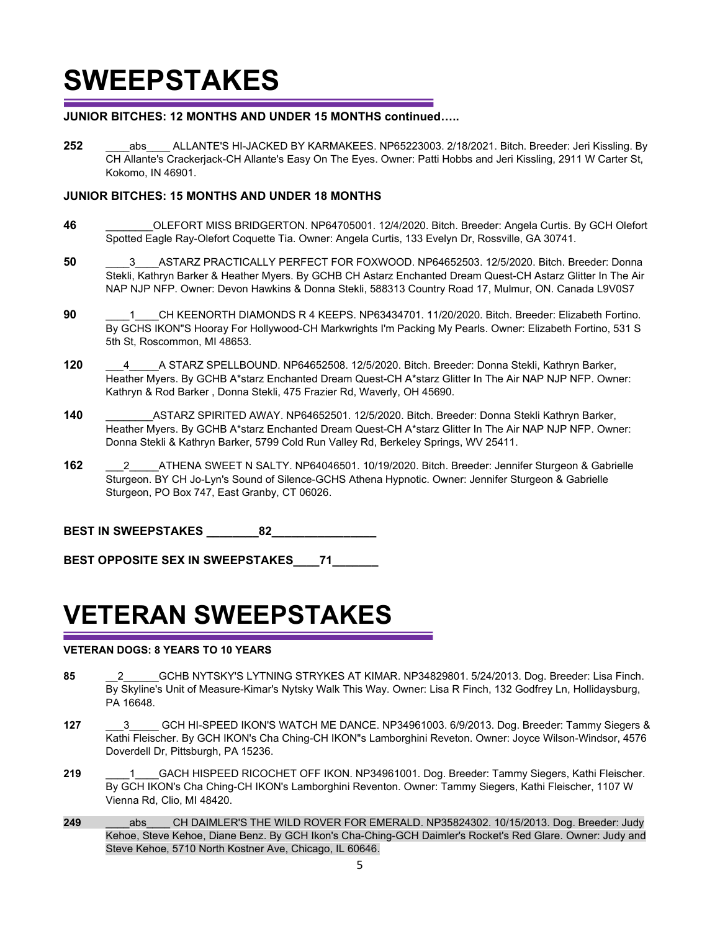#### **JUNIOR BITCHES: 12 MONTHS AND UNDER 15 MONTHS continued…..**

**252** \_\_\_\_abs\_\_\_\_ ALLANTE'S HI-JACKED BY KARMAKEES. NP65223003. 2/18/2021. Bitch. Breeder: Jeri Kissling. By CH Allante's Crackerjack-CH Allante's Easy On The Eyes. Owner: Patti Hobbs and Jeri Kissling, 2911 W Carter St, Kokomo, IN 46901.

#### **JUNIOR BITCHES: 15 MONTHS AND UNDER 18 MONTHS**

- **46** \_\_\_\_\_\_\_\_OLEFORT MISS BRIDGERTON. NP64705001. 12/4/2020. Bitch. Breeder: Angela Curtis. By GCH Olefort Spotted Eagle Ray-Olefort Coquette Tia. Owner: Angela Curtis, 133 Evelyn Dr, Rossville, GA 30741.
- **50** \_\_\_\_3\_\_\_\_ASTARZ PRACTICALLY PERFECT FOR FOXWOOD. NP64652503. 12/5/2020. Bitch. Breeder: Donna Stekli, Kathryn Barker & Heather Myers. By GCHB CH Astarz Enchanted Dream Quest-CH Astarz Glitter In The Air NAP NJP NFP. Owner: Devon Hawkins & Donna Stekli, 588313 Country Road 17, Mulmur, ON. Canada L9V0S7
- **90 1** CH KEENORTH DIAMONDS R 4 KEEPS. NP63434701. 11/20/2020. Bitch. Breeder: Elizabeth Fortino. By GCHS IKON"S Hooray For Hollywood-CH Markwrights I'm Packing My Pearls. Owner: Elizabeth Fortino, 531 S 5th St, Roscommon, MI 48653.
- **120** \_\_\_4\_\_\_\_\_A STARZ SPELLBOUND. NP64652508. 12/5/2020. Bitch. Breeder: Donna Stekli, Kathryn Barker, Heather Myers. By GCHB A\*starz Enchanted Dream Quest-CH A\*starz Glitter In The Air NAP NJP NFP. Owner: Kathryn & Rod Barker , Donna Stekli, 475 Frazier Rd, Waverly, OH 45690.
- **140** \_\_\_\_\_\_\_\_ASTARZ SPIRITED AWAY. NP64652501. 12/5/2020. Bitch. Breeder: Donna Stekli Kathryn Barker, Heather Myers. By GCHB A\*starz Enchanted Dream Quest-CH A\*starz Glitter In The Air NAP NJP NFP. Owner: Donna Stekli & Kathryn Barker, 5799 Cold Run Valley Rd, Berkeley Springs, WV 25411.
- **162** \_\_\_2\_\_\_\_\_ATHENA SWEET N SALTY. NP64046501. 10/19/2020. Bitch. Breeder: Jennifer Sturgeon & Gabrielle Sturgeon. BY CH Jo-Lyn's Sound of Silence-GCHS Athena Hypnotic. Owner: Jennifer Sturgeon & Gabrielle Sturgeon, PO Box 747, East Granby, CT 06026.

**BEST IN SWEEPSTAKES** 82

BEST OPPOSITE SEX IN SWEEPSTAKES **71** 

## **VETERAN SWEEPSTAKES**

#### **VETERAN DOGS: 8 YEARS TO 10 YEARS**

- **85** \_\_2\_\_\_\_\_\_GCHB NYTSKY'S LYTNING STRYKES AT KIMAR. NP34829801. 5/24/2013. Dog. Breeder: Lisa Finch. By Skyline's Unit of Measure-Kimar's Nytsky Walk This Way. Owner: Lisa R Finch, 132 Godfrey Ln, Hollidaysburg, PA 16648.
- **127** \_\_\_3\_\_\_\_\_ GCH HI-SPEED IKON'S WATCH ME DANCE. NP34961003. 6/9/2013. Dog. Breeder: Tammy Siegers & Kathi Fleischer. By GCH IKON's Cha Ching-CH IKON"s Lamborghini Reveton. Owner: Joyce Wilson-Windsor, 4576 Doverdell Dr, Pittsburgh, PA 15236.
- **219** \_\_\_\_1\_\_\_\_GACH HISPEED RICOCHET OFF IKON. NP34961001. Dog. Breeder: Tammy Siegers, Kathi Fleischer. By GCH IKON's Cha Ching-CH IKON's Lamborghini Reventon. Owner: Tammy Siegers, Kathi Fleischer, 1107 W Vienna Rd, Clio, MI 48420.
- 249 **abs** CH DAIMLER'S THE WILD ROVER FOR EMERALD. NP35824302. 10/15/2013. Dog. Breeder: Judy Kehoe, Steve Kehoe, Diane Benz. By GCH Ikon's Cha-Ching-GCH Daimler's Rocket's Red Glare. Owner: Judy and Steve Kehoe, 5710 North Kostner Ave, Chicago, IL 60646.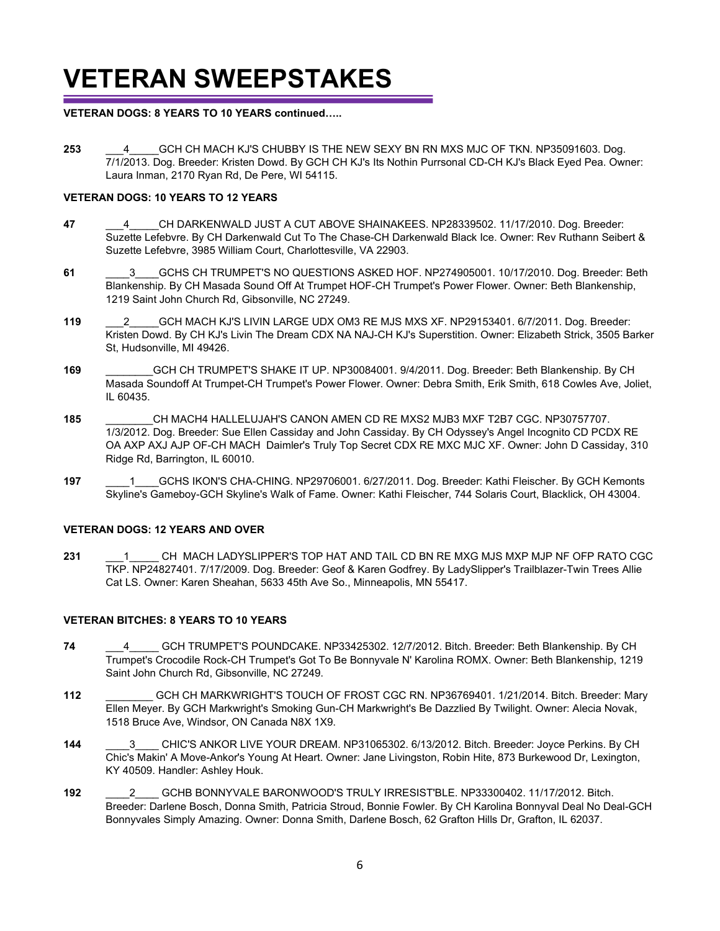## **VETERAN SWEEPSTAKES**

#### **VETERAN DOGS: 8 YEARS TO 10 YEARS continued…..**

**253** \_\_\_4\_\_\_\_\_GCH CH MACH KJ'S CHUBBY IS THE NEW SEXY BN RN MXS MJC OF TKN. NP35091603. Dog. 7/1/2013. Dog. Breeder: Kristen Dowd. By GCH CH KJ's Its Nothin Purrsonal CD-CH KJ's Black Eyed Pea. Owner: Laura Inman, 2170 Ryan Rd, De Pere, WI 54115.

#### **VETERAN DOGS: 10 YEARS TO 12 YEARS**

- **47** \_\_\_4\_\_\_\_\_CH DARKENWALD JUST A CUT ABOVE SHAINAKEES. NP28339502. 11/17/2010. Dog. Breeder: Suzette Lefebvre. By CH Darkenwald Cut To The Chase-CH Darkenwald Black Ice. Owner: Rev Ruthann Seibert & Suzette Lefebvre, 3985 William Court, Charlottesville, VA 22903.
- **61** \_\_\_\_3\_\_\_\_GCHS CH TRUMPET'S NO QUESTIONS ASKED HOF. NP274905001. 10/17/2010. Dog. Breeder: Beth Blankenship. By CH Masada Sound Off At Trumpet HOF-CH Trumpet's Power Flower. Owner: Beth Blankenship, 1219 Saint John Church Rd, Gibsonville, NC 27249.
- **119** \_\_\_2\_\_\_\_\_GCH MACH KJ'S LIVIN LARGE UDX OM3 RE MJS MXS XF. NP29153401. 6/7/2011. Dog. Breeder: Kristen Dowd. By CH KJ's Livin The Dream CDX NA NAJ-CH KJ's Superstition. Owner: Elizabeth Strick, 3505 Barker St, Hudsonville, MI 49426.
- **169** \_\_\_\_\_\_\_\_GCH CH TRUMPET'S SHAKE IT UP. NP30084001. 9/4/2011. Dog. Breeder: Beth Blankenship. By CH Masada Soundoff At Trumpet-CH Trumpet's Power Flower. Owner: Debra Smith, Erik Smith, 618 Cowles Ave, Joliet, IL 60435.
- **185** \_\_\_\_\_\_\_\_CH MACH4 HALLELUJAH'S CANON AMEN CD RE MXS2 MJB3 MXF T2B7 CGC. NP30757707. 1/3/2012. Dog. Breeder: Sue Ellen Cassiday and John Cassiday. By CH Odyssey's Angel Incognito CD PCDX RE OA AXP AXJ AJP OF-CH MACH Daimler's Truly Top Secret CDX RE MXC MJC XF. Owner: John D Cassiday, 310 Ridge Rd, Barrington, IL 60010.
- **197** \_\_\_\_1\_\_\_\_GCHS IKON'S CHA-CHING. NP29706001. 6/27/2011. Dog. Breeder: Kathi Fleischer. By GCH Kemonts Skyline's Gameboy-GCH Skyline's Walk of Fame. Owner: Kathi Fleischer, 744 Solaris Court, Blacklick, OH 43004.

#### **VETERAN DOGS: 12 YEARS AND OVER**

231 **1** CH MACH LADYSLIPPER'S TOP HAT AND TAIL CD BN RE MXG MJS MXP MJP NF OFP RATO CGC TKP. NP24827401. 7/17/2009. Dog. Breeder: Geof & Karen Godfrey. By LadySlipper's Trailblazer-Twin Trees Allie Cat LS. Owner: Karen Sheahan, 5633 45th Ave So., Minneapolis, MN 55417.

#### **VETERAN BITCHES: 8 YEARS TO 10 YEARS**

- **74** \_\_\_4\_\_\_\_\_ GCH TRUMPET'S POUNDCAKE. NP33425302. 12/7/2012. Bitch. Breeder: Beth Blankenship. By CH Trumpet's Crocodile Rock-CH Trumpet's Got To Be Bonnyvale N' Karolina ROMX. Owner: Beth Blankenship, 1219 Saint John Church Rd, Gibsonville, NC 27249.
- **112** \_\_\_\_\_\_\_\_ GCH CH MARKWRIGHT'S TOUCH OF FROST CGC RN. NP36769401. 1/21/2014. Bitch. Breeder: Mary Ellen Meyer. By GCH Markwright's Smoking Gun-CH Markwright's Be Dazzlied By Twilight. Owner: Alecia Novak, 1518 Bruce Ave, Windsor, ON Canada N8X 1X9.
- 144 3 CHIC'S ANKOR LIVE YOUR DREAM. NP31065302. 6/13/2012. Bitch. Breeder: Joyce Perkins. By CH Chic's Makin' A Move-Ankor's Young At Heart. Owner: Jane Livingston, Robin Hite, 873 Burkewood Dr, Lexington, KY 40509. Handler: Ashley Houk.
- **192** \_\_\_\_2\_\_\_\_ GCHB BONNYVALE BARONWOOD'S TRULY IRRESIST'BLE. NP33300402. 11/17/2012. Bitch. Breeder: Darlene Bosch, Donna Smith, Patricia Stroud, Bonnie Fowler. By CH Karolina Bonnyval Deal No Deal-GCH Bonnyvales Simply Amazing. Owner: Donna Smith, Darlene Bosch, 62 Grafton Hills Dr, Grafton, IL 62037.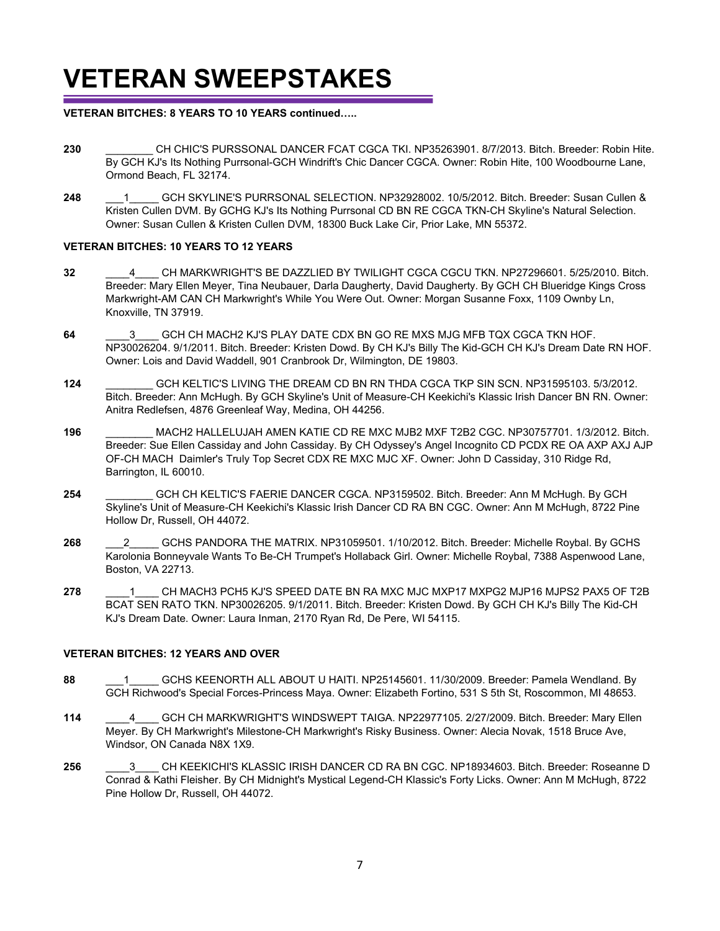## **VETERAN SWEEPSTAKES**

#### **VETERAN BITCHES: 8 YEARS TO 10 YEARS continued…..**

- **230** \_\_\_\_\_\_\_\_ CH CHIC'S PURSSONAL DANCER FCAT CGCA TKI. NP35263901. 8/7/2013. Bitch. Breeder: Robin Hite. By GCH KJ's Its Nothing Purrsonal-GCH Windrift's Chic Dancer CGCA. Owner: Robin Hite, 100 Woodbourne Lane, Ormond Beach, FL 32174.
- **248** \_\_\_1\_\_\_\_\_ GCH SKYLINE'S PURRSONAL SELECTION. NP32928002. 10/5/2012. Bitch. Breeder: Susan Cullen & Kristen Cullen DVM. By GCHG KJ's Its Nothing Purrsonal CD BN RE CGCA TKN-CH Skyline's Natural Selection. Owner: Susan Cullen & Kristen Cullen DVM, 18300 Buck Lake Cir, Prior Lake, MN 55372.

#### **VETERAN BITCHES: 10 YEARS TO 12 YEARS**

- **32** \_\_\_\_4\_\_\_\_ CH MARKWRIGHT'S BE DAZZLIED BY TWILIGHT CGCA CGCU TKN. NP27296601. 5/25/2010. Bitch. Breeder: Mary Ellen Meyer, Tina Neubauer, Darla Daugherty, David Daugherty. By GCH CH Blueridge Kings Cross Markwright-AM CAN CH Markwright's While You Were Out. Owner: Morgan Susanne Foxx, 1109 Ownby Ln, Knoxville, TN 37919.
- **64** \_\_\_\_3\_\_\_\_ GCH CH MACH2 KJ'S PLAY DATE CDX BN GO RE MXS MJG MFB TQX CGCA TKN HOF. NP30026204. 9/1/2011. Bitch. Breeder: Kristen Dowd. By CH KJ's Billy The Kid-GCH CH KJ's Dream Date RN HOF. Owner: Lois and David Waddell, 901 Cranbrook Dr, Wilmington, DE 19803.
- **124** \_\_\_\_\_\_\_\_ GCH KELTIC'S LIVING THE DREAM CD BN RN THDA CGCA TKP SIN SCN. NP31595103. 5/3/2012. Bitch. Breeder: Ann McHugh. By GCH Skyline's Unit of Measure-CH Keekichi's Klassic Irish Dancer BN RN. Owner: Anitra Redlefsen, 4876 Greenleaf Way, Medina, OH 44256.
- **196** \_\_\_\_\_\_\_\_ MACH2 HALLELUJAH AMEN KATIE CD RE MXC MJB2 MXF T2B2 CGC. NP30757701. 1/3/2012. Bitch. Breeder: Sue Ellen Cassiday and John Cassiday. By CH Odyssey's Angel Incognito CD PCDX RE OA AXP AXJ AJP OF-CH MACH Daimler's Truly Top Secret CDX RE MXC MJC XF. Owner: John D Cassiday, 310 Ridge Rd, Barrington, IL 60010.
- **254** \_\_\_\_\_\_\_\_ GCH CH KELTIC'S FAERIE DANCER CGCA. NP3159502. Bitch. Breeder: Ann M McHugh. By GCH Skyline's Unit of Measure-CH Keekichi's Klassic Irish Dancer CD RA BN CGC. Owner: Ann M McHugh, 8722 Pine Hollow Dr, Russell, OH 44072.
- **268** \_\_\_2\_\_\_\_\_ GCHS PANDORA THE MATRIX. NP31059501. 1/10/2012. Bitch. Breeder: Michelle Roybal. By GCHS Karolonia Bonneyvale Wants To Be-CH Trumpet's Hollaback Girl. Owner: Michelle Roybal, 7388 Aspenwood Lane, Boston, VA 22713.
- 278 **1 CH MACH3 PCH5 KJ'S SPEED DATE BN RA MXC MJC MXP17 MXPG2 MJP16 MJPS2 PAX5 OF T2B** BCAT SEN RATO TKN. NP30026205. 9/1/2011. Bitch. Breeder: Kristen Dowd. By GCH CH KJ's Billy The Kid-CH KJ's Dream Date. Owner: Laura Inman, 2170 Ryan Rd, De Pere, WI 54115.

#### **VETERAN BITCHES: 12 YEARS AND OVER**

- 88 **88 1** GCHS KEENORTH ALL ABOUT U HAITI. NP25145601. 11/30/2009. Breeder: Pamela Wendland. By GCH Richwood's Special Forces-Princess Maya. Owner: Elizabeth Fortino, 531 S 5th St, Roscommon, MI 48653.
- **114** \_\_\_\_4\_\_\_\_ GCH CH MARKWRIGHT'S WINDSWEPT TAIGA. NP22977105. 2/27/2009. Bitch. Breeder: Mary Ellen Meyer. By CH Markwright's Milestone-CH Markwright's Risky Business. Owner: Alecia Novak, 1518 Bruce Ave, Windsor, ON Canada N8X 1X9.
- **256** \_\_\_\_3\_\_\_\_ CH KEEKICHI'S KLASSIC IRISH DANCER CD RA BN CGC. NP18934603. Bitch. Breeder: Roseanne D Conrad & Kathi Fleisher. By CH Midnight's Mystical Legend-CH Klassic's Forty Licks. Owner: Ann M McHugh, 8722 Pine Hollow Dr, Russell, OH 44072.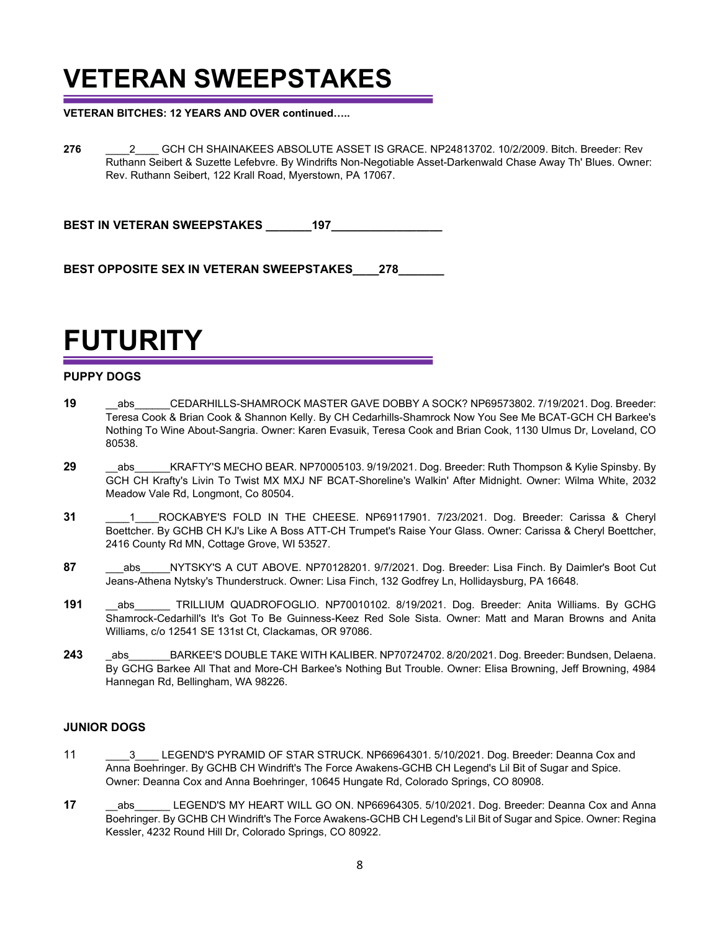## **VETERAN SWEEPSTAKES**

**VETERAN BITCHES: 12 YEARS AND OVER continued…..**

**276** \_\_\_\_2\_\_\_\_ GCH CH SHAINAKEES ABSOLUTE ASSET IS GRACE. NP24813702. 10/2/2009. Bitch. Breeder: Rev Ruthann Seibert & Suzette Lefebvre. By Windrifts Non-Negotiable Asset-Darkenwald Chase Away Th' Blues. Owner: Rev. Ruthann Seibert, 122 Krall Road, Myerstown, PA 17067.

**BEST IN VETERAN SWEEPSTAKES \_\_\_\_\_\_\_197\_\_\_\_\_\_\_\_\_\_\_\_\_\_\_\_\_**

BEST OPPOSITE SEX IN VETERAN SWEEPSTAKES 278

**FUTURITY**

#### **PUPPY DOGS**

- **19** \_\_abs\_\_\_\_\_\_CEDARHILLS-SHAMROCK MASTER GAVE DOBBY A SOCK? NP69573802. 7/19/2021. Dog. Breeder: Teresa Cook & Brian Cook & Shannon Kelly. By CH Cedarhills-Shamrock Now You See Me BCAT-GCH CH Barkee's Nothing To Wine About-Sangria. Owner: Karen Evasuik, Teresa Cook and Brian Cook, 1130 Ulmus Dr, Loveland, CO 80538.
- 29 abs KRAFTY'S MECHO BEAR. NP70005103. 9/19/2021. Dog. Breeder: Ruth Thompson & Kylie Spinsby. By GCH CH Krafty's Livin To Twist MX MXJ NF BCAT-Shoreline's Walkin' After Midnight. Owner: Wilma White, 2032 Meadow Vale Rd, Longmont, Co 80504.
- **31** \_\_\_\_1\_\_\_\_ROCKABYE'S FOLD IN THE CHEESE. NP69117901. 7/23/2021. Dog. Breeder: Carissa & Cheryl Boettcher. By GCHB CH KJ's Like A Boss ATT-CH Trumpet's Raise Your Glass. Owner: Carissa & Cheryl Boettcher, 2416 County Rd MN, Cottage Grove, WI 53527.
- 87 **88 abs** NYTSKY'S A CUT ABOVE. NP70128201. 9/7/2021. Dog. Breeder: Lisa Finch. By Daimler's Boot Cut Jeans-Athena Nytsky's Thunderstruck. Owner: Lisa Finch, 132 Godfrey Ln, Hollidaysburg, PA 16648.
- **191** abs TRILLIUM QUADROFOGLIO. NP70010102. 8/19/2021. Dog. Breeder: Anita Williams. By GCHG Shamrock-Cedarhill's It's Got To Be Guinness-Keez Red Sole Sista. Owner: Matt and Maran Browns and Anita Williams, c/o 12541 SE 131st Ct, Clackamas, OR 97086.
- 243 abs BARKEE'S DOUBLE TAKE WITH KALIBER. NP70724702. 8/20/2021. Dog. Breeder: Bundsen, Delaena. By GCHG Barkee All That and More-CH Barkee's Nothing But Trouble. Owner: Elisa Browning, Jeff Browning, 4984 Hannegan Rd, Bellingham, WA 98226.

#### **JUNIOR DOGS**

- 11 **3** LEGEND'S PYRAMID OF STAR STRUCK. NP66964301. 5/10/2021. Dog. Breeder: Deanna Cox and Anna Boehringer. By GCHB CH Windrift's The Force Awakens-GCHB CH Legend's Lil Bit of Sugar and Spice. Owner: Deanna Cox and Anna Boehringer, 10645 Hungate Rd, Colorado Springs, CO 80908.
- **17** abs LEGEND'S MY HEART WILL GO ON. NP66964305. 5/10/2021. Dog. Breeder: Deanna Cox and Anna Boehringer. By GCHB CH Windrift's The Force Awakens-GCHB CH Legend's Lil Bit of Sugar and Spice. Owner: Regina Kessler, 4232 Round Hill Dr, Colorado Springs, CO 80922.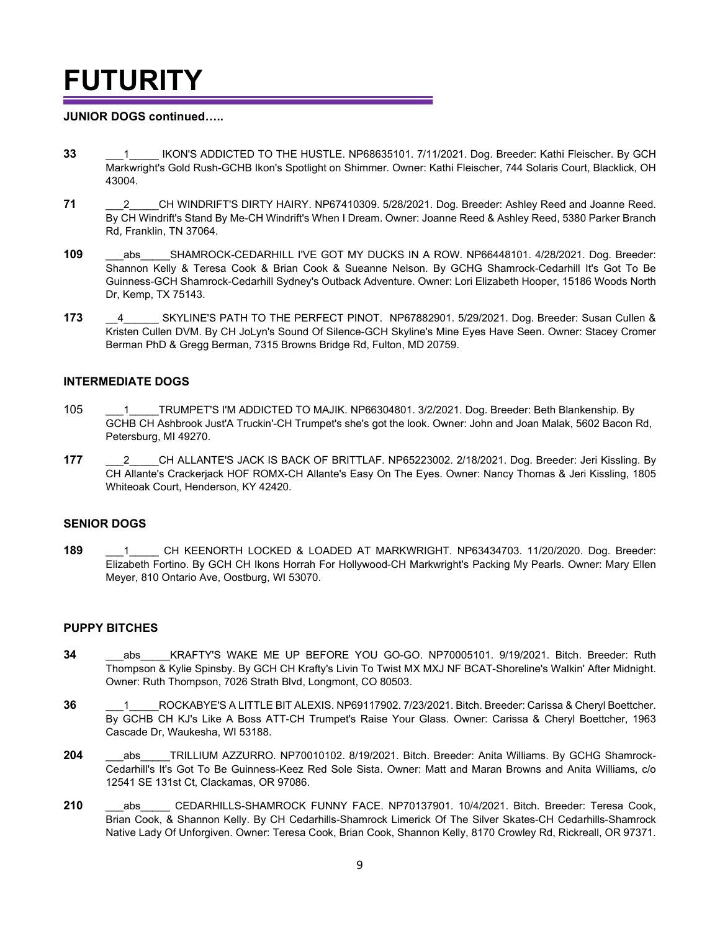# **FUTURITY**

#### **JUNIOR DOGS continued…..**

- **33** \_\_\_1\_\_\_\_\_ IKON'S ADDICTED TO THE HUSTLE. NP68635101. 7/11/2021. Dog. Breeder: Kathi Fleischer. By GCH Markwright's Gold Rush-GCHB Ikon's Spotlight on Shimmer. Owner: Kathi Fleischer, 744 Solaris Court, Blacklick, OH 43004.
- 71 **2** CH WINDRIFT'S DIRTY HAIRY. NP67410309. 5/28/2021. Dog. Breeder: Ashley Reed and Joanne Reed. By CH Windrift's Stand By Me-CH Windrift's When I Dream. Owner: Joanne Reed & Ashley Reed, 5380 Parker Branch Rd, Franklin, TN 37064.
- **109** abs SHAMROCK-CEDARHILL I'VE GOT MY DUCKS IN A ROW. NP66448101. 4/28/2021. Dog. Breeder: Shannon Kelly & Teresa Cook & Brian Cook & Sueanne Nelson. By GCHG Shamrock-Cedarhill It's Got To Be Guinness-GCH Shamrock-Cedarhill Sydney's Outback Adventure. Owner: Lori Elizabeth Hooper, 15186 Woods North Dr, Kemp, TX 75143.
- **173** \_\_4\_\_\_\_\_\_ SKYLINE'S PATH TO THE PERFECT PINOT. NP67882901. 5/29/2021. Dog. Breeder: Susan Cullen & Kristen Cullen DVM. By CH JoLyn's Sound Of Silence-GCH Skyline's Mine Eyes Have Seen. Owner: Stacey Cromer Berman PhD & Gregg Berman, 7315 Browns Bridge Rd, Fulton, MD 20759.

#### **INTERMEDIATE DOGS**

- 105 \_\_\_1\_\_\_\_\_TRUMPET'S I'M ADDICTED TO MAJIK. NP66304801. 3/2/2021. Dog. Breeder: Beth Blankenship. By GCHB CH Ashbrook Just'A Truckin'-CH Trumpet's she's got the look. Owner: John and Joan Malak, 5602 Bacon Rd, Petersburg, MI 49270.
- **177** \_\_\_2\_\_\_\_\_CH ALLANTE'S JACK IS BACK OF BRITTLAF. NP65223002. 2/18/2021. Dog. Breeder: Jeri Kissling. By CH Allante's Crackerjack HOF ROMX-CH Allante's Easy On The Eyes. Owner: Nancy Thomas & Jeri Kissling, 1805 Whiteoak Court, Henderson, KY 42420.

#### **SENIOR DOGS**

**189** \_\_\_1\_\_\_\_\_ CH KEENORTH LOCKED & LOADED AT MARKWRIGHT. NP63434703. 11/20/2020. Dog. Breeder: Elizabeth Fortino. By GCH CH Ikons Horrah For Hollywood-CH Markwright's Packing My Pearls. Owner: Mary Ellen Meyer, 810 Ontario Ave, Oostburg, WI 53070.

#### **PUPPY BITCHES**

- **34** \_\_\_abs\_\_\_\_\_KRAFTY'S WAKE ME UP BEFORE YOU GO-GO. NP70005101. 9/19/2021. Bitch. Breeder: Ruth Thompson & Kylie Spinsby. By GCH CH Krafty's Livin To Twist MX MXJ NF BCAT-Shoreline's Walkin' After Midnight. Owner: Ruth Thompson, 7026 Strath Blvd, Longmont, CO 80503.
- **36 1** ROCKABYE'S A LITTLE BIT ALEXIS. NP69117902. 7/23/2021. Bitch. Breeder: Carissa & Cheryl Boettcher. By GCHB CH KJ's Like A Boss ATT-CH Trumpet's Raise Your Glass. Owner: Carissa & Cheryl Boettcher, 1963 Cascade Dr, Waukesha, WI 53188.
- 204 abs TRILLIUM AZZURRO. NP70010102. 8/19/2021. Bitch. Breeder: Anita Williams. By GCHG Shamrock-Cedarhill's It's Got To Be Guinness-Keez Red Sole Sista. Owner: Matt and Maran Browns and Anita Williams, c/o 12541 SE 131st Ct, Clackamas, OR 97086.
- 210 abs CEDARHILLS-SHAMROCK FUNNY FACE. NP70137901. 10/4/2021. Bitch. Breeder: Teresa Cook, Brian Cook, & Shannon Kelly. By CH Cedarhills-Shamrock Limerick Of The Silver Skates-CH Cedarhills-Shamrock Native Lady Of Unforgiven. Owner: Teresa Cook, Brian Cook, Shannon Kelly, 8170 Crowley Rd, Rickreall, OR 97371.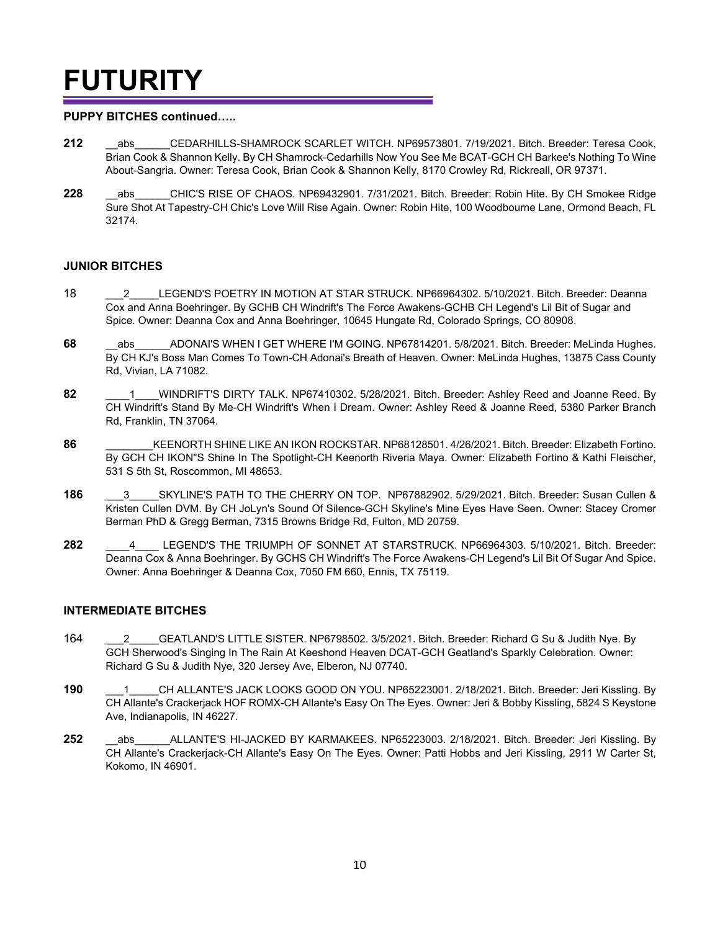# **FUTURITY**

#### **PUPPY BITCHES continued…..**

- 212 abs CEDARHILLS-SHAMROCK SCARLET WITCH. NP69573801. 7/19/2021. Bitch. Breeder: Teresa Cook, Brian Cook & Shannon Kelly. By CH Shamrock-Cedarhills Now You See Me BCAT-GCH CH Barkee's Nothing To Wine About-Sangria. Owner: Teresa Cook, Brian Cook & Shannon Kelly, 8170 Crowley Rd, Rickreall, OR 97371.
- 228 abs CHIC'S RISE OF CHAOS. NP69432901. 7/31/2021. Bitch. Breeder: Robin Hite. By CH Smokee Ridge Sure Shot At Tapestry-CH Chic's Love Will Rise Again. Owner: Robin Hite, 100 Woodbourne Lane, Ormond Beach, FL 32174.

#### **JUNIOR BITCHES**

- 18 LEGEND'S POETRY IN MOTION AT STAR STRUCK. NP66964302. 5/10/2021. Bitch. Breeder: Deanna Cox and Anna Boehringer. By GCHB CH Windrift's The Force Awakens-GCHB CH Legend's Lil Bit of Sugar and Spice. Owner: Deanna Cox and Anna Boehringer, 10645 Hungate Rd, Colorado Springs, CO 80908.
- **68** abs ADONAI'S WHEN I GET WHERE I'M GOING. NP67814201. 5/8/2021. Bitch. Breeder: MeLinda Hughes. By CH KJ's Boss Man Comes To Town-CH Adonai's Breath of Heaven. Owner: MeLinda Hughes, 13875 Cass County Rd, Vivian, LA 71082.
- **82** \_\_\_\_1\_\_\_\_WINDRIFT'S DIRTY TALK. NP67410302. 5/28/2021. Bitch. Breeder: Ashley Reed and Joanne Reed. By CH Windrift's Stand By Me-CH Windrift's When I Dream. Owner: Ashley Reed & Joanne Reed, 5380 Parker Branch Rd, Franklin, TN 37064.
- **86** \_\_\_\_\_\_\_\_KEENORTH SHINE LIKE AN IKON ROCKSTAR. NP68128501. 4/26/2021. Bitch. Breeder: Elizabeth Fortino. By GCH CH IKON"S Shine In The Spotlight-CH Keenorth Riveria Maya. Owner: Elizabeth Fortino & Kathi Fleischer, 531 S 5th St, Roscommon, MI 48653.
- **186** <sup>3</sup> SKYLINE'S PATH TO THE CHERRY ON TOP. NP67882902. 5/29/2021. Bitch. Breeder: Susan Cullen & Kristen Cullen DVM. By CH JoLyn's Sound Of Silence-GCH Skyline's Mine Eyes Have Seen. Owner: Stacey Cromer Berman PhD & Gregg Berman, 7315 Browns Bridge Rd, Fulton, MD 20759.
- **282** \_\_\_\_4\_\_\_\_ LEGEND'S THE TRIUMPH OF SONNET AT STARSTRUCK. NP66964303. 5/10/2021. Bitch. Breeder: Deanna Cox & Anna Boehringer. By GCHS CH Windrift's The Force Awakens-CH Legend's Lil Bit Of Sugar And Spice. Owner: Anna Boehringer & Deanna Cox, 7050 FM 660, Ennis, TX 75119.

#### **INTERMEDIATE BITCHES**

- 164 \_\_\_2\_\_\_\_\_GEATLAND'S LITTLE SISTER. NP6798502. 3/5/2021. Bitch. Breeder: Richard G Su & Judith Nye. By GCH Sherwood's Singing In The Rain At Keeshond Heaven DCAT-GCH Geatland's Sparkly Celebration. Owner: Richard G Su & Judith Nye, 320 Jersey Ave, Elberon, NJ 07740.
- **190** \_\_\_1\_\_\_\_\_CH ALLANTE'S JACK LOOKS GOOD ON YOU. NP65223001. 2/18/2021. Bitch. Breeder: Jeri Kissling. By CH Allante's Crackerjack HOF ROMX-CH Allante's Easy On The Eyes. Owner: Jeri & Bobby Kissling, 5824 S Keystone Ave, Indianapolis, IN 46227.
- 252 abs ALLANTE'S HI-JACKED BY KARMAKEES. NP65223003. 2/18/2021. Bitch. Breeder: Jeri Kissling. By CH Allante's Crackerjack-CH Allante's Easy On The Eyes. Owner: Patti Hobbs and Jeri Kissling, 2911 W Carter St, Kokomo, IN 46901.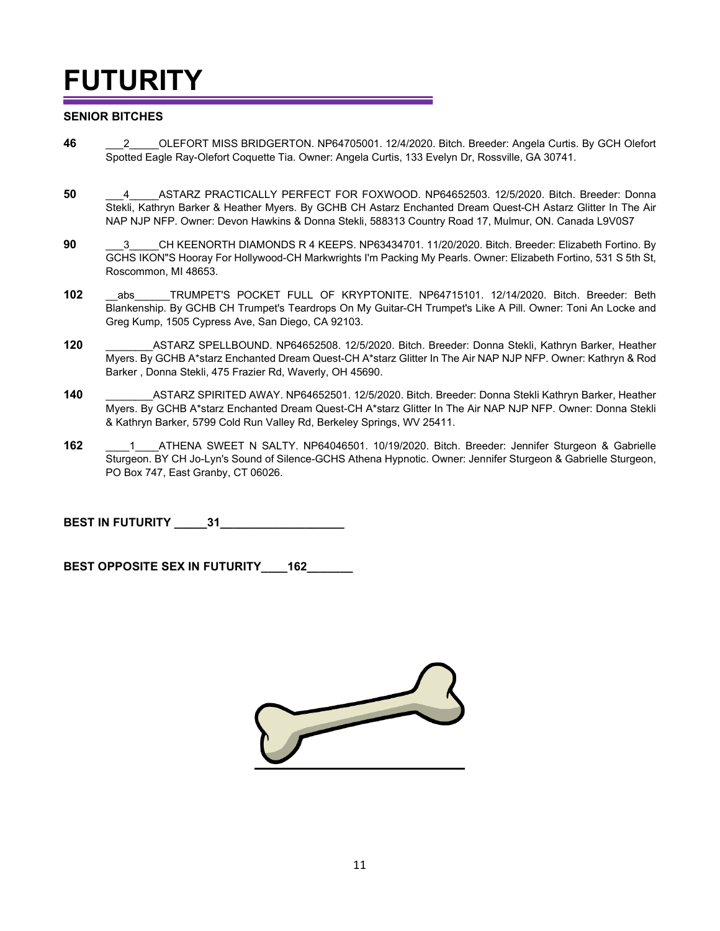# **FUTURITY**

#### **SENIOR BITCHES**

- **46** \_\_\_2\_\_\_\_\_OLEFORT MISS BRIDGERTON. NP64705001. 12/4/2020. Bitch. Breeder: Angela Curtis. By GCH Olefort Spotted Eagle Ray-Olefort Coquette Tia. Owner: Angela Curtis, 133 Evelyn Dr, Rossville, GA 30741.
- **50** \_\_\_4\_\_\_\_\_ASTARZ PRACTICALLY PERFECT FOR FOXWOOD. NP64652503. 12/5/2020. Bitch. Breeder: Donna Stekli, Kathryn Barker & Heather Myers. By GCHB CH Astarz Enchanted Dream Quest-CH Astarz Glitter In The Air NAP NJP NFP. Owner: Devon Hawkins & Donna Stekli, 588313 Country Road 17, Mulmur, ON. Canada L9V0S7
- **90 20 20 21 CH KEENORTH DIAMONDS R 4 KEEPS. NP63434701. 11/20/2020. Bitch. Breeder: Elizabeth Fortino. By** GCHS IKON"S Hooray For Hollywood-CH Markwrights I'm Packing My Pearls. Owner: Elizabeth Fortino, 531 S 5th St, Roscommon, MI 48653.
- **102** abs TRUMPET'S POCKET FULL OF KRYPTONITE. NP64715101. 12/14/2020. Bitch. Breeder: Beth Blankenship. By GCHB CH Trumpet's Teardrops On My Guitar-CH Trumpet's Like A Pill. Owner: Toni An Locke and Greg Kump, 1505 Cypress Ave, San Diego, CA 92103.
- **120** \_\_\_\_\_\_\_\_ASTARZ SPELLBOUND. NP64652508. 12/5/2020. Bitch. Breeder: Donna Stekli, Kathryn Barker, Heather Myers. By GCHB A\*starz Enchanted Dream Quest-CH A\*starz Glitter In The Air NAP NJP NFP. Owner: Kathryn & Rod Barker , Donna Stekli, 475 Frazier Rd, Waverly, OH 45690.
- **140** \_\_\_\_\_\_\_\_ASTARZ SPIRITED AWAY. NP64652501. 12/5/2020. Bitch. Breeder: Donna Stekli Kathryn Barker, Heather Myers. By GCHB A\*starz Enchanted Dream Quest-CH A\*starz Glitter In The Air NAP NJP NFP. Owner: Donna Stekli & Kathryn Barker, 5799 Cold Run Valley Rd, Berkeley Springs, WV 25411.
- **162** \_\_\_\_1\_\_\_\_ATHENA SWEET N SALTY. NP64046501. 10/19/2020. Bitch. Breeder: Jennifer Sturgeon & Gabrielle Sturgeon. BY CH Jo-Lyn's Sound of Silence-GCHS Athena Hypnotic. Owner: Jennifer Sturgeon & Gabrielle Sturgeon, PO Box 747, East Granby, CT 06026.

**BEST IN FUTURITY \_\_\_\_\_31\_\_\_\_\_\_\_\_\_\_\_\_\_\_\_\_\_\_\_**

BEST OPPOSITE SEX IN FUTURITY **162** 

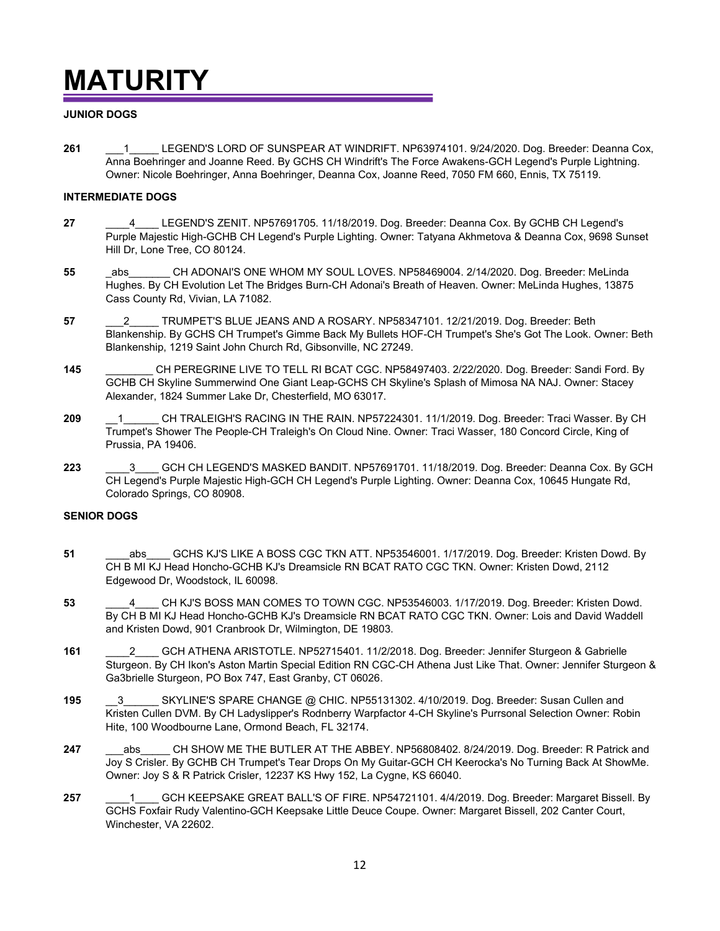## **MATURITY**

#### **JUNIOR DOGS**

**261** \_\_\_1\_\_\_\_\_ LEGEND'S LORD OF SUNSPEAR AT WINDRIFT. NP63974101. 9/24/2020. Dog. Breeder: Deanna Cox, Anna Boehringer and Joanne Reed. By GCHS CH Windrift's The Force Awakens-GCH Legend's Purple Lightning. Owner: Nicole Boehringer, Anna Boehringer, Deanna Cox, Joanne Reed, 7050 FM 660, Ennis, TX 75119.

#### **INTERMEDIATE DOGS**

- **27** \_\_\_\_4\_\_\_\_ LEGEND'S ZENIT. NP57691705. 11/18/2019. Dog. Breeder: Deanna Cox. By GCHB CH Legend's Purple Majestic High-GCHB CH Legend's Purple Lighting. Owner: Tatyana Akhmetova & Deanna Cox, 9698 Sunset Hill Dr, Lone Tree, CO 80124.
- **55** \_abs\_\_\_\_\_\_\_ CH ADONAI'S ONE WHOM MY SOUL LOVES. NP58469004. 2/14/2020. Dog. Breeder: MeLinda Hughes. By CH Evolution Let The Bridges Burn-CH Adonai's Breath of Heaven. Owner: MeLinda Hughes, 13875 Cass County Rd, Vivian, LA 71082.
- **57** \_\_\_2\_\_\_\_\_ TRUMPET'S BLUE JEANS AND A ROSARY. NP58347101. 12/21/2019. Dog. Breeder: Beth Blankenship. By GCHS CH Trumpet's Gimme Back My Bullets HOF-CH Trumpet's She's Got The Look. Owner: Beth Blankenship, 1219 Saint John Church Rd, Gibsonville, NC 27249.
- **145** \_\_\_\_\_\_\_\_ CH PEREGRINE LIVE TO TELL RI BCAT CGC. NP58497403. 2/22/2020. Dog. Breeder: Sandi Ford. By GCHB CH Skyline Summerwind One Giant Leap-GCHS CH Skyline's Splash of Mimosa NA NAJ. Owner: Stacey Alexander, 1824 Summer Lake Dr, Chesterfield, MO 63017.
- **209** <sup>1</sup> CH TRALEIGH'S RACING IN THE RAIN. NP57224301. 11/1/2019. Dog. Breeder: Traci Wasser. By CH Trumpet's Shower The People-CH Traleigh's On Cloud Nine. Owner: Traci Wasser, 180 Concord Circle, King of Prussia, PA 19406.
- **223** \_\_\_\_3\_\_\_\_ GCH CH LEGEND'S MASKED BANDIT. NP57691701. 11/18/2019. Dog. Breeder: Deanna Cox. By GCH CH Legend's Purple Majestic High-GCH CH Legend's Purple Lighting. Owner: Deanna Cox, 10645 Hungate Rd, Colorado Springs, CO 80908.

#### **SENIOR DOGS**

- **51** \_\_\_\_abs\_\_\_\_ GCHS KJ'S LIKE A BOSS CGC TKN ATT. NP53546001. 1/17/2019. Dog. Breeder: Kristen Dowd. By CH B MI KJ Head Honcho-GCHB KJ's Dreamsicle RN BCAT RATO CGC TKN. Owner: Kristen Dowd, 2112 Edgewood Dr, Woodstock, IL 60098.
- **53** \_\_\_\_4\_\_\_\_ CH KJ'S BOSS MAN COMES TO TOWN CGC. NP53546003. 1/17/2019. Dog. Breeder: Kristen Dowd. By CH B MI KJ Head Honcho-GCHB KJ's Dreamsicle RN BCAT RATO CGC TKN. Owner: Lois and David Waddell and Kristen Dowd, 901 Cranbrook Dr, Wilmington, DE 19803.
- **161** \_\_\_\_2\_\_\_\_ GCH ATHENA ARISTOTLE. NP52715401. 11/2/2018. Dog. Breeder: Jennifer Sturgeon & Gabrielle Sturgeon. By CH Ikon's Aston Martin Special Edition RN CGC-CH Athena Just Like That. Owner: Jennifer Sturgeon & Ga3brielle Sturgeon, PO Box 747, East Granby, CT 06026.
- **195** 3 SKYLINE'S SPARE CHANGE @ CHIC. NP55131302. 4/10/2019. Dog. Breeder: Susan Cullen and Kristen Cullen DVM. By CH Ladyslipper's Rodnberry Warpfactor 4-CH Skyline's Purrsonal Selection Owner: Robin Hite, 100 Woodbourne Lane, Ormond Beach, FL 32174.
- **247** \_\_\_abs\_\_\_\_\_ CH SHOW ME THE BUTLER AT THE ABBEY. NP56808402. 8/24/2019. Dog. Breeder: R Patrick and Joy S Crisler. By GCHB CH Trumpet's Tear Drops On My Guitar-GCH CH Keerocka's No Turning Back At ShowMe. Owner: Joy S & R Patrick Crisler, 12237 KS Hwy 152, La Cygne, KS 66040.
- **257** \_\_\_\_1\_\_\_\_ GCH KEEPSAKE GREAT BALL'S OF FIRE. NP54721101. 4/4/2019. Dog. Breeder: Margaret Bissell. By GCHS Foxfair Rudy Valentino-GCH Keepsake Little Deuce Coupe. Owner: Margaret Bissell, 202 Canter Court, Winchester, VA 22602.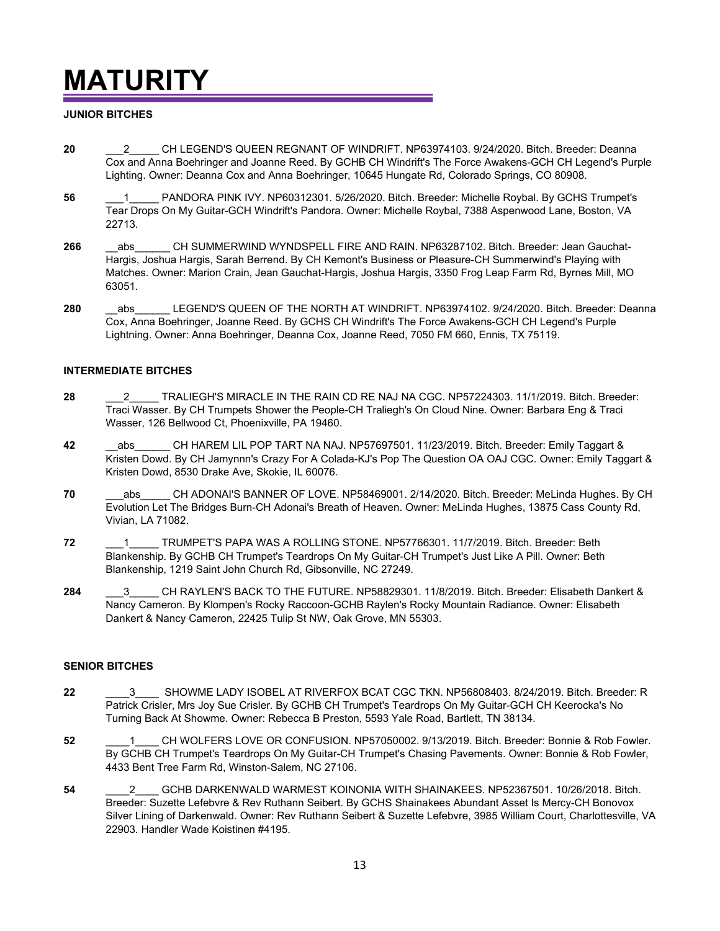# **MATURITY**

#### **JUNIOR BITCHES**

- **20** \_\_\_2\_\_\_\_\_ CH LEGEND'S QUEEN REGNANT OF WINDRIFT. NP63974103. 9/24/2020. Bitch. Breeder: Deanna Cox and Anna Boehringer and Joanne Reed. By GCHB CH Windrift's The Force Awakens-GCH CH Legend's Purple Lighting. Owner: Deanna Cox and Anna Boehringer, 10645 Hungate Rd, Colorado Springs, CO 80908.
- **56** \_\_\_1\_\_\_\_\_ PANDORA PINK IVY. NP60312301. 5/26/2020. Bitch. Breeder: Michelle Roybal. By GCHS Trumpet's Tear Drops On My Guitar-GCH Windrift's Pandora. Owner: Michelle Roybal, 7388 Aspenwood Lane, Boston, VA 22713.
- 266 \_\_\_abs\_\_\_\_\_\_ CH SUMMERWIND WYNDSPELL FIRE AND RAIN. NP63287102. Bitch. Breeder: Jean Gauchat-Hargis, Joshua Hargis, Sarah Berrend. By CH Kemont's Business or Pleasure-CH Summerwind's Playing with Matches. Owner: Marion Crain, Jean Gauchat-Hargis, Joshua Hargis, 3350 Frog Leap Farm Rd, Byrnes Mill, MO 63051.
- 280 \_\_\_\_\_\_ abs \_\_\_\_\_ LEGEND'S QUEEN OF THE NORTH AT WINDRIFT. NP63974102. 9/24/2020. Bitch. Breeder: Deanna Cox, Anna Boehringer, Joanne Reed. By GCHS CH Windrift's The Force Awakens-GCH CH Legend's Purple Lightning. Owner: Anna Boehringer, Deanna Cox, Joanne Reed, 7050 FM 660, Ennis, TX 75119.

#### **INTERMEDIATE BITCHES**

- **28** \_\_\_2\_\_\_\_\_ TRALIEGH'S MIRACLE IN THE RAIN CD RE NAJ NA CGC. NP57224303. 11/1/2019. Bitch. Breeder: Traci Wasser. By CH Trumpets Shower the People-CH Traliegh's On Cloud Nine. Owner: Barbara Eng & Traci Wasser, 126 Bellwood Ct, Phoenixville, PA 19460.
- **42** \_\_abs\_\_\_\_\_\_ CH HAREM LIL POP TART NA NAJ. NP57697501. 11/23/2019. Bitch. Breeder: Emily Taggart & Kristen Dowd. By CH Jamynnn's Crazy For A Colada-KJ's Pop The Question OA OAJ CGC. Owner: Emily Taggart & Kristen Dowd, 8530 Drake Ave, Skokie, IL 60076.
- **70** abs CH ADONAI'S BANNER OF LOVE. NP58469001. 2/14/2020. Bitch. Breeder: MeLinda Hughes. By CH Evolution Let The Bridges Burn-CH Adonai's Breath of Heaven. Owner: MeLinda Hughes, 13875 Cass County Rd, Vivian, LA 71082.
- **72** \_\_\_1\_\_\_\_\_ TRUMPET'S PAPA WAS A ROLLING STONE. NP57766301. 11/7/2019. Bitch. Breeder: Beth Blankenship. By GCHB CH Trumpet's Teardrops On My Guitar-CH Trumpet's Just Like A Pill. Owner: Beth Blankenship, 1219 Saint John Church Rd, Gibsonville, NC 27249.
- 284 **284** CH RAYLEN'S BACK TO THE FUTURE. NP58829301. 11/8/2019. Bitch. Breeder: Elisabeth Dankert & Nancy Cameron. By Klompen's Rocky Raccoon-GCHB Raylen's Rocky Mountain Radiance. Owner: Elisabeth Dankert & Nancy Cameron, 22425 Tulip St NW, Oak Grove, MN 55303.

#### **SENIOR BITCHES**

- **22** \_\_\_\_3\_\_\_\_ SHOWME LADY ISOBEL AT RIVERFOX BCAT CGC TKN. NP56808403. 8/24/2019. Bitch. Breeder: R Patrick Crisler, Mrs Joy Sue Crisler. By GCHB CH Trumpet's Teardrops On My Guitar-GCH CH Keerocka's No Turning Back At Showme. Owner: Rebecca B Preston, 5593 Yale Road, Bartlett, TN 38134.
- **52** \_\_\_\_1\_\_\_\_ CH WOLFERS LOVE OR CONFUSION. NP57050002. 9/13/2019. Bitch. Breeder: Bonnie & Rob Fowler. By GCHB CH Trumpet's Teardrops On My Guitar-CH Trumpet's Chasing Pavements. Owner: Bonnie & Rob Fowler, 4433 Bent Tree Farm Rd, Winston-Salem, NC 27106.
- **54** \_\_\_\_2\_\_\_\_ GCHB DARKENWALD WARMEST KOINONIA WITH SHAINAKEES. NP52367501. 10/26/2018. Bitch. Breeder: Suzette Lefebvre & Rev Ruthann Seibert. By GCHS Shainakees Abundant Asset Is Mercy-CH Bonovox Silver Lining of Darkenwald. Owner: Rev Ruthann Seibert & Suzette Lefebvre, 3985 William Court, Charlottesville, VA 22903. Handler Wade Koistinen #4195.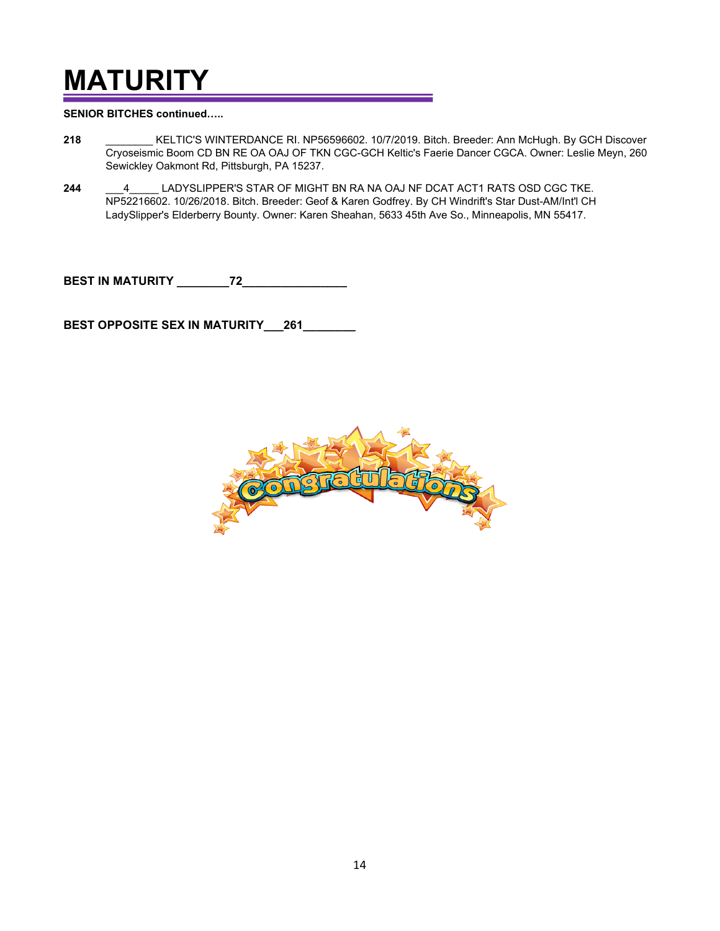# **MATURITY**

**SENIOR BITCHES continued…..**

- **218** \_\_\_\_\_\_\_\_ KELTIC'S WINTERDANCE RI. NP56596602. 10/7/2019. Bitch. Breeder: Ann McHugh. By GCH Discover Cryoseismic Boom CD BN RE OA OAJ OF TKN CGC-GCH Keltic's Faerie Dancer CGCA. Owner: Leslie Meyn, 260 Sewickley Oakmont Rd, Pittsburgh, PA 15237.
- **244** \_\_\_4\_\_\_\_\_ LADYSLIPPER'S STAR OF MIGHT BN RA NA OAJ NF DCAT ACT1 RATS OSD CGC TKE. NP52216602. 10/26/2018. Bitch. Breeder: Geof & Karen Godfrey. By CH Windrift's Star Dust-AM/Int'l CH LadySlipper's Elderberry Bounty. Owner: Karen Sheahan, 5633 45th Ave So., Minneapolis, MN 55417.

**BEST IN MATURITY \_\_\_\_\_\_\_\_72\_\_\_\_\_\_\_\_\_\_\_\_\_\_\_\_**

**BEST OPPOSITE SEX IN MATURITY\_\_\_261\_\_\_\_\_\_\_\_**

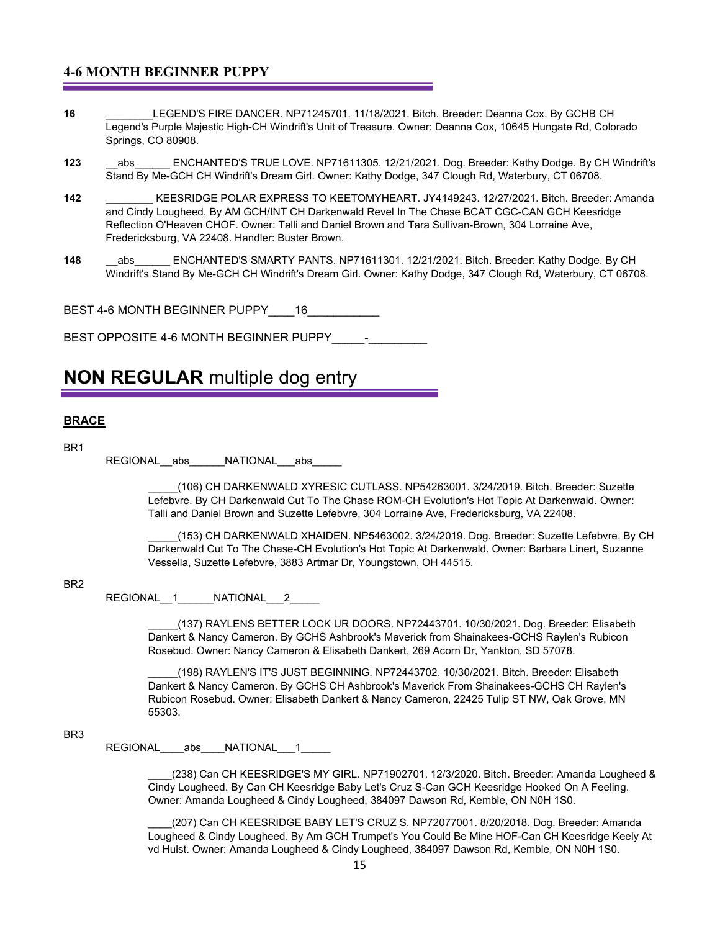#### **4-6 MONTH BEGINNER PUPPY**

- **16** \_\_\_\_\_\_\_\_LEGEND'S FIRE DANCER. NP71245701. 11/18/2021. Bitch. Breeder: Deanna Cox. By GCHB CH Legend's Purple Majestic High-CH Windrift's Unit of Treasure. Owner: Deanna Cox, 10645 Hungate Rd, Colorado Springs, CO 80908.
- 123 abs ENCHANTED'S TRUE LOVE. NP71611305. 12/21/2021. Dog. Breeder: Kathy Dodge. By CH Windrift's Stand By Me-GCH CH Windrift's Dream Girl. Owner: Kathy Dodge, 347 Clough Rd, Waterbury, CT 06708.
- **142** \_\_\_\_\_\_\_\_ KEESRIDGE POLAR EXPRESS TO KEETOMYHEART. JY4149243. 12/27/2021. Bitch. Breeder: Amanda and Cindy Lougheed. By AM GCH/INT CH Darkenwald Revel In The Chase BCAT CGC-CAN GCH Keesridge Reflection O'Heaven CHOF. Owner: Talli and Daniel Brown and Tara Sullivan-Brown, 304 Lorraine Ave, Fredericksburg, VA 22408. Handler: Buster Brown.
- 148 abs ENCHANTED'S SMARTY PANTS. NP71611301. 12/21/2021. Bitch. Breeder: Kathy Dodge. By CH Windrift's Stand By Me-GCH CH Windrift's Dream Girl. Owner: Kathy Dodge, 347 Clough Rd, Waterbury, CT 06708.

BEST 4-6 MONTH BEGINNER PUPPY 16

BEST OPPOSITE 4-6 MONTH BEGINNER PUPPY **Fig.** 

### **NON REGULAR** multiple dog entry

#### **BRACE**

BR1

REGIONAL abs \_\_\_\_\_NATIONAL abs

\_\_\_\_\_(106) CH DARKENWALD XYRESIC CUTLASS. NP54263001. 3/24/2019. Bitch. Breeder: Suzette Lefebvre. By CH Darkenwald Cut To The Chase ROM-CH Evolution's Hot Topic At Darkenwald. Owner: Talli and Daniel Brown and Suzette Lefebvre, 304 Lorraine Ave, Fredericksburg, VA 22408.

\_\_\_\_\_(153) CH DARKENWALD XHAIDEN. NP5463002. 3/24/2019. Dog. Breeder: Suzette Lefebvre. By CH Darkenwald Cut To The Chase-CH Evolution's Hot Topic At Darkenwald. Owner: Barbara Linert, Suzanne Vessella, Suzette Lefebvre, 3883 Artmar Dr, Youngstown, OH 44515.

#### BR2

REGIONAL 1 NATIONAL 2

\_\_\_\_\_(137) RAYLENS BETTER LOCK UR DOORS. NP72443701. 10/30/2021. Dog. Breeder: Elisabeth Dankert & Nancy Cameron. By GCHS Ashbrook's Maverick from Shainakees-GCHS Raylen's Rubicon Rosebud. Owner: Nancy Cameron & Elisabeth Dankert, 269 Acorn Dr, Yankton, SD 57078.

(198) RAYLEN'S IT'S JUST BEGINNING. NP72443702. 10/30/2021. Bitch. Breeder: Elisabeth Dankert & Nancy Cameron. By GCHS CH Ashbrook's Maverick From Shainakees-GCHS CH Raylen's Rubicon Rosebud. Owner: Elisabeth Dankert & Nancy Cameron, 22425 Tulip ST NW, Oak Grove, MN 55303.

#### BR3

REGIONAL abs NATIONAL 1

(238) Can CH KEESRIDGE'S MY GIRL. NP71902701. 12/3/2020. Bitch. Breeder: Amanda Lougheed & Cindy Lougheed. By Can CH Keesridge Baby Let's Cruz S-Can GCH Keesridge Hooked On A Feeling. Owner: Amanda Lougheed & Cindy Lougheed, 384097 Dawson Rd, Kemble, ON N0H 1S0.

\_\_\_\_(207) Can CH KEESRIDGE BABY LET'S CRUZ S. NP72077001. 8/20/2018. Dog. Breeder: Amanda Lougheed & Cindy Lougheed. By Am GCH Trumpet's You Could Be Mine HOF-Can CH Keesridge Keely At vd Hulst. Owner: Amanda Lougheed & Cindy Lougheed, 384097 Dawson Rd, Kemble, ON N0H 1S0.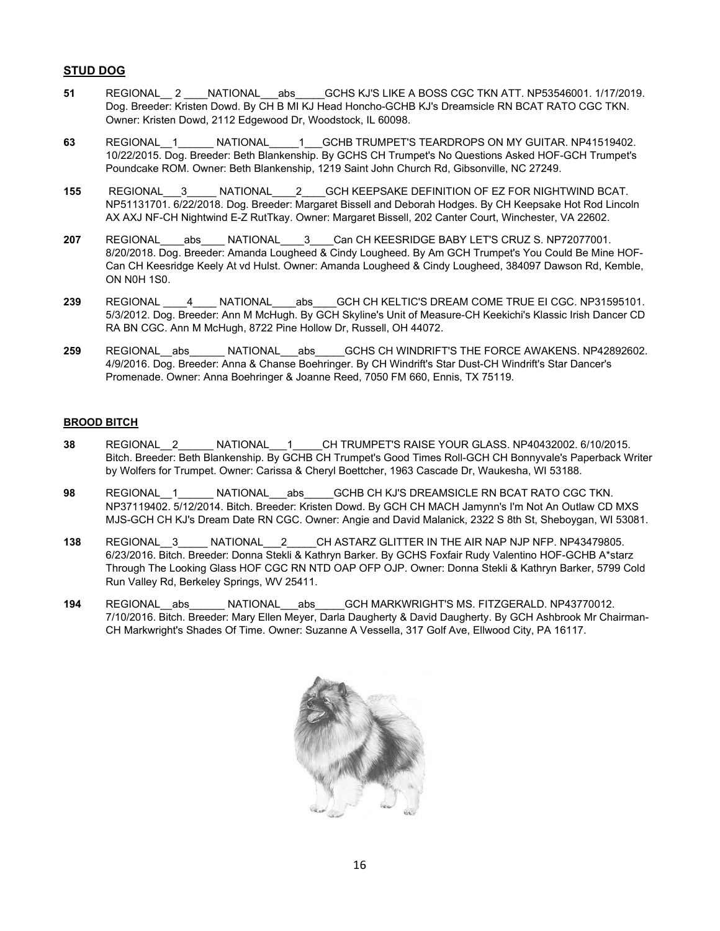#### **STUD DOG**

- 51 REGIONAL<sub>2</sub> NATIONAL abs GCHS KJ'S LIKE A BOSS CGC TKN ATT. NP53546001. 1/17/2019. Dog. Breeder: Kristen Dowd. By CH B MI KJ Head Honcho-GCHB KJ's Dreamsicle RN BCAT RATO CGC TKN. Owner: Kristen Dowd, 2112 Edgewood Dr, Woodstock, IL 60098.
- **63** REGIONAL\_\_1\_\_\_\_\_\_ NATIONAL\_\_\_\_\_1\_\_\_GCHB TRUMPET'S TEARDROPS ON MY GUITAR. NP41519402. 10/22/2015. Dog. Breeder: Beth Blankenship. By GCHS CH Trumpet's No Questions Asked HOF-GCH Trumpet's Poundcake ROM. Owner: Beth Blankenship, 1219 Saint John Church Rd, Gibsonville, NC 27249.
- **155** REGIONAL\_\_\_3\_\_\_\_\_ NATIONAL\_\_\_\_2\_\_\_\_GCH KEEPSAKE DEFINITION OF EZ FOR NIGHTWIND BCAT. NP51131701. 6/22/2018. Dog. Breeder: Margaret Bissell and Deborah Hodges. By CH Keepsake Hot Rod Lincoln AX AXJ NF-CH Nightwind E-Z RutTkay. Owner: Margaret Bissell, 202 Canter Court, Winchester, VA 22602.
- **207** REGIONAL\_\_\_\_abs\_\_\_\_ NATIONAL\_\_\_\_3\_\_\_\_Can CH KEESRIDGE BABY LET'S CRUZ S. NP72077001. 8/20/2018. Dog. Breeder: Amanda Lougheed & Cindy Lougheed. By Am GCH Trumpet's You Could Be Mine HOF-Can CH Keesridge Keely At vd Hulst. Owner: Amanda Lougheed & Cindy Lougheed, 384097 Dawson Rd, Kemble, ON N0H 1S0.
- 239 REGIONAL 4 NATIONAL abs GCH CH KELTIC'S DREAM COME TRUE EI CGC. NP31595101. 5/3/2012. Dog. Breeder: Ann M McHugh. By GCH Skyline's Unit of Measure-CH Keekichi's Klassic Irish Dancer CD RA BN CGC. Ann M McHugh, 8722 Pine Hollow Dr, Russell, OH 44072.
- 259 REGIONAL abs MATIONAL abs GCHS CH WINDRIFT'S THE FORCE AWAKENS. NP42892602. 4/9/2016. Dog. Breeder: Anna & Chanse Boehringer. By CH Windrift's Star Dust-CH Windrift's Star Dancer's Promenade. Owner: Anna Boehringer & Joanne Reed, 7050 FM 660, Ennis, TX 75119.

#### **BROOD BITCH**

- **38** REGIONAL\_\_2\_\_\_\_\_\_ NATIONAL\_\_\_1\_\_\_\_\_CH TRUMPET'S RAISE YOUR GLASS. NP40432002. 6/10/2015. Bitch. Breeder: Beth Blankenship. By GCHB CH Trumpet's Good Times Roll-GCH CH Bonnyvale's Paperback Writer by Wolfers for Trumpet. Owner: Carissa & Cheryl Boettcher, 1963 Cascade Dr, Waukesha, WI 53188.
- **98** REGIONAL 1 NATIONAL abs GCHB CH KJ'S DREAMSICLE RN BCAT RATO CGC TKN. NP37119402. 5/12/2014. Bitch. Breeder: Kristen Dowd. By GCH CH MACH Jamynn's I'm Not An Outlaw CD MXS MJS-GCH CH KJ's Dream Date RN CGC. Owner: Angie and David Malanick, 2322 S 8th St, Sheboygan, WI 53081.
- **138** REGIONAL\_\_3\_\_\_\_\_ NATIONAL\_\_\_2\_\_\_\_\_CH ASTARZ GLITTER IN THE AIR NAP NJP NFP. NP43479805. 6/23/2016. Bitch. Breeder: Donna Stekli & Kathryn Barker. By GCHS Foxfair Rudy Valentino HOF-GCHB A\*starz Through The Looking Glass HOF CGC RN NTD OAP OFP OJP. Owner: Donna Stekli & Kathryn Barker, 5799 Cold Run Valley Rd, Berkeley Springs, WV 25411.
- 194 REGIONAL abs MATIONAL abs GCH MARKWRIGHT'S MS. FITZGERALD. NP43770012. 7/10/2016. Bitch. Breeder: Mary Ellen Meyer, Darla Daugherty & David Daugherty. By GCH Ashbrook Mr Chairman-CH Markwright's Shades Of Time. Owner: Suzanne A Vessella, 317 Golf Ave, Ellwood City, PA 16117.

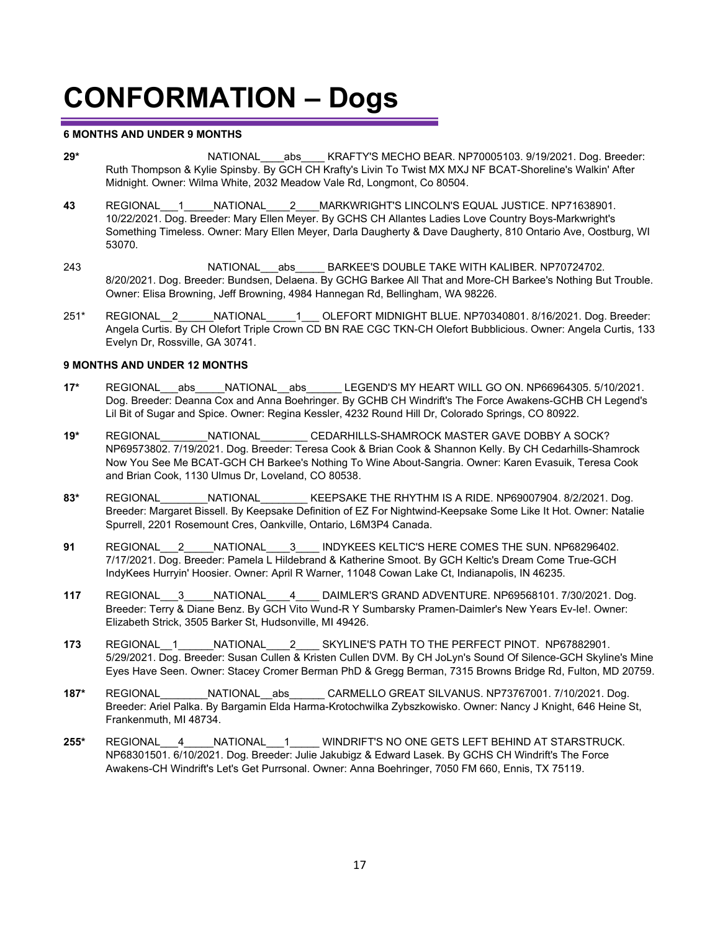#### **6 MONTHS AND UNDER 9 MONTHS**

- 29\* **REGIONAL** abs KRAFTY'S MECHO BEAR. NP70005103. 9/19/2021. Dog. Breeder: Ruth Thompson & Kylie Spinsby. By GCH CH Krafty's Livin To Twist MX MXJ NF BCAT-Shoreline's Walkin' After Midnight. Owner: Wilma White, 2032 Meadow Vale Rd, Longmont, Co 80504.
- **43** REGIONAL\_\_\_1\_\_\_\_\_NATIONAL\_\_\_\_2\_\_\_\_MARKWRIGHT'S LINCOLN'S EQUAL JUSTICE. NP71638901. 10/22/2021. Dog. Breeder: Mary Ellen Meyer. By GCHS CH Allantes Ladies Love Country Boys-Markwright's Something Timeless. Owner: Mary Ellen Meyer, Darla Daugherty & Dave Daugherty, 810 Ontario Ave, Oostburg, WI 53070.
- 243 REGIONAL\_\_\_\_\_\_\_\_NATIONAL\_\_\_abs\_\_\_\_\_ BARKEE'S DOUBLE TAKE WITH KALIBER. NP70724702. 8/20/2021. Dog. Breeder: Bundsen, Delaena. By GCHG Barkee All That and More-CH Barkee's Nothing But Trouble. Owner: Elisa Browning, Jeff Browning, 4984 Hannegan Rd, Bellingham, WA 98226.
- 251\* REGIONAL\_2\_\_\_\_\_\_NATIONAL\_\_\_\_\_1\_\_\_ OLEFORT MIDNIGHT BLUE. NP70340801. 8/16/2021. Dog. Breeder: Angela Curtis. By CH Olefort Triple Crown CD BN RAE CGC TKN-CH Olefort Bubblicious. Owner: Angela Curtis, 133 Evelyn Dr, Rossville, GA 30741.

#### **9 MONTHS AND UNDER 12 MONTHS**

- **17\*** REGIONAL\_\_\_abs\_\_\_\_\_NATIONAL\_\_abs\_\_\_\_\_\_ LEGEND'S MY HEART WILL GO ON. NP66964305. 5/10/2021. Dog. Breeder: Deanna Cox and Anna Boehringer. By GCHB CH Windrift's The Force Awakens-GCHB CH Legend's Lil Bit of Sugar and Spice. Owner: Regina Kessler, 4232 Round Hill Dr, Colorado Springs, CO 80922.
- **19\*** REGIONAL\_\_\_\_\_\_\_\_NATIONAL\_\_\_\_\_\_\_\_ CEDARHILLS-SHAMROCK MASTER GAVE DOBBY A SOCK? NP69573802. 7/19/2021. Dog. Breeder: Teresa Cook & Brian Cook & Shannon Kelly. By CH Cedarhills-Shamrock Now You See Me BCAT-GCH CH Barkee's Nothing To Wine About-Sangria. Owner: Karen Evasuik, Teresa Cook and Brian Cook, 1130 Ulmus Dr, Loveland, CO 80538.
- **83\*** REGIONAL\_\_\_\_\_\_\_\_NATIONAL\_\_\_\_\_\_\_\_ KEEPSAKE THE RHYTHM IS A RIDE. NP69007904. 8/2/2021. Dog. Breeder: Margaret Bissell. By Keepsake Definition of EZ For Nightwind-Keepsake Some Like It Hot. Owner: Natalie Spurrell, 2201 Rosemount Cres, Oankville, Ontario, L6M3P4 Canada.
- **91** REGIONAL\_\_\_2\_\_\_\_\_NATIONAL\_\_\_\_3\_\_\_\_ INDYKEES KELTIC'S HERE COMES THE SUN. NP68296402. 7/17/2021. Dog. Breeder: Pamela L Hildebrand & Katherine Smoot. By GCH Keltic's Dream Come True-GCH IndyKees Hurryin' Hoosier. Owner: April R Warner, 11048 Cowan Lake Ct, Indianapolis, IN 46235.
- **117** REGIONAL\_\_\_3\_\_\_\_\_NATIONAL\_\_\_\_4\_\_\_\_ DAIMLER'S GRAND ADVENTURE. NP69568101. 7/30/2021. Dog. Breeder: Terry & Diane Benz. By GCH Vito Wund-R Y Sumbarsky Pramen-Daimler's New Years Ev-Ie!. Owner: Elizabeth Strick, 3505 Barker St, Hudsonville, MI 49426.
- **173** REGIONAL\_\_1\_\_\_\_\_\_NATIONAL\_\_\_\_2\_\_\_\_ SKYLINE'S PATH TO THE PERFECT PINOT. NP67882901. 5/29/2021. Dog. Breeder: Susan Cullen & Kristen Cullen DVM. By CH JoLyn's Sound Of Silence-GCH Skyline's Mine Eyes Have Seen. Owner: Stacey Cromer Berman PhD & Gregg Berman, 7315 Browns Bridge Rd, Fulton, MD 20759.
- **187\*** REGIONAL\_\_\_\_\_\_\_\_NATIONAL\_\_abs\_\_\_\_\_\_ CARMELLO GREAT SILVANUS. NP73767001. 7/10/2021. Dog. Breeder: Ariel Palka. By Bargamin Elda Harma-Krotochwilka Zybszkowisko. Owner: Nancy J Knight, 646 Heine St, Frankenmuth, MI 48734.
- **255\*** REGIONAL\_\_\_4\_\_\_\_\_NATIONAL\_\_\_1\_\_\_\_\_ WINDRIFT'S NO ONE GETS LEFT BEHIND AT STARSTRUCK. NP68301501. 6/10/2021. Dog. Breeder: Julie Jakubigz & Edward Lasek. By GCHS CH Windrift's The Force Awakens-CH Windrift's Let's Get Purrsonal. Owner: Anna Boehringer, 7050 FM 660, Ennis, TX 75119.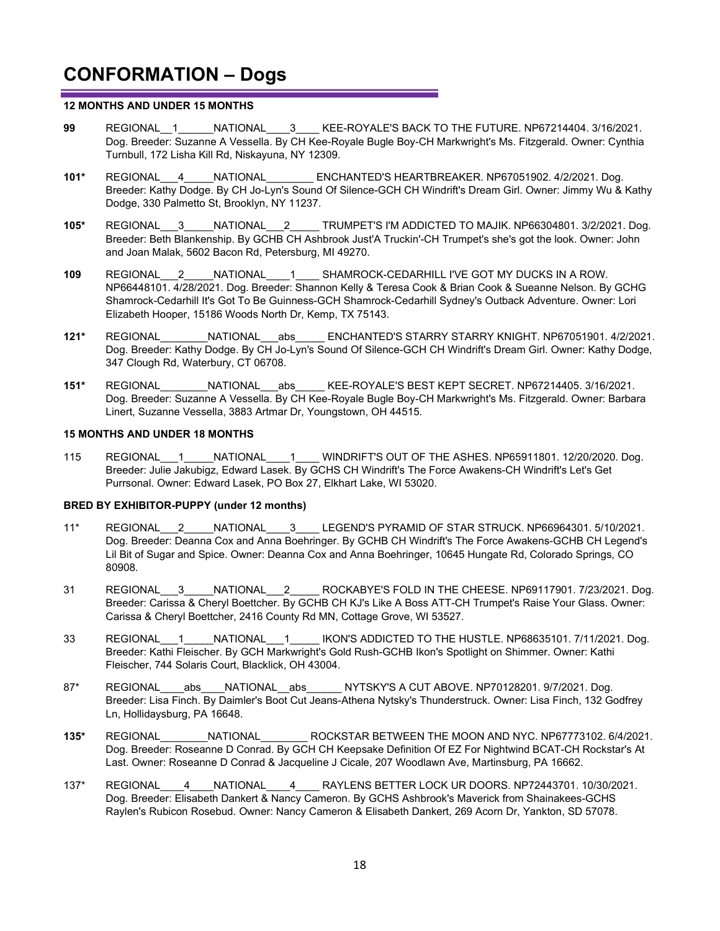#### **12 MONTHS AND UNDER 15 MONTHS**

- **99** REGIONAL\_\_1\_\_\_\_\_\_NATIONAL\_\_\_\_3\_\_\_\_ KEE-ROYALE'S BACK TO THE FUTURE. NP67214404. 3/16/2021. Dog. Breeder: Suzanne A Vessella. By CH Kee-Royale Bugle Boy-CH Markwright's Ms. Fitzgerald. Owner: Cynthia Turnbull, 172 Lisha Kill Rd, Niskayuna, NY 12309.
- **101\*** REGIONAL\_\_\_4\_\_\_\_\_NATIONAL\_\_\_\_\_\_\_\_ ENCHANTED'S HEARTBREAKER. NP67051902. 4/2/2021. Dog. Breeder: Kathy Dodge. By CH Jo-Lyn's Sound Of Silence-GCH CH Windrift's Dream Girl. Owner: Jimmy Wu & Kathy Dodge, 330 Palmetto St, Brooklyn, NY 11237.
- **105\*** REGIONAL\_\_\_3\_\_\_\_\_NATIONAL\_\_\_2\_\_\_\_\_ TRUMPET'S I'M ADDICTED TO MAJIK. NP66304801. 3/2/2021. Dog. Breeder: Beth Blankenship. By GCHB CH Ashbrook Just'A Truckin'-CH Trumpet's she's got the look. Owner: John and Joan Malak, 5602 Bacon Rd, Petersburg, MI 49270.
- **109** REGIONAL\_\_\_2\_\_\_\_\_NATIONAL\_\_\_\_1\_\_\_\_ SHAMROCK-CEDARHILL I'VE GOT MY DUCKS IN A ROW. NP66448101. 4/28/2021. Dog. Breeder: Shannon Kelly & Teresa Cook & Brian Cook & Sueanne Nelson. By GCHG Shamrock-Cedarhill It's Got To Be Guinness-GCH Shamrock-Cedarhill Sydney's Outback Adventure. Owner: Lori Elizabeth Hooper, 15186 Woods North Dr, Kemp, TX 75143.
- **121\*** REGIONAL\_\_\_\_\_\_\_\_NATIONAL\_\_\_abs\_\_\_\_\_ ENCHANTED'S STARRY STARRY KNIGHT. NP67051901. 4/2/2021. Dog. Breeder: Kathy Dodge. By CH Jo-Lyn's Sound Of Silence-GCH CH Windrift's Dream Girl. Owner: Kathy Dodge, 347 Clough Rd, Waterbury, CT 06708.
- **151\*** REGIONAL\_\_\_\_\_\_\_\_NATIONAL\_\_\_abs\_\_\_\_\_ KEE-ROYALE'S BEST KEPT SECRET. NP67214405. 3/16/2021. Dog. Breeder: Suzanne A Vessella. By CH Kee-Royale Bugle Boy-CH Markwright's Ms. Fitzgerald. Owner: Barbara Linert, Suzanne Vessella, 3883 Artmar Dr, Youngstown, OH 44515.

#### **15 MONTHS AND UNDER 18 MONTHS**

115 REGIONAL\_\_\_1\_\_\_\_\_NATIONAL\_\_\_\_1\_\_\_\_ WINDRIFT'S OUT OF THE ASHES. NP65911801. 12/20/2020. Dog. Breeder: Julie Jakubigz, Edward Lasek. By GCHS CH Windrift's The Force Awakens-CH Windrift's Let's Get Purrsonal. Owner: Edward Lasek, PO Box 27, Elkhart Lake, WI 53020.

#### **BRED BY EXHIBITOR-PUPPY (under 12 months)**

- 11\* REGIONAL\_\_\_2\_\_\_\_\_NATIONAL\_\_\_\_3\_\_\_\_LEGEND'S PYRAMID OF STAR STRUCK. NP66964301. 5/10/2021. Dog. Breeder: Deanna Cox and Anna Boehringer. By GCHB CH Windrift's The Force Awakens-GCHB CH Legend's Lil Bit of Sugar and Spice. Owner: Deanna Cox and Anna Boehringer, 10645 Hungate Rd, Colorado Springs, CO 80908.
- 31 REGIONAL 3 NATIONAL 2 ROCKABYE'S FOLD IN THE CHEESE. NP69117901. 7/23/2021. Dog. Breeder: Carissa & Cheryl Boettcher. By GCHB CH KJ's Like A Boss ATT-CH Trumpet's Raise Your Glass. Owner: Carissa & Cheryl Boettcher, 2416 County Rd MN, Cottage Grove, WI 53527.
- 33 REGIONAL 1 NATIONAL 1 IKON'S ADDICTED TO THE HUSTLE. NP68635101. 7/11/2021. Dog. Breeder: Kathi Fleischer. By GCH Markwright's Gold Rush-GCHB Ikon's Spotlight on Shimmer. Owner: Kathi Fleischer, 744 Solaris Court, Blacklick, OH 43004.
- 87\* REGIONAL abs NATIONAL abs NYTSKY'S A CUT ABOVE. NP70128201. 9/7/2021. Dog. Breeder: Lisa Finch. By Daimler's Boot Cut Jeans-Athena Nytsky's Thunderstruck. Owner: Lisa Finch, 132 Godfrey Ln, Hollidaysburg, PA 16648.
- **135\*** REGIONAL\_\_\_\_\_\_\_\_NATIONAL\_\_\_\_\_\_\_\_ ROCKSTAR BETWEEN THE MOON AND NYC. NP67773102. 6/4/2021. Dog. Breeder: Roseanne D Conrad. By GCH CH Keepsake Definition Of EZ For Nightwind BCAT-CH Rockstar's At Last. Owner: Roseanne D Conrad & Jacqueline J Cicale, 207 Woodlawn Ave, Martinsburg, PA 16662.
- 137\* REGIONAL\_\_\_\_4\_\_\_\_NATIONAL\_\_\_\_4\_\_\_\_ RAYLENS BETTER LOCK UR DOORS. NP72443701. 10/30/2021. Dog. Breeder: Elisabeth Dankert & Nancy Cameron. By GCHS Ashbrook's Maverick from Shainakees-GCHS Raylen's Rubicon Rosebud. Owner: Nancy Cameron & Elisabeth Dankert, 269 Acorn Dr, Yankton, SD 57078.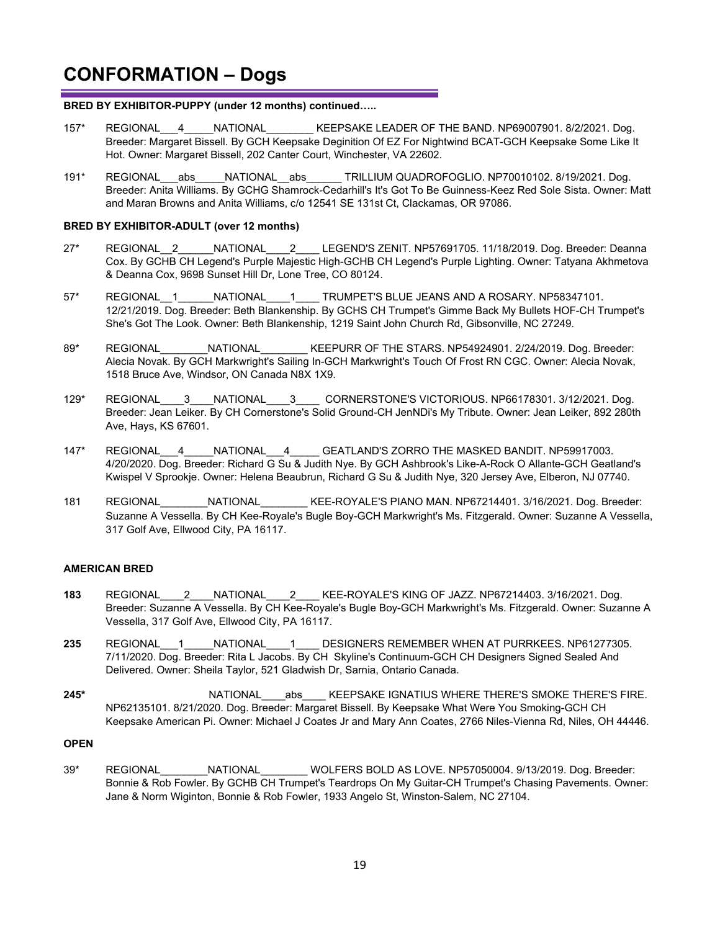#### **BRED BY EXHIBITOR-PUPPY (under 12 months) continued…..**

- 157\* REGIONAL 4 NATIONAL KEEPSAKE LEADER OF THE BAND. NP69007901. 8/2/2021. Dog. Breeder: Margaret Bissell. By GCH Keepsake Deginition Of EZ For Nightwind BCAT-GCH Keepsake Some Like It Hot. Owner: Margaret Bissell, 202 Canter Court, Winchester, VA 22602.
- 191\* REGIONAL\_\_\_abs\_\_\_\_\_NATIONAL\_\_abs\_\_\_\_\_\_ TRILLIUM QUADROFOGLIO. NP70010102. 8/19/2021. Dog. Breeder: Anita Williams. By GCHG Shamrock-Cedarhill's It's Got To Be Guinness-Keez Red Sole Sista. Owner: Matt and Maran Browns and Anita Williams, c/o 12541 SE 131st Ct, Clackamas, OR 97086.

#### **BRED BY EXHIBITOR-ADULT (over 12 months)**

- 27\* REGIONAL\_2 NATIONAL\_\_\_2\_\_\_\_ LEGEND'S ZENIT. NP57691705. 11/18/2019. Dog. Breeder: Deanna Cox. By GCHB CH Legend's Purple Majestic High-GCHB CH Legend's Purple Lighting. Owner: Tatyana Akhmetova & Deanna Cox, 9698 Sunset Hill Dr, Lone Tree, CO 80124.
- 57\* REGIONAL 1 NATIONAL 1 TRUMPET'S BLUE JEANS AND A ROSARY. NP58347101. 12/21/2019. Dog. Breeder: Beth Blankenship. By GCHS CH Trumpet's Gimme Back My Bullets HOF-CH Trumpet's She's Got The Look. Owner: Beth Blankenship, 1219 Saint John Church Rd, Gibsonville, NC 27249.
- 89\* REGIONAL MATIONAL KEEPURR OF THE STARS. NP54924901. 2/24/2019. Dog. Breeder: Alecia Novak. By GCH Markwright's Sailing In-GCH Markwright's Touch Of Frost RN CGC. Owner: Alecia Novak, 1518 Bruce Ave, Windsor, ON Canada N8X 1X9.
- 129\* REGIONAL\_\_\_\_3\_\_\_\_NATIONAL\_\_\_\_3\_\_\_\_ CORNERSTONE'S VICTORIOUS. NP66178301. 3/12/2021. Dog. Breeder: Jean Leiker. By CH Cornerstone's Solid Ground-CH JenNDi's My Tribute. Owner: Jean Leiker, 892 280th Ave, Hays, KS 67601.
- 147\* REGIONAL\_\_\_4\_\_\_\_\_NATIONAL\_\_\_4\_\_\_\_\_ GEATLAND'S ZORRO THE MASKED BANDIT. NP59917003. 4/20/2020. Dog. Breeder: Richard G Su & Judith Nye. By GCH Ashbrook's Like-A-Rock O Allante-GCH Geatland's Kwispel V Sprookje. Owner: Helena Beaubrun, Richard G Su & Judith Nye, 320 Jersey Ave, Elberon, NJ 07740.
- 181 REGIONAL\_\_\_\_\_\_\_\_NATIONAL\_\_\_\_\_\_\_\_ KEE-ROYALE'S PIANO MAN. NP67214401. 3/16/2021. Dog. Breeder: Suzanne A Vessella. By CH Kee-Royale's Bugle Boy-GCH Markwright's Ms. Fitzgerald. Owner: Suzanne A Vessella, 317 Golf Ave, Ellwood City, PA 16117.

#### **AMERICAN BRED**

- **183** REGIONAL\_\_\_\_2\_\_\_\_NATIONAL\_\_\_\_2\_\_\_\_ KEE-ROYALE'S KING OF JAZZ. NP67214403. 3/16/2021. Dog. Breeder: Suzanne A Vessella. By CH Kee-Royale's Bugle Boy-GCH Markwright's Ms. Fitzgerald. Owner: Suzanne A Vessella, 317 Golf Ave, Ellwood City, PA 16117.
- **235** REGIONAL\_\_\_1\_\_\_\_\_NATIONAL\_\_\_\_1\_\_\_\_ DESIGNERS REMEMBER WHEN AT PURRKEES. NP61277305. 7/11/2020. Dog. Breeder: Rita L Jacobs. By CH Skyline's Continuum-GCH CH Designers Signed Sealed And Delivered. Owner: Sheila Taylor, 521 Gladwish Dr, Sarnia, Ontario Canada.
- **245\*** NATIONAL\_\_\_\_abs\_\_\_\_ KEEPSAKE IGNATIUS WHERE THERE'S SMOKE THERE'S FIRE. NP62135101. 8/21/2020. Dog. Breeder: Margaret Bissell. By Keepsake What Were You Smoking-GCH CH Keepsake American Pi. Owner: Michael J Coates Jr and Mary Ann Coates, 2766 Niles-Vienna Rd, Niles, OH 44446.

#### **OPEN**

39\* REGIONAL\_\_\_\_\_\_\_\_NATIONAL\_\_\_\_\_\_\_\_ WOLFERS BOLD AS LOVE. NP57050004. 9/13/2019. Dog. Breeder: Bonnie & Rob Fowler. By GCHB CH Trumpet's Teardrops On My Guitar-CH Trumpet's Chasing Pavements. Owner: Jane & Norm Wiginton, Bonnie & Rob Fowler, 1933 Angelo St, Winston-Salem, NC 27104.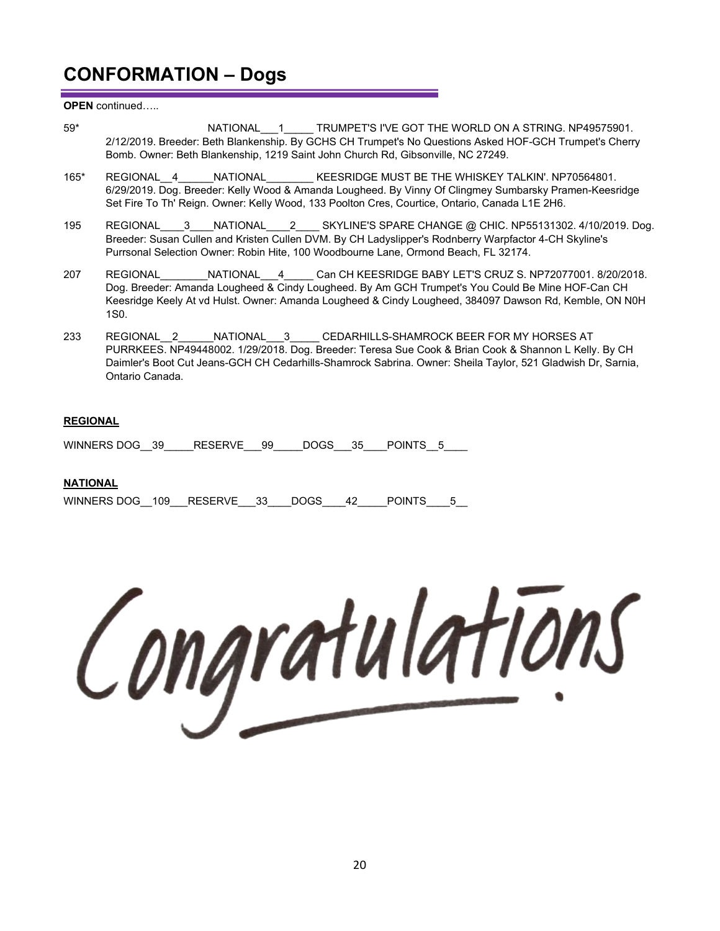**OPEN** continued…..

- 59\* RATIONAL 1 TRUMPET'S I'VE GOT THE WORLD ON A STRING. NP49575901. 2/12/2019. Breeder: Beth Blankenship. By GCHS CH Trumpet's No Questions Asked HOF-GCH Trumpet's Cherry Bomb. Owner: Beth Blankenship, 1219 Saint John Church Rd, Gibsonville, NC 27249.
- 165\* REGIONAL\_\_4\_\_\_\_\_\_NATIONAL\_\_\_\_\_\_\_\_ KEESRIDGE MUST BE THE WHISKEY TALKIN'. NP70564801. 6/29/2019. Dog. Breeder: Kelly Wood & Amanda Lougheed. By Vinny Of Clingmey Sumbarsky Pramen-Keesridge Set Fire To Th' Reign. Owner: Kelly Wood, 133 Poolton Cres, Courtice, Ontario, Canada L1E 2H6.
- 195 REGIONAL 3 NATIONAL 2 SKYLINE'S SPARE CHANGE @ CHIC. NP55131302. 4/10/2019. Dog. Breeder: Susan Cullen and Kristen Cullen DVM. By CH Ladyslipper's Rodnberry Warpfactor 4-CH Skyline's Purrsonal Selection Owner: Robin Hite, 100 Woodbourne Lane, Ormond Beach, FL 32174.
- 207 REGIONAL NATIONAL 4 Can CH KEESRIDGE BABY LET'S CRUZ S. NP72077001. 8/20/2018. Dog. Breeder: Amanda Lougheed & Cindy Lougheed. By Am GCH Trumpet's You Could Be Mine HOF-Can CH Keesridge Keely At vd Hulst. Owner: Amanda Lougheed & Cindy Lougheed, 384097 Dawson Rd, Kemble, ON N0H 1S0.
- 233 REGIONAL 2 \_\_\_\_NATIONAL 3 \_\_\_\_ CEDARHILLS-SHAMROCK BEER FOR MY HORSES AT PURRKEES. NP49448002. 1/29/2018. Dog. Breeder: Teresa Sue Cook & Brian Cook & Shannon L Kelly. By CH Daimler's Boot Cut Jeans-GCH CH Cedarhills-Shamrock Sabrina. Owner: Sheila Taylor, 521 Gladwish Dr, Sarnia, Ontario Canada.

#### **REGIONAL**

WINNERS DOG 39 RESERVE 99 DOGS 35 POINTS 5

#### **NATIONAL**

| WINNERS DOG 109 RESERVE 33 DOGS |  |  | 42 POINTS |  |
|---------------------------------|--|--|-----------|--|
|                                 |  |  |           |  |

Congratulations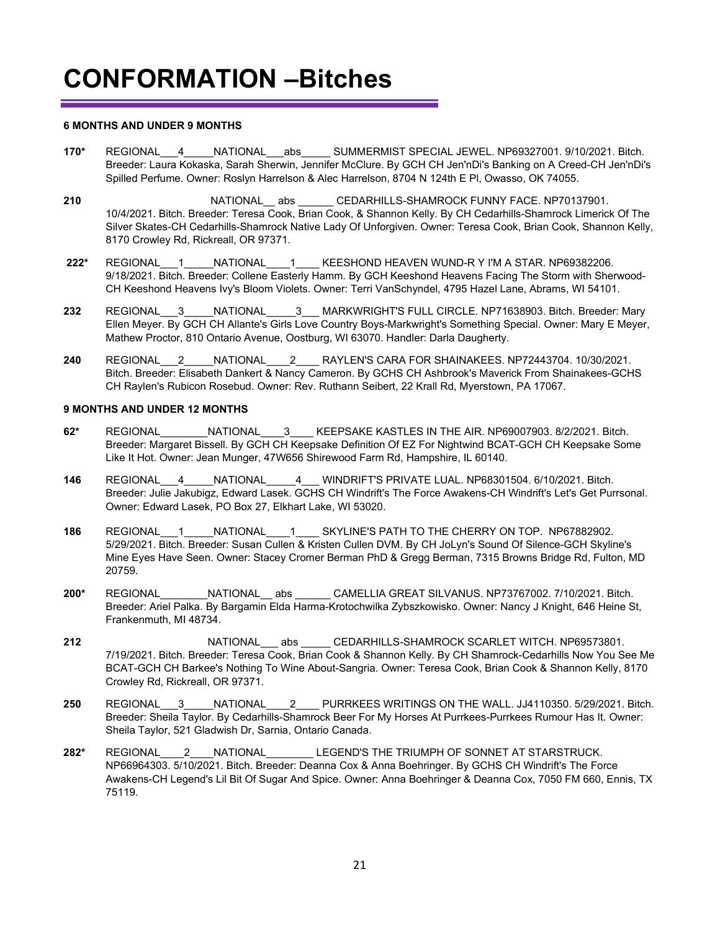#### **6 MONTHS AND UNDER 9 MONTHS**

- **170\*** REGIONAL\_\_\_4\_\_\_\_\_NATIONAL\_\_\_abs\_\_\_\_\_ SUMMERMIST SPECIAL JEWEL. NP69327001. 9/10/2021. Bitch. Breeder: Laura Kokaska, Sarah Sherwin, Jennifer McClure. By GCH CH Jen'nDi's Banking on A Creed-CH Jen'nDi's Spilled Perfume. Owner: Roslyn Harrelson & Alec Harrelson, 8704 N 124th E Pl, Owasso, OK 74055.
- 210 **REGIONAL Abs** CEDARHILLS-SHAMROCK FUNNY FACE. NP70137901. 10/4/2021. Bitch. Breeder: Teresa Cook, Brian Cook, & Shannon Kelly. By CH Cedarhills-Shamrock Limerick Of The Silver Skates-CH Cedarhills-Shamrock Native Lady Of Unforgiven. Owner: Teresa Cook, Brian Cook, Shannon Kelly, 8170 Crowley Rd, Rickreall, OR 97371.
- **222\*** REGIONAL\_\_\_1\_\_\_\_\_NATIONAL\_\_\_\_1\_\_\_\_ KEESHOND HEAVEN WUND-R Y I'M A STAR. NP69382206. 9/18/2021. Bitch. Breeder: Collene Easterly Hamm. By GCH Keeshond Heavens Facing The Storm with Sherwood-CH Keeshond Heavens Ivy's Bloom Violets. Owner: Terri VanSchyndel, 4795 Hazel Lane, Abrams, WI 54101.
- **232** REGIONAL\_\_\_3\_\_\_\_\_NATIONAL\_\_\_\_\_3\_\_\_ MARKWRIGHT'S FULL CIRCLE. NP71638903. Bitch. Breeder: Mary Ellen Meyer. By GCH CH Allante's Girls Love Country Boys-Markwright's Something Special. Owner: Mary E Meyer, Mathew Proctor, 810 Ontario Avenue, Oostburg, WI 63070. Handler: Darla Daugherty.
- **240** REGIONAL\_\_\_2\_\_\_\_\_NATIONAL\_\_\_\_2\_\_\_\_ RAYLEN'S CARA FOR SHAINAKEES. NP72443704. 10/30/2021. Bitch. Breeder: Elisabeth Dankert & Nancy Cameron. By GCHS CH Ashbrook's Maverick From Shainakees-GCHS CH Raylen's Rubicon Rosebud. Owner: Rev. Ruthann Seibert, 22 Krall Rd, Myerstown, PA 17067.

#### **9 MONTHS AND UNDER 12 MONTHS**

- **62\*** REGIONAL\_\_\_\_\_\_\_\_NATIONAL\_\_\_\_3\_\_\_\_ KEEPSAKE KASTLES IN THE AIR. NP69007903. 8/2/2021. Bitch. Breeder: Margaret Bissell. By GCH CH Keepsake Definition Of EZ For Nightwind BCAT-GCH CH Keepsake Some Like It Hot. Owner: Jean Munger, 47W656 Shirewood Farm Rd, Hampshire, IL 60140.
- **146** REGIONAL\_\_\_4\_\_\_\_\_NATIONAL\_\_\_\_\_4\_\_\_ WINDRIFT'S PRIVATE LUAL. NP68301504. 6/10/2021. Bitch. Breeder: Julie Jakubigz, Edward Lasek. GCHS CH Windrift's The Force Awakens-CH Windrift's Let's Get Purrsonal. Owner: Edward Lasek, PO Box 27, Elkhart Lake, WI 53020.
- **186** REGIONAL\_\_\_1\_\_\_\_\_NATIONAL\_\_\_\_1\_\_\_\_ SKYLINE'S PATH TO THE CHERRY ON TOP. NP67882902. 5/29/2021. Bitch. Breeder: Susan Cullen & Kristen Cullen DVM. By CH JoLyn's Sound Of Silence-GCH Skyline's Mine Eyes Have Seen. Owner: Stacey Cromer Berman PhD & Gregg Berman, 7315 Browns Bridge Rd, Fulton, MD 20759.
- **200\*** REGIONAL\_\_\_\_\_\_\_\_NATIONAL\_\_ abs \_\_\_\_\_\_ CAMELLIA GREAT SILVANUS. NP73767002. 7/10/2021. Bitch. Breeder: Ariel Palka. By Bargamin Elda Harma-Krotochwilka Zybszkowisko. Owner: Nancy J Knight, 646 Heine St, Frankenmuth, MI 48734.
- **212 REGIONAL** abs **CEDARHILLS-SHAMROCK SCARLET WITCH. NP69573801.** 7/19/2021. Bitch. Breeder: Teresa Cook, Brian Cook & Shannon Kelly. By CH Shamrock-Cedarhills Now You See Me BCAT-GCH CH Barkee's Nothing To Wine About-Sangria. Owner: Teresa Cook, Brian Cook & Shannon Kelly, 8170 Crowley Rd, Rickreall, OR 97371.
- **250** REGIONAL\_\_\_3\_\_\_\_\_NATIONAL\_\_\_\_2\_\_\_\_ PURRKEES WRITINGS ON THE WALL. JJ4110350. 5/29/2021. Bitch. Breeder: Sheila Taylor. By Cedarhills-Shamrock Beer For My Horses At Purrkees-Purrkees Rumour Has It. Owner: Sheila Taylor, 521 Gladwish Dr, Sarnia, Ontario Canada.
- **282\*** REGIONAL\_\_\_\_2\_\_\_\_NATIONAL\_\_\_\_\_\_\_\_ LEGEND'S THE TRIUMPH OF SONNET AT STARSTRUCK. NP66964303. 5/10/2021. Bitch. Breeder: Deanna Cox & Anna Boehringer. By GCHS CH Windrift's The Force Awakens-CH Legend's Lil Bit Of Sugar And Spice. Owner: Anna Boehringer & Deanna Cox, 7050 FM 660, Ennis, TX 75119.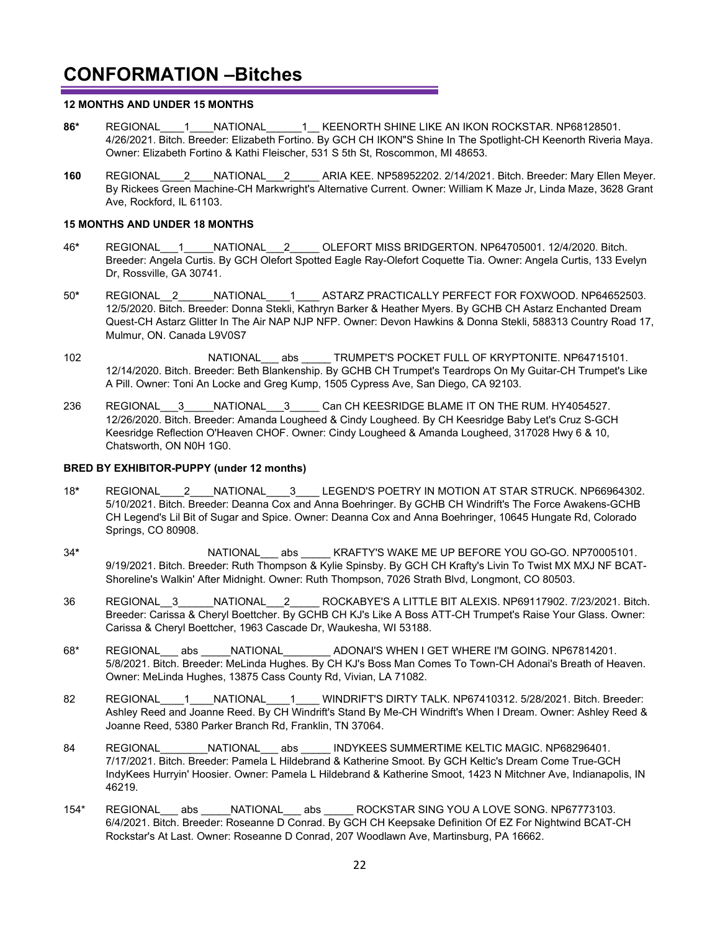#### **12 MONTHS AND UNDER 15 MONTHS**

- **86\*** REGIONAL\_\_\_\_1\_\_\_\_NATIONAL\_\_\_\_\_\_1\_\_ KEENORTH SHINE LIKE AN IKON ROCKSTAR. NP68128501. 4/26/2021. Bitch. Breeder: Elizabeth Fortino. By GCH CH IKON"S Shine In The Spotlight-CH Keenorth Riveria Maya. Owner: Elizabeth Fortino & Kathi Fleischer, 531 S 5th St, Roscommon, MI 48653.
- **160** REGIONAL\_\_\_\_2\_\_\_\_NATIONAL\_\_\_2\_\_\_\_\_ ARIA KEE. NP58952202. 2/14/2021. Bitch. Breeder: Mary Ellen Meyer. By Rickees Green Machine-CH Markwright's Alternative Current. Owner: William K Maze Jr, Linda Maze, 3628 Grant Ave, Rockford, IL 61103.

#### **15 MONTHS AND UNDER 18 MONTHS**

- 46**\*** REGIONAL\_\_\_1\_\_\_\_\_NATIONAL\_\_\_2\_\_\_\_\_ OLEFORT MISS BRIDGERTON. NP64705001. 12/4/2020. Bitch. Breeder: Angela Curtis. By GCH Olefort Spotted Eagle Ray-Olefort Coquette Tia. Owner: Angela Curtis, 133 Evelyn Dr, Rossville, GA 30741.
- 50**\*** REGIONAL\_\_2\_\_\_\_\_\_NATIONAL\_\_\_\_1\_\_\_\_ ASTARZ PRACTICALLY PERFECT FOR FOXWOOD. NP64652503. 12/5/2020. Bitch. Breeder: Donna Stekli, Kathryn Barker & Heather Myers. By GCHB CH Astarz Enchanted Dream Quest-CH Astarz Glitter In The Air NAP NJP NFP. Owner: Devon Hawkins & Donna Stekli, 588313 Country Road 17, Mulmur, ON. Canada L9V0S7
- 102 **NATIONAL** abs TRUMPET'S POCKET FULL OF KRYPTONITE. NP64715101. 12/14/2020. Bitch. Breeder: Beth Blankenship. By GCHB CH Trumpet's Teardrops On My Guitar-CH Trumpet's Like A Pill. Owner: Toni An Locke and Greg Kump, 1505 Cypress Ave, San Diego, CA 92103.
- 236 REGIONAL 3 NATIONAL 3 Can CH KEESRIDGE BLAME IT ON THE RUM. HY4054527. 12/26/2020. Bitch. Breeder: Amanda Lougheed & Cindy Lougheed. By CH Keesridge Baby Let's Cruz S-GCH Keesridge Reflection O'Heaven CHOF. Owner: Cindy Lougheed & Amanda Lougheed, 317028 Hwy 6 & 10, Chatsworth, ON N0H 1G0.

#### **BRED BY EXHIBITOR-PUPPY (under 12 months)**

- 18**\*** REGIONAL\_\_\_\_2\_\_\_\_NATIONAL\_\_\_\_3\_\_\_\_ LEGEND'S POETRY IN MOTION AT STAR STRUCK. NP66964302. 5/10/2021. Bitch. Breeder: Deanna Cox and Anna Boehringer. By GCHB CH Windrift's The Force Awakens-GCHB CH Legend's Lil Bit of Sugar and Spice. Owner: Deanna Cox and Anna Boehringer, 10645 Hungate Rd, Colorado Springs, CO 80908.
- 34<sup>\*</sup> REGIONAL abs KRAFTY'S WAKE ME UP BEFORE YOU GO-GO. NP70005101. 9/19/2021. Bitch. Breeder: Ruth Thompson & Kylie Spinsby. By GCH CH Krafty's Livin To Twist MX MXJ NF BCAT-Shoreline's Walkin' After Midnight. Owner: Ruth Thompson, 7026 Strath Blvd, Longmont, CO 80503.
- 36 REGIONAL\_\_3\_\_\_\_\_\_NATIONAL\_\_\_2\_\_\_\_\_ ROCKABYE'S A LITTLE BIT ALEXIS. NP69117902. 7/23/2021. Bitch. Breeder: Carissa & Cheryl Boettcher. By GCHB CH KJ's Like A Boss ATT-CH Trumpet's Raise Your Glass. Owner: Carissa & Cheryl Boettcher, 1963 Cascade Dr, Waukesha, WI 53188.
- 68\* REGIONAL abs NATIONAL ADONAI'S WHEN I GET WHERE I'M GOING. NP67814201. 5/8/2021. Bitch. Breeder: MeLinda Hughes. By CH KJ's Boss Man Comes To Town-CH Adonai's Breath of Heaven. Owner: MeLinda Hughes, 13875 Cass County Rd, Vivian, LA 71082.
- 82 REGIONAL 1 NATIONAL 1 WINDRIFT'S DIRTY TALK. NP67410312. 5/28/2021. Bitch. Breeder: Ashley Reed and Joanne Reed. By CH Windrift's Stand By Me-CH Windrift's When I Dream. Owner: Ashley Reed & Joanne Reed, 5380 Parker Branch Rd, Franklin, TN 37064.
- 84 REGIONAL NATIONAL abs INDYKEES SUMMERTIME KELTIC MAGIC. NP68296401. 7/17/2021. Bitch. Breeder: Pamela L Hildebrand & Katherine Smoot. By GCH Keltic's Dream Come True-GCH IndyKees Hurryin' Hoosier. Owner: Pamela L Hildebrand & Katherine Smoot, 1423 N Mitchner Ave, Indianapolis, IN 46219.
- 154\* REGIONAL abs NATIONAL abs ROCKSTAR SING YOU A LOVE SONG. NP67773103. 6/4/2021. Bitch. Breeder: Roseanne D Conrad. By GCH CH Keepsake Definition Of EZ For Nightwind BCAT-CH Rockstar's At Last. Owner: Roseanne D Conrad, 207 Woodlawn Ave, Martinsburg, PA 16662.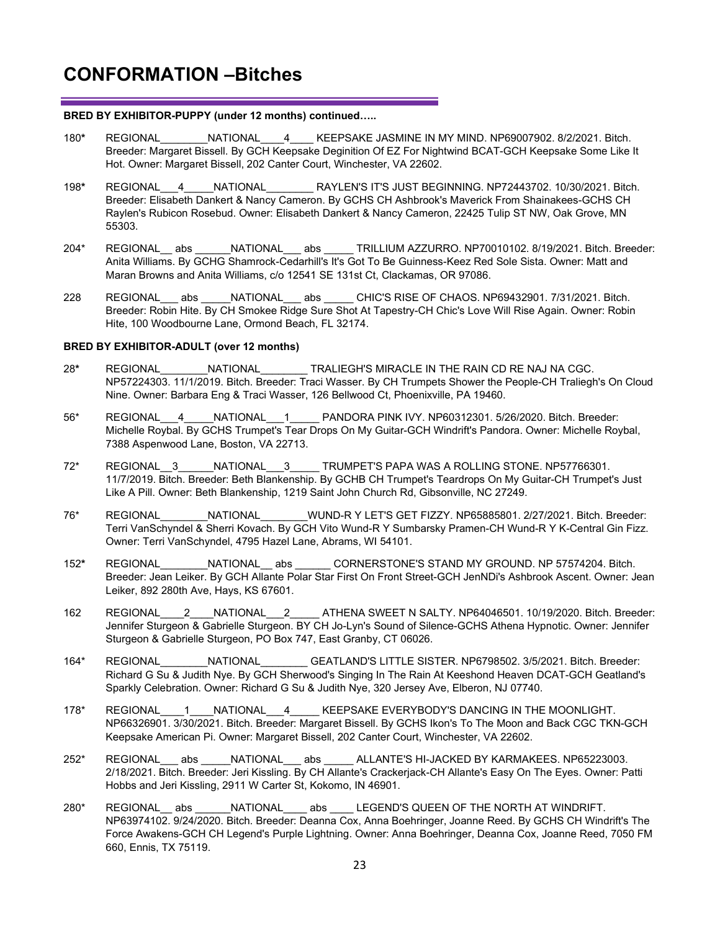#### **BRED BY EXHIBITOR-PUPPY (under 12 months) continued…..**

- 180**\*** REGIONAL\_\_\_\_\_\_\_\_NATIONAL\_\_\_\_4\_\_\_\_ KEEPSAKE JASMINE IN MY MIND. NP69007902. 8/2/2021. Bitch. Breeder: Margaret Bissell. By GCH Keepsake Deginition Of EZ For Nightwind BCAT-GCH Keepsake Some Like It Hot. Owner: Margaret Bissell, 202 Canter Court, Winchester, VA 22602.
- 198**\*** REGIONAL\_\_\_4\_\_\_\_\_NATIONAL\_\_\_\_\_\_\_\_ RAYLEN'S IT'S JUST BEGINNING. NP72443702. 10/30/2021. Bitch. Breeder: Elisabeth Dankert & Nancy Cameron. By GCHS CH Ashbrook's Maverick From Shainakees-GCHS CH Raylen's Rubicon Rosebud. Owner: Elisabeth Dankert & Nancy Cameron, 22425 Tulip ST NW, Oak Grove, MN 55303.
- 204\* REGIONAL\_\_ abs \_\_\_\_\_\_NATIONAL\_\_\_ abs \_\_\_\_\_ TRILLIUM AZZURRO. NP70010102. 8/19/2021. Bitch. Breeder: Anita Williams. By GCHG Shamrock-Cedarhill's It's Got To Be Guinness-Keez Red Sole Sista. Owner: Matt and Maran Browns and Anita Williams, c/o 12541 SE 131st Ct, Clackamas, OR 97086.
- 228 REGIONAL\_\_\_ abs \_\_\_\_\_NATIONAL\_\_\_ abs \_\_\_\_\_ CHIC'S RISE OF CHAOS. NP69432901. 7/31/2021. Bitch. Breeder: Robin Hite. By CH Smokee Ridge Sure Shot At Tapestry-CH Chic's Love Will Rise Again. Owner: Robin Hite, 100 Woodbourne Lane, Ormond Beach, FL 32174.

#### **BRED BY EXHIBITOR-ADULT (over 12 months)**

- 28**\*** REGIONAL\_\_\_\_\_\_\_\_NATIONAL\_\_\_\_\_\_\_\_ TRALIEGH'S MIRACLE IN THE RAIN CD RE NAJ NA CGC. NP57224303. 11/1/2019. Bitch. Breeder: Traci Wasser. By CH Trumpets Shower the People-CH Traliegh's On Cloud Nine. Owner: Barbara Eng & Traci Wasser, 126 Bellwood Ct, Phoenixville, PA 19460.
- 56\* REGIONAL\_\_\_4\_\_\_\_\_NATIONAL\_\_\_1\_\_\_\_\_ PANDORA PINK IVY. NP60312301. 5/26/2020. Bitch. Breeder: Michelle Roybal. By GCHS Trumpet's Tear Drops On My Guitar-GCH Windrift's Pandora. Owner: Michelle Roybal, 7388 Aspenwood Lane, Boston, VA 22713.
- 72\* REGIONAL\_\_3\_\_\_\_\_\_NATIONAL\_\_\_3\_\_\_\_\_ TRUMPET'S PAPA WAS A ROLLING STONE. NP57766301. 11/7/2019. Bitch. Breeder: Beth Blankenship. By GCHB CH Trumpet's Teardrops On My Guitar-CH Trumpet's Just Like A Pill. Owner: Beth Blankenship, 1219 Saint John Church Rd, Gibsonville, NC 27249.
- 76\* REGIONAL\_\_\_\_\_\_\_\_NATIONAL\_\_\_\_\_\_\_\_WUND-R Y LET'S GET FIZZY. NP65885801. 2/27/2021. Bitch. Breeder: Terri VanSchyndel & Sherri Kovach. By GCH Vito Wund-R Y Sumbarsky Pramen-CH Wund-R Y K-Central Gin Fizz. Owner: Terri VanSchyndel, 4795 Hazel Lane, Abrams, WI 54101.
- 152**\*** REGIONAL\_\_\_\_\_\_\_\_NATIONAL\_\_ abs \_\_\_\_\_\_ CORNERSTONE'S STAND MY GROUND. NP 57574204. Bitch. Breeder: Jean Leiker. By GCH Allante Polar Star First On Front Street-GCH JenNDi's Ashbrook Ascent. Owner: Jean Leiker, 892 280th Ave, Hays, KS 67601.
- 162 REGIONAL\_\_\_\_2\_\_\_\_NATIONAL\_\_\_2\_\_\_\_\_ ATHENA SWEET N SALTY. NP64046501. 10/19/2020. Bitch. Breeder: Jennifer Sturgeon & Gabrielle Sturgeon. BY CH Jo-Lyn's Sound of Silence-GCHS Athena Hypnotic. Owner: Jennifer Sturgeon & Gabrielle Sturgeon, PO Box 747, East Granby, CT 06026.
- 164\* REGIONAL\_\_\_\_\_\_\_\_NATIONAL\_\_\_\_\_\_\_\_ GEATLAND'S LITTLE SISTER. NP6798502. 3/5/2021. Bitch. Breeder: Richard G Su & Judith Nye. By GCH Sherwood's Singing In The Rain At Keeshond Heaven DCAT-GCH Geatland's Sparkly Celebration. Owner: Richard G Su & Judith Nye, 320 Jersey Ave, Elberon, NJ 07740.
- 178\* REGIONAL 1 NATIONAL 4 KEEPSAKE EVERYBODY'S DANCING IN THE MOONLIGHT. NP66326901. 3/30/2021. Bitch. Breeder: Margaret Bissell. By GCHS Ikon's To The Moon and Back CGC TKN-GCH Keepsake American Pi. Owner: Margaret Bissell, 202 Canter Court, Winchester, VA 22602.
- 252\* REGIONAL abs NATIONAL abs ALLANTE'S HI-JACKED BY KARMAKEES. NP65223003. 2/18/2021. Bitch. Breeder: Jeri Kissling. By CH Allante's Crackerjack-CH Allante's Easy On The Eyes. Owner: Patti Hobbs and Jeri Kissling, 2911 W Carter St, Kokomo, IN 46901.
- 280\* REGIONAL abs NATIONAL abs LEGEND'S QUEEN OF THE NORTH AT WINDRIFT. NP63974102. 9/24/2020. Bitch. Breeder: Deanna Cox, Anna Boehringer, Joanne Reed. By GCHS CH Windrift's The Force Awakens-GCH CH Legend's Purple Lightning. Owner: Anna Boehringer, Deanna Cox, Joanne Reed, 7050 FM 660, Ennis, TX 75119.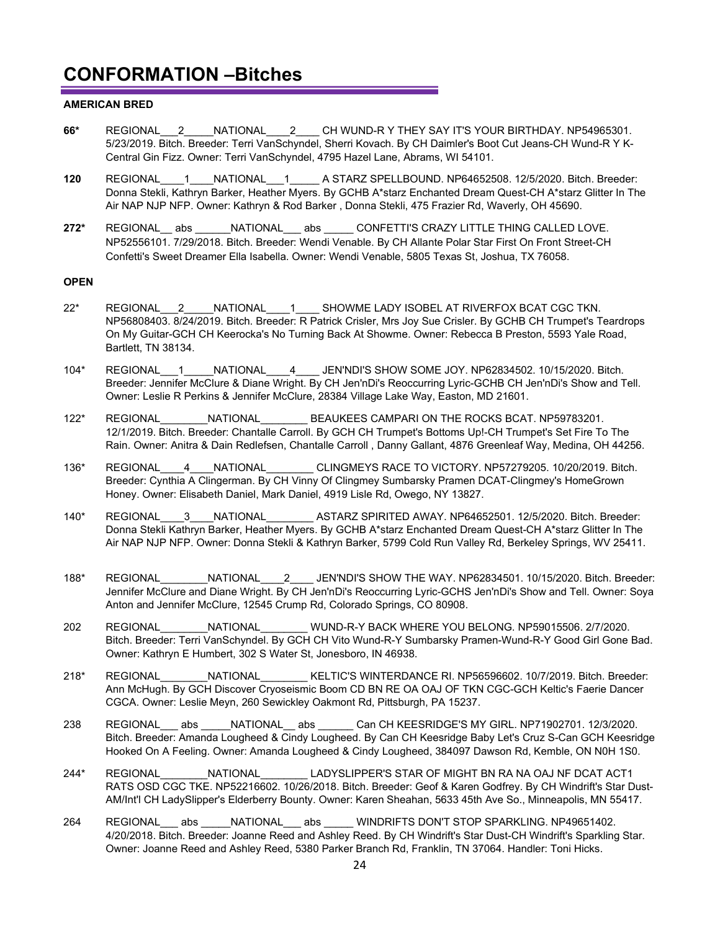#### **AMERICAN BRED**

- **66\*** REGIONAL\_\_\_2\_\_\_\_\_NATIONAL\_\_\_\_2\_\_\_\_ CH WUND-R Y THEY SAY IT'S YOUR BIRTHDAY. NP54965301. 5/23/2019. Bitch. Breeder: Terri VanSchyndel, Sherri Kovach. By CH Daimler's Boot Cut Jeans-CH Wund-R Y K-Central Gin Fizz. Owner: Terri VanSchyndel, 4795 Hazel Lane, Abrams, WI 54101.
- **120** REGIONAL\_\_\_\_1\_\_\_\_NATIONAL\_\_\_1\_\_\_\_\_ A STARZ SPELLBOUND. NP64652508. 12/5/2020. Bitch. Breeder: Donna Stekli, Kathryn Barker, Heather Myers. By GCHB A\*starz Enchanted Dream Quest-CH A\*starz Glitter In The Air NAP NJP NFP. Owner: Kathryn & Rod Barker , Donna Stekli, 475 Frazier Rd, Waverly, OH 45690.
- **272\*** REGIONAL\_\_ abs \_\_\_\_\_\_NATIONAL\_\_\_ abs \_\_\_\_\_ CONFETTI'S CRAZY LITTLE THING CALLED LOVE. NP52556101. 7/29/2018. Bitch. Breeder: Wendi Venable. By CH Allante Polar Star First On Front Street-CH Confetti's Sweet Dreamer Ella Isabella. Owner: Wendi Venable, 5805 Texas St, Joshua, TX 76058.

#### **OPEN**

- 22\* REGIONAL\_\_\_2\_\_\_\_\_NATIONAL\_\_\_\_1\_\_\_\_ SHOWME LADY ISOBEL AT RIVERFOX BCAT CGC TKN. NP56808403. 8/24/2019. Bitch. Breeder: R Patrick Crisler, Mrs Joy Sue Crisler. By GCHB CH Trumpet's Teardrops On My Guitar-GCH CH Keerocka's No Turning Back At Showme. Owner: Rebecca B Preston, 5593 Yale Road, Bartlett, TN 38134.
- 104\* REGIONAL\_\_\_1\_\_\_\_\_NATIONAL\_\_\_\_4\_\_\_\_ JEN'NDI'S SHOW SOME JOY. NP62834502. 10/15/2020. Bitch. Breeder: Jennifer McClure & Diane Wright. By CH Jen'nDi's Reoccurring Lyric-GCHB CH Jen'nDi's Show and Tell. Owner: Leslie R Perkins & Jennifer McClure, 28384 Village Lake Way, Easton, MD 21601.
- 122\* REGIONAL\_\_\_\_\_\_\_\_NATIONAL\_\_\_\_\_\_\_\_ BEAUKEES CAMPARI ON THE ROCKS BCAT. NP59783201. 12/1/2019. Bitch. Breeder: Chantalle Carroll. By GCH CH Trumpet's Bottoms Up!-CH Trumpet's Set Fire To The Rain. Owner: Anitra & Dain Redlefsen, Chantalle Carroll , Danny Gallant, 4876 Greenleaf Way, Medina, OH 44256.
- 136\* REGIONAL\_\_\_\_4\_\_\_\_NATIONAL\_\_\_\_\_\_\_\_ CLINGMEYS RACE TO VICTORY. NP57279205. 10/20/2019. Bitch. Breeder: Cynthia A Clingerman. By CH Vinny Of Clingmey Sumbarsky Pramen DCAT-Clingmey's HomeGrown Honey. Owner: Elisabeth Daniel, Mark Daniel, 4919 Lisle Rd, Owego, NY 13827.
- 140\* REGIONAL\_\_\_\_3\_\_\_\_NATIONAL\_\_\_\_\_\_\_\_ ASTARZ SPIRITED AWAY. NP64652501. 12/5/2020. Bitch. Breeder: Donna Stekli Kathryn Barker, Heather Myers. By GCHB A\*starz Enchanted Dream Quest-CH A\*starz Glitter In The Air NAP NJP NFP. Owner: Donna Stekli & Kathryn Barker, 5799 Cold Run Valley Rd, Berkeley Springs, WV 25411.
- 188\* REGIONAL\_\_\_\_\_\_\_\_NATIONAL\_\_\_\_2\_\_\_\_ JEN'NDI'S SHOW THE WAY. NP62834501. 10/15/2020. Bitch. Breeder: Jennifer McClure and Diane Wright. By CH Jen'nDi's Reoccurring Lyric-GCHS Jen'nDi's Show and Tell. Owner: Soya Anton and Jennifer McClure, 12545 Crump Rd, Colorado Springs, CO 80908.
- 202 REGIONAL NATIONAL \_\_\_\_\_WUND-R-Y BACK WHERE YOU BELONG. NP59015506. 2/7/2020. Bitch. Breeder: Terri VanSchyndel. By GCH CH Vito Wund-R-Y Sumbarsky Pramen-Wund-R-Y Good Girl Gone Bad. Owner: Kathryn E Humbert, 302 S Water St, Jonesboro, IN 46938.
- 218\* REGIONAL\_\_\_\_\_\_\_\_NATIONAL\_\_\_\_\_\_\_\_ KELTIC'S WINTERDANCE RI. NP56596602. 10/7/2019. Bitch. Breeder: Ann McHugh. By GCH Discover Cryoseismic Boom CD BN RE OA OAJ OF TKN CGC-GCH Keltic's Faerie Dancer CGCA. Owner: Leslie Meyn, 260 Sewickley Oakmont Rd, Pittsburgh, PA 15237.
- 238 REGIONAL abs NATIONAL abs Can CH KEESRIDGE'S MY GIRL. NP71902701. 12/3/2020. Bitch. Breeder: Amanda Lougheed & Cindy Lougheed. By Can CH Keesridge Baby Let's Cruz S-Can GCH Keesridge Hooked On A Feeling. Owner: Amanda Lougheed & Cindy Lougheed, 384097 Dawson Rd, Kemble, ON N0H 1S0.
- 244\* REGIONAL\_\_\_\_\_\_\_\_NATIONAL\_\_\_\_\_\_\_\_ LADYSLIPPER'S STAR OF MIGHT BN RA NA OAJ NF DCAT ACT1 RATS OSD CGC TKE. NP52216602. 10/26/2018. Bitch. Breeder: Geof & Karen Godfrey. By CH Windrift's Star Dust-AM/Int'l CH LadySlipper's Elderberry Bounty. Owner: Karen Sheahan, 5633 45th Ave So., Minneapolis, MN 55417.
- 264 REGIONAL abs NATIONAL abs WINDRIFTS DON'T STOP SPARKLING. NP49651402. 4/20/2018. Bitch. Breeder: Joanne Reed and Ashley Reed. By CH Windrift's Star Dust-CH Windrift's Sparkling Star. Owner: Joanne Reed and Ashley Reed, 5380 Parker Branch Rd, Franklin, TN 37064. Handler: Toni Hicks.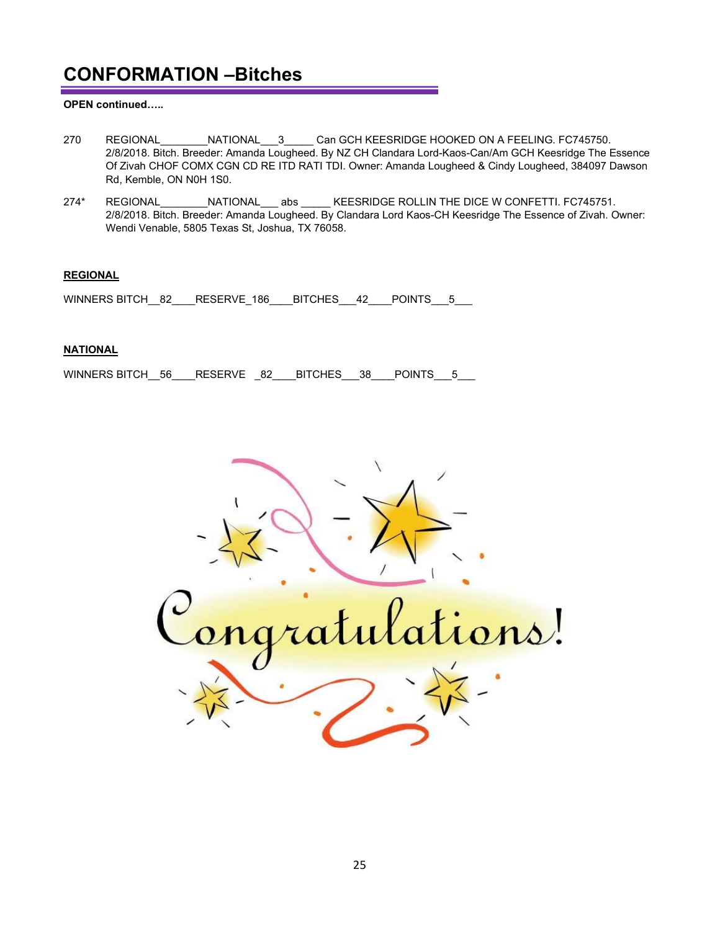#### **OPEN continued…..**

- 270 REGIONAL NATIONAL 3 Can GCH KEESRIDGE HOOKED ON A FEELING. FC745750. 2/8/2018. Bitch. Breeder: Amanda Lougheed. By NZ CH Clandara Lord-Kaos-Can/Am GCH Keesridge The Essence Of Zivah CHOF COMX CGN CD RE ITD RATI TDI. Owner: Amanda Lougheed & Cindy Lougheed, 384097 Dawson Rd, Kemble, ON N0H 1S0.
- 274\* REGIONAL MATIONAL abs KEESRIDGE ROLLIN THE DICE W CONFETTI. FC745751. 2/8/2018. Bitch. Breeder: Amanda Lougheed. By Clandara Lord Kaos-CH Keesridge The Essence of Zivah. Owner: Wendi Venable, 5805 Texas St, Joshua, TX 76058.

#### **REGIONAL**

WINNERS BITCH\_\_82\_\_\_\_RESERVE\_186\_\_\_\_BITCHES\_\_\_42\_\_\_\_POINTS\_\_\_5\_\_\_

#### **NATIONAL**

WINNERS BITCH\_\_56\_\_\_\_RESERVE \_\_ 82\_\_\_\_\_BITCHES\_\_\_\_38\_\_\_\_POINTS\_\_\_\_5\_\_\_\_\_\_\_\_\_\_\_\_\_

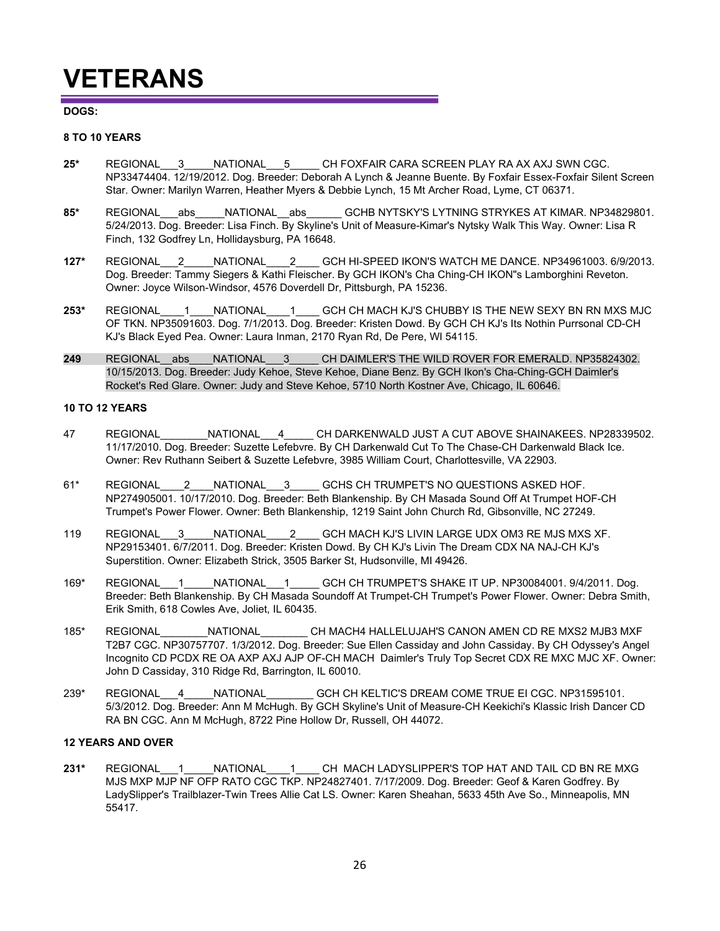## **VETERANS**

#### **DOGS:**

#### **8 TO 10 YEARS**

- **25\*** REGIONAL\_\_\_3\_\_\_\_\_NATIONAL\_\_\_5\_\_\_\_\_ CH FOXFAIR CARA SCREEN PLAY RA AX AXJ SWN CGC. NP33474404. 12/19/2012. Dog. Breeder: Deborah A Lynch & Jeanne Buente. By Foxfair Essex-Foxfair Silent Screen Star. Owner: Marilyn Warren, Heather Myers & Debbie Lynch, 15 Mt Archer Road, Lyme, CT 06371.
- 85\* REGIONAL abs NATIONAL abs GCHB NYTSKY'S LYTNING STRYKES AT KIMAR. NP34829801. 5/24/2013. Dog. Breeder: Lisa Finch. By Skyline's Unit of Measure-Kimar's Nytsky Walk This Way. Owner: Lisa R Finch, 132 Godfrey Ln, Hollidaysburg, PA 16648.
- **127\*** REGIONAL\_\_\_2\_\_\_\_\_NATIONAL\_\_\_\_2\_\_\_\_ GCH HI-SPEED IKON'S WATCH ME DANCE. NP34961003. 6/9/2013. Dog. Breeder: Tammy Siegers & Kathi Fleischer. By GCH IKON's Cha Ching-CH IKON"s Lamborghini Reveton. Owner: Joyce Wilson-Windsor, 4576 Doverdell Dr, Pittsburgh, PA 15236.
- **253\*** REGIONAL\_\_\_\_1\_\_\_\_NATIONAL\_\_\_\_1\_\_\_\_ GCH CH MACH KJ'S CHUBBY IS THE NEW SEXY BN RN MXS MJC OF TKN. NP35091603. Dog. 7/1/2013. Dog. Breeder: Kristen Dowd. By GCH CH KJ's Its Nothin Purrsonal CD-CH KJ's Black Eyed Pea. Owner: Laura Inman, 2170 Ryan Rd, De Pere, WI 54115.
- 249 REGIONAL abs NATIONAL 3 CH DAIMLER'S THE WILD ROVER FOR EMERALD. NP35824302. 10/15/2013. Dog. Breeder: Judy Kehoe, Steve Kehoe, Diane Benz. By GCH Ikon's Cha-Ching-GCH Daimler's Rocket's Red Glare. Owner: Judy and Steve Kehoe, 5710 North Kostner Ave, Chicago, IL 60646.

#### **10 TO 12 YEARS**

- 47 REGIONAL MATIONAL 4 CH DARKENWALD JUST A CUT ABOVE SHAINAKEES. NP28339502. 11/17/2010. Dog. Breeder: Suzette Lefebvre. By CH Darkenwald Cut To The Chase-CH Darkenwald Black Ice. Owner: Rev Ruthann Seibert & Suzette Lefebvre, 3985 William Court, Charlottesville, VA 22903.
- 61\* REGIONAL\_\_\_\_\_2\_\_\_\_NATIONAL\_\_\_3\_\_\_\_\_ GCHS CH TRUMPET'S NO QUESTIONS ASKED HOF. NP274905001. 10/17/2010. Dog. Breeder: Beth Blankenship. By CH Masada Sound Off At Trumpet HOF-CH Trumpet's Power Flower. Owner: Beth Blankenship, 1219 Saint John Church Rd, Gibsonville, NC 27249.
- 119 REGIONAL\_\_\_3\_\_\_\_\_NATIONAL\_\_\_\_ 2 GCH MACH KJ'S LIVIN LARGE UDX OM3 RE MJS MXS XF. NP29153401. 6/7/2011. Dog. Breeder: Kristen Dowd. By CH KJ's Livin The Dream CDX NA NAJ-CH KJ's Superstition. Owner: Elizabeth Strick, 3505 Barker St, Hudsonville, MI 49426.
- 169\* REGIONAL 1 NATIONAL 1 GCH CH TRUMPET'S SHAKE IT UP. NP30084001. 9/4/2011. Dog. Breeder: Beth Blankenship. By CH Masada Soundoff At Trumpet-CH Trumpet's Power Flower. Owner: Debra Smith, Erik Smith, 618 Cowles Ave, Joliet, IL 60435.
- 185\* REGIONAL\_\_\_\_\_\_\_\_NATIONAL\_\_\_\_\_\_\_\_ CH MACH4 HALLELUJAH'S CANON AMEN CD RE MXS2 MJB3 MXF T2B7 CGC. NP30757707. 1/3/2012. Dog. Breeder: Sue Ellen Cassiday and John Cassiday. By CH Odyssey's Angel Incognito CD PCDX RE OA AXP AXJ AJP OF-CH MACH Daimler's Truly Top Secret CDX RE MXC MJC XF. Owner: John D Cassiday, 310 Ridge Rd, Barrington, IL 60010.
- 239\* REGIONAL\_\_\_4\_\_\_\_\_NATIONAL\_\_\_\_\_\_\_\_ GCH CH KELTIC'S DREAM COME TRUE EI CGC. NP31595101. 5/3/2012. Dog. Breeder: Ann M McHugh. By GCH Skyline's Unit of Measure-CH Keekichi's Klassic Irish Dancer CD RA BN CGC. Ann M McHugh, 8722 Pine Hollow Dr, Russell, OH 44072.

#### **12 YEARS AND OVER**

**231\*** REGIONAL\_\_\_1\_\_\_\_\_NATIONAL\_\_\_\_1\_\_\_\_ CH MACH LADYSLIPPER'S TOP HAT AND TAIL CD BN RE MXG MJS MXP MJP NF OFP RATO CGC TKP. NP24827401. 7/17/2009. Dog. Breeder: Geof & Karen Godfrey. By LadySlipper's Trailblazer-Twin Trees Allie Cat LS. Owner: Karen Sheahan, 5633 45th Ave So., Minneapolis, MN 55417.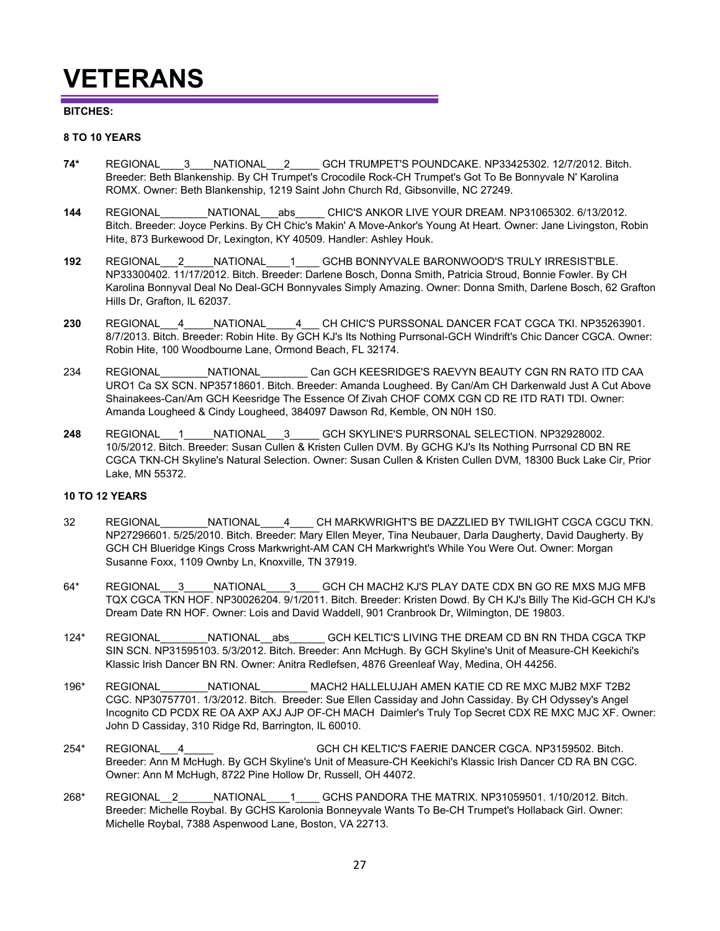## **VETERANS**

#### **BITCHES:**

#### **8 TO 10 YEARS**

- **74\*** REGIONAL\_\_\_\_3\_\_\_\_NATIONAL\_\_\_2\_\_\_\_\_ GCH TRUMPET'S POUNDCAKE. NP33425302. 12/7/2012. Bitch. Breeder: Beth Blankenship. By CH Trumpet's Crocodile Rock-CH Trumpet's Got To Be Bonnyvale N' Karolina ROMX. Owner: Beth Blankenship, 1219 Saint John Church Rd, Gibsonville, NC 27249.
- **144** REGIONAL\_\_\_\_\_\_\_\_NATIONAL\_\_\_abs\_\_\_\_\_ CHIC'S ANKOR LIVE YOUR DREAM. NP31065302. 6/13/2012. Bitch. Breeder: Joyce Perkins. By CH Chic's Makin' A Move-Ankor's Young At Heart. Owner: Jane Livingston, Robin Hite, 873 Burkewood Dr, Lexington, KY 40509. Handler: Ashley Houk.
- **192** REGIONAL\_\_\_2\_\_\_\_\_NATIONAL\_\_\_\_1\_\_\_\_ GCHB BONNYVALE BARONWOOD'S TRULY IRRESIST'BLE. NP33300402. 11/17/2012. Bitch. Breeder: Darlene Bosch, Donna Smith, Patricia Stroud, Bonnie Fowler. By CH Karolina Bonnyval Deal No Deal-GCH Bonnyvales Simply Amazing. Owner: Donna Smith, Darlene Bosch, 62 Grafton Hills Dr, Grafton, IL 62037.
- **230** REGIONAL\_\_\_4\_\_\_\_\_NATIONAL\_\_\_\_\_4\_\_\_ CH CHIC'S PURSSONAL DANCER FCAT CGCA TKI. NP35263901. 8/7/2013. Bitch. Breeder: Robin Hite. By GCH KJ's Its Nothing Purrsonal-GCH Windrift's Chic Dancer CGCA. Owner: Robin Hite, 100 Woodbourne Lane, Ormond Beach, FL 32174.
- 234 REGIONAL\_\_\_\_\_\_\_\_NATIONAL\_\_\_\_\_\_\_\_ Can GCH KEESRIDGE'S RAEVYN BEAUTY CGN RN RATO ITD CAA URO1 Ca SX SCN. NP35718601. Bitch. Breeder: Amanda Lougheed. By Can/Am CH Darkenwald Just A Cut Above Shainakees-Can/Am GCH Keesridge The Essence Of Zivah CHOF COMX CGN CD RE ITD RATI TDI. Owner: Amanda Lougheed & Cindy Lougheed, 384097 Dawson Rd, Kemble, ON N0H 1S0.
- **248** REGIONAL\_\_\_1\_\_\_\_\_NATIONAL\_\_\_3\_\_\_\_\_ GCH SKYLINE'S PURRSONAL SELECTION. NP32928002. 10/5/2012. Bitch. Breeder: Susan Cullen & Kristen Cullen DVM. By GCHG KJ's Its Nothing Purrsonal CD BN RE CGCA TKN-CH Skyline's Natural Selection. Owner: Susan Cullen & Kristen Cullen DVM, 18300 Buck Lake Cir, Prior Lake, MN 55372.

#### **10 TO 12 YEARS**

- 32 REGIONAL\_\_\_\_\_\_\_\_NATIONAL\_\_\_\_4\_\_\_\_ CH MARKWRIGHT'S BE DAZZLIED BY TWILIGHT CGCA CGCU TKN. NP27296601. 5/25/2010. Bitch. Breeder: Mary Ellen Meyer, Tina Neubauer, Darla Daugherty, David Daugherty. By GCH CH Blueridge Kings Cross Markwright-AM CAN CH Markwright's While You Were Out. Owner: Morgan Susanne Foxx, 1109 Ownby Ln, Knoxville, TN 37919.
- 64\* REGIONAL\_\_\_3\_\_\_\_\_NATIONAL\_\_\_\_3\_\_\_\_ GCH CH MACH2 KJ'S PLAY DATE CDX BN GO RE MXS MJG MFB TQX CGCA TKN HOF. NP30026204. 9/1/2011. Bitch. Breeder: Kristen Dowd. By CH KJ's Billy The Kid-GCH CH KJ's Dream Date RN HOF. Owner: Lois and David Waddell, 901 Cranbrook Dr, Wilmington, DE 19803.
- 124\* REGIONAL MATIONAL abs GCH KELTIC'S LIVING THE DREAM CD BN RN THDA CGCA TKP SIN SCN. NP31595103. 5/3/2012. Bitch. Breeder: Ann McHugh. By GCH Skyline's Unit of Measure-CH Keekichi's Klassic Irish Dancer BN RN. Owner: Anitra Redlefsen, 4876 Greenleaf Way, Medina, OH 44256.
- 196\* REGIONAL\_\_\_\_\_\_\_\_NATIONAL\_\_\_\_\_\_\_\_ MACH2 HALLELUJAH AMEN KATIE CD RE MXC MJB2 MXF T2B2 CGC. NP30757701. 1/3/2012. Bitch. Breeder: Sue Ellen Cassiday and John Cassiday. By CH Odyssey's Angel Incognito CD PCDX RE OA AXP AXJ AJP OF-CH MACH Daimler's Truly Top Secret CDX RE MXC MJC XF. Owner: John D Cassiday, 310 Ridge Rd, Barrington, IL 60010.
- 254\* REGIONAL\_\_\_4\_\_\_\_\_NATIONAL\_\_\_\_\_\_\_\_ GCH CH KELTIC'S FAERIE DANCER CGCA. NP3159502. Bitch. Breeder: Ann M McHugh. By GCH Skyline's Unit of Measure-CH Keekichi's Klassic Irish Dancer CD RA BN CGC. Owner: Ann M McHugh, 8722 Pine Hollow Dr, Russell, OH 44072.
- 268\* REGIONAL\_\_2\_\_\_\_\_\_NATIONAL\_\_\_\_1\_\_\_\_ GCHS PANDORA THE MATRIX. NP31059501. 1/10/2012. Bitch. Breeder: Michelle Roybal. By GCHS Karolonia Bonneyvale Wants To Be-CH Trumpet's Hollaback Girl. Owner: Michelle Roybal, 7388 Aspenwood Lane, Boston, VA 22713.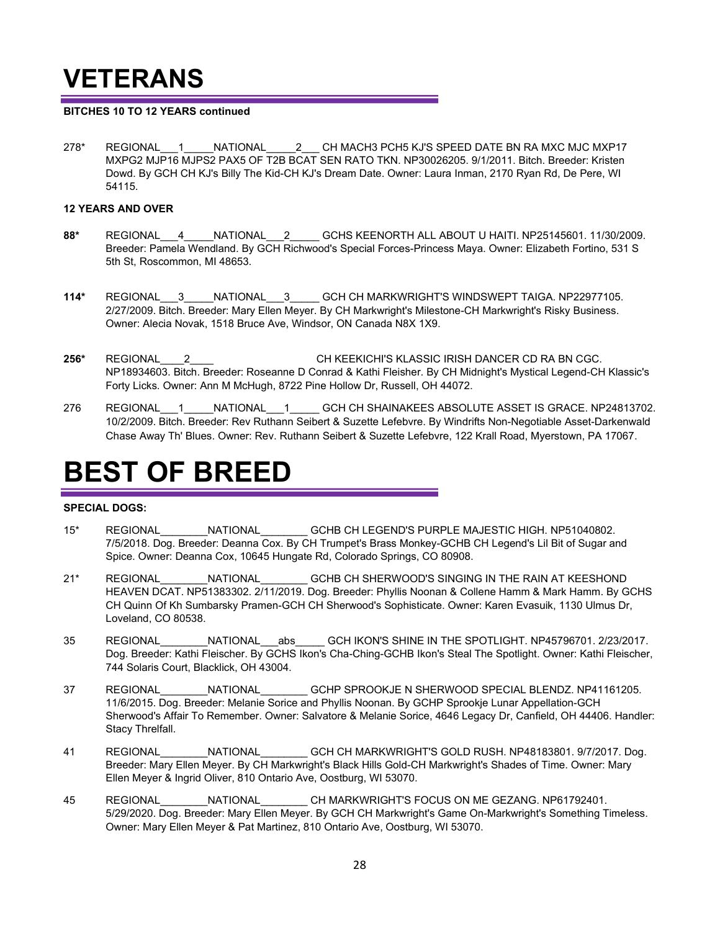## **VETERANS**

#### **BITCHES 10 TO 12 YEARS continued**

278\* REGIONAL 1 NATIONAL 2 CH MACH3 PCH5 KJ'S SPEED DATE BN RA MXC MJC MXP17 MXPG2 MJP16 MJPS2 PAX5 OF T2B BCAT SEN RATO TKN. NP30026205. 9/1/2011. Bitch. Breeder: Kristen Dowd. By GCH CH KJ's Billy The Kid-CH KJ's Dream Date. Owner: Laura Inman, 2170 Ryan Rd, De Pere, WI 54115.

#### **12 YEARS AND OVER**

- **88\*** REGIONAL\_\_\_4\_\_\_\_\_NATIONAL\_\_\_2\_\_\_\_\_ GCHS KEENORTH ALL ABOUT U HAITI. NP25145601. 11/30/2009. Breeder: Pamela Wendland. By GCH Richwood's Special Forces-Princess Maya. Owner: Elizabeth Fortino, 531 S 5th St, Roscommon, MI 48653.
- **114\*** REGIONAL\_\_\_3\_\_\_\_\_NATIONAL\_\_\_3\_\_\_\_\_ GCH CH MARKWRIGHT'S WINDSWEPT TAIGA. NP22977105. 2/27/2009. Bitch. Breeder: Mary Ellen Meyer. By CH Markwright's Milestone-CH Markwright's Risky Business. Owner: Alecia Novak, 1518 Bruce Ave, Windsor, ON Canada N8X 1X9.
- **256\*** REGIONAL\_\_\_\_2\_\_\_\_NATIONAL\_\_\_\_\_\_\_\_ CH KEEKICHI'S KLASSIC IRISH DANCER CD RA BN CGC. NP18934603. Bitch. Breeder: Roseanne D Conrad & Kathi Fleisher. By CH Midnight's Mystical Legend-CH Klassic's Forty Licks. Owner: Ann M McHugh, 8722 Pine Hollow Dr, Russell, OH 44072.
- 276 REGIONAL 1 NATIONAL 1 GCH CH SHAINAKEES ABSOLUTE ASSET IS GRACE. NP24813702. 10/2/2009. Bitch. Breeder: Rev Ruthann Seibert & Suzette Lefebvre. By Windrifts Non-Negotiable Asset-Darkenwald Chase Away Th' Blues. Owner: Rev. Ruthann Seibert & Suzette Lefebvre, 122 Krall Road, Myerstown, PA 17067.

## **BEST OF BREED**

#### **SPECIAL DOGS:**

- 15\* REGIONAL\_\_\_\_\_\_\_\_NATIONAL\_\_\_\_\_\_\_\_ GCHB CH LEGEND'S PURPLE MAJESTIC HIGH. NP51040802. 7/5/2018. Dog. Breeder: Deanna Cox. By CH Trumpet's Brass Monkey-GCHB CH Legend's Lil Bit of Sugar and Spice. Owner: Deanna Cox, 10645 Hungate Rd, Colorado Springs, CO 80908.
- 21\* REGIONAL\_\_\_\_\_\_\_\_NATIONAL\_\_\_\_\_\_\_\_ GCHB CH SHERWOOD'S SINGING IN THE RAIN AT KEESHOND HEAVEN DCAT. NP51383302. 2/11/2019. Dog. Breeder: Phyllis Noonan & Collene Hamm & Mark Hamm. By GCHS CH Quinn Of Kh Sumbarsky Pramen-GCH CH Sherwood's Sophisticate. Owner: Karen Evasuik, 1130 Ulmus Dr, Loveland, CO 80538.
- 35 REGIONAL\_\_\_\_\_\_\_\_NATIONAL\_\_\_abs\_\_\_\_\_ GCH IKON'S SHINE IN THE SPOTLIGHT. NP45796701. 2/23/2017. Dog. Breeder: Kathi Fleischer. By GCHS Ikon's Cha-Ching-GCHB Ikon's Steal The Spotlight. Owner: Kathi Fleischer, 744 Solaris Court, Blacklick, OH 43004.
- 37 REGIONAL\_\_\_\_\_\_\_\_NATIONAL\_\_\_\_\_\_\_\_ GCHP SPROOKJE N SHERWOOD SPECIAL BLENDZ. NP41161205. 11/6/2015. Dog. Breeder: Melanie Sorice and Phyllis Noonan. By GCHP Sprookje Lunar Appellation-GCH Sherwood's Affair To Remember. Owner: Salvatore & Melanie Sorice, 4646 Legacy Dr, Canfield, OH 44406. Handler: Stacy Threlfall.
- 41 REGIONAL MATIONAL GCH CH MARKWRIGHT'S GOLD RUSH. NP48183801. 9/7/2017. Dog. Breeder: Mary Ellen Meyer. By CH Markwright's Black Hills Gold-CH Markwright's Shades of Time. Owner: Mary Ellen Meyer & Ingrid Oliver, 810 Ontario Ave, Oostburg, WI 53070.
- 45 REGIONAL\_\_\_\_\_\_\_\_NATIONAL\_\_\_\_\_\_\_\_ CH MARKWRIGHT'S FOCUS ON ME GEZANG. NP61792401. 5/29/2020. Dog. Breeder: Mary Ellen Meyer. By GCH CH Markwright's Game On-Markwright's Something Timeless. Owner: Mary Ellen Meyer & Pat Martinez, 810 Ontario Ave, Oostburg, WI 53070.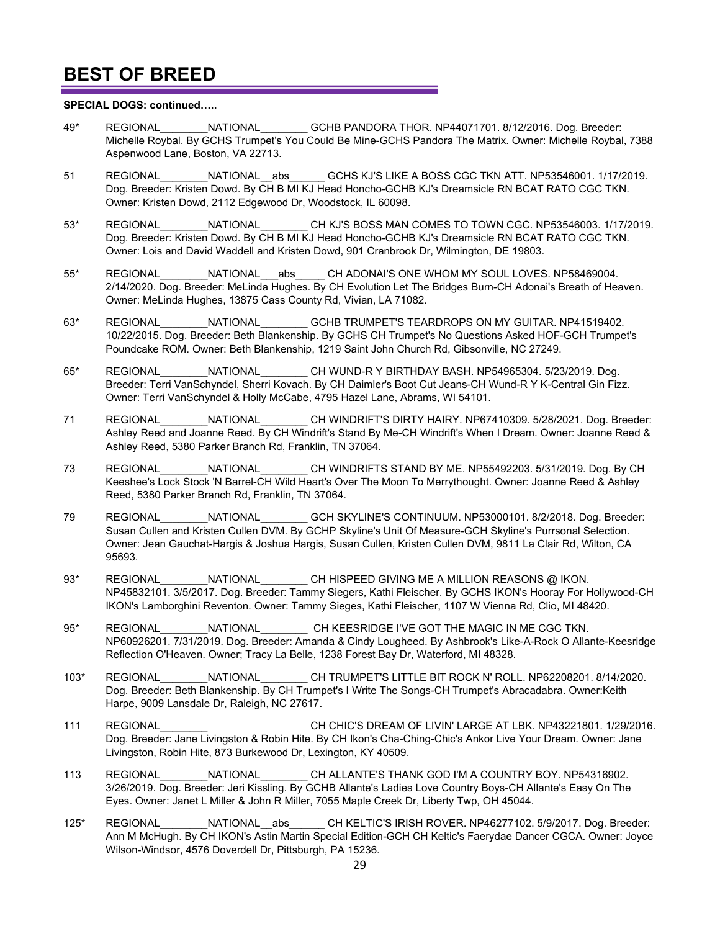#### **SPECIAL DOGS: continued…..**

- 49\* REGIONAL\_\_\_\_\_\_\_\_NATIONAL\_\_\_\_\_\_\_\_ GCHB PANDORA THOR. NP44071701. 8/12/2016. Dog. Breeder: Michelle Roybal. By GCHS Trumpet's You Could Be Mine-GCHS Pandora The Matrix. Owner: Michelle Roybal, 7388 Aspenwood Lane, Boston, VA 22713.
- 51 REGIONAL NATIONAL abs GCHS KJ'S LIKE A BOSS CGC TKN ATT. NP53546001. 1/17/2019. Dog. Breeder: Kristen Dowd. By CH B MI KJ Head Honcho-GCHB KJ's Dreamsicle RN BCAT RATO CGC TKN. Owner: Kristen Dowd, 2112 Edgewood Dr, Woodstock, IL 60098.
- 53\* REGIONAL\_\_\_\_\_\_\_\_NATIONAL\_\_\_\_\_\_\_\_ CH KJ'S BOSS MAN COMES TO TOWN CGC. NP53546003. 1/17/2019. Dog. Breeder: Kristen Dowd. By CH B MI KJ Head Honcho-GCHB KJ's Dreamsicle RN BCAT RATO CGC TKN. Owner: Lois and David Waddell and Kristen Dowd, 901 Cranbrook Dr, Wilmington, DE 19803.
- 55\* REGIONAL\_\_\_\_\_\_\_\_NATIONAL\_\_\_abs\_\_\_\_\_ CH ADONAI'S ONE WHOM MY SOUL LOVES. NP58469004. 2/14/2020. Dog. Breeder: MeLinda Hughes. By CH Evolution Let The Bridges Burn-CH Adonai's Breath of Heaven. Owner: MeLinda Hughes, 13875 Cass County Rd, Vivian, LA 71082.
- 63\* REGIONAL\_\_\_\_\_\_\_\_NATIONAL\_\_\_\_\_\_\_\_ GCHB TRUMPET'S TEARDROPS ON MY GUITAR. NP41519402. 10/22/2015. Dog. Breeder: Beth Blankenship. By GCHS CH Trumpet's No Questions Asked HOF-GCH Trumpet's Poundcake ROM. Owner: Beth Blankenship, 1219 Saint John Church Rd, Gibsonville, NC 27249.
- 65\* REGIONAL\_\_\_\_\_\_\_\_NATIONAL\_\_\_\_\_\_\_\_ CH WUND-R Y BIRTHDAY BASH. NP54965304. 5/23/2019. Dog. Breeder: Terri VanSchyndel, Sherri Kovach. By CH Daimler's Boot Cut Jeans-CH Wund-R Y K-Central Gin Fizz. Owner: Terri VanSchyndel & Holly McCabe, 4795 Hazel Lane, Abrams, WI 54101.
- 71 REGIONAL\_\_\_\_\_\_\_\_NATIONAL\_\_\_\_\_\_\_\_ CH WINDRIFT'S DIRTY HAIRY. NP67410309. 5/28/2021. Dog. Breeder: Ashley Reed and Joanne Reed. By CH Windrift's Stand By Me-CH Windrift's When I Dream. Owner: Joanne Reed & Ashley Reed, 5380 Parker Branch Rd, Franklin, TN 37064.
- 73 REGIONAL\_\_\_\_\_\_\_\_NATIONAL\_\_\_\_\_\_\_\_ CH WINDRIFTS STAND BY ME. NP55492203. 5/31/2019. Dog. By CH Keeshee's Lock Stock 'N Barrel-CH Wild Heart's Over The Moon To Merrythought. Owner: Joanne Reed & Ashley Reed, 5380 Parker Branch Rd, Franklin, TN 37064.
- 79 REGIONAL\_\_\_\_\_\_\_\_NATIONAL\_\_\_\_\_\_\_\_ GCH SKYLINE'S CONTINUUM. NP53000101. 8/2/2018. Dog. Breeder: Susan Cullen and Kristen Cullen DVM. By GCHP Skyline's Unit Of Measure-GCH Skyline's Purrsonal Selection. Owner: Jean Gauchat-Hargis & Joshua Hargis, Susan Cullen, Kristen Cullen DVM, 9811 La Clair Rd, Wilton, CA 95693.
- 93\* REGIONAL NATIONAL CH HISPEED GIVING ME A MILLION REASONS @ IKON. NP45832101. 3/5/2017. Dog. Breeder: Tammy Siegers, Kathi Fleischer. By GCHS IKON's Hooray For Hollywood-CH IKON's Lamborghini Reventon. Owner: Tammy Sieges, Kathi Fleischer, 1107 W Vienna Rd, Clio, MI 48420.
- 95\* REGIONAL NATIONAL CH KEESRIDGE I'VE GOT THE MAGIC IN ME CGC TKN. NP60926201. 7/31/2019. Dog. Breeder: Amanda & Cindy Lougheed. By Ashbrook's Like-A-Rock O Allante-Keesridge Reflection O'Heaven. Owner; Tracy La Belle, 1238 Forest Bay Dr, Waterford, MI 48328.
- 103\* REGIONAL\_\_\_\_\_\_\_\_NATIONAL\_\_\_\_\_\_\_\_ CH TRUMPET'S LITTLE BIT ROCK N' ROLL. NP62208201. 8/14/2020. Dog. Breeder: Beth Blankenship. By CH Trumpet's I Write The Songs-CH Trumpet's Abracadabra. Owner:Keith Harpe, 9009 Lansdale Dr, Raleigh, NC 27617.
- 111 REGIONAL\_\_\_\_\_\_\_\_ CH CHIC'S DREAM OF LIVIN' LARGE AT LBK. NP43221801. 1/29/2016. Dog. Breeder: Jane Livingston & Robin Hite. By CH Ikon's Cha-Ching-Chic's Ankor Live Your Dream. Owner: Jane Livingston, Robin Hite, 873 Burkewood Dr, Lexington, KY 40509.
- 113 REGIONAL\_\_\_\_\_\_\_\_NATIONAL\_\_\_\_\_\_\_\_ CH ALLANTE'S THANK GOD I'M A COUNTRY BOY. NP54316902. 3/26/2019. Dog. Breeder: Jeri Kissling. By GCHB Allante's Ladies Love Country Boys-CH Allante's Easy On The Eyes. Owner: Janet L Miller & John R Miller, 7055 Maple Creek Dr, Liberty Twp, OH 45044.
- 125\* REGIONAL\_\_\_\_\_\_\_\_NATIONAL\_\_abs\_\_\_\_\_\_ CH KELTIC'S IRISH ROVER. NP46277102. 5/9/2017. Dog. Breeder: Ann M McHugh. By CH IKON's Astin Martin Special Edition-GCH CH Keltic's Faerydae Dancer CGCA. Owner: Joyce Wilson-Windsor, 4576 Doverdell Dr, Pittsburgh, PA 15236.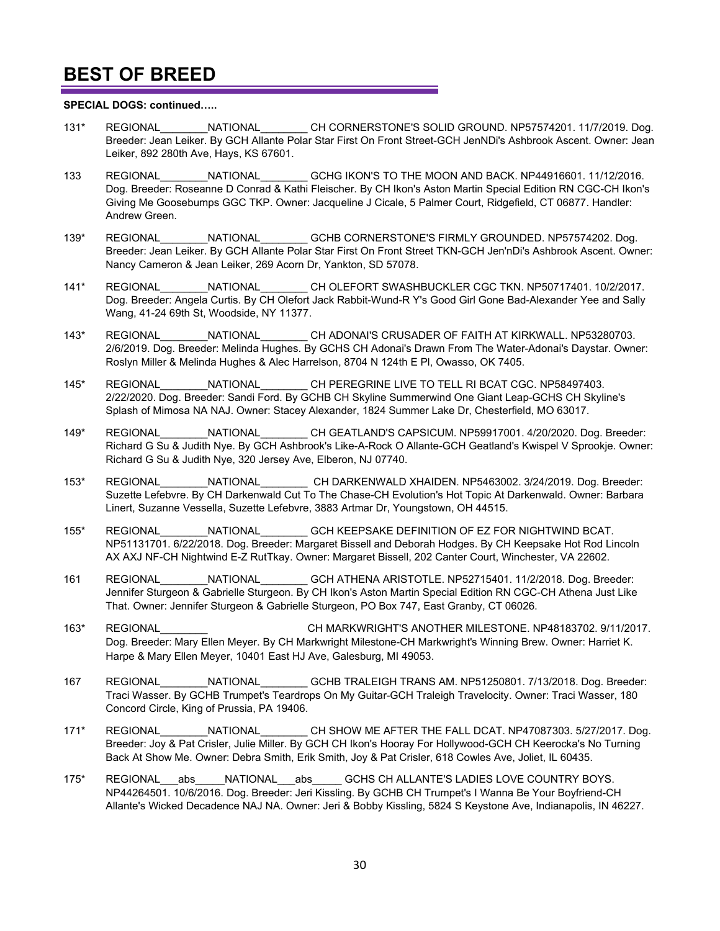#### **SPECIAL DOGS: continued…..**

- 131\* REGIONAL\_\_\_\_\_\_\_\_NATIONAL\_\_\_\_\_\_\_\_ CH CORNERSTONE'S SOLID GROUND. NP57574201. 11/7/2019. Dog. Breeder: Jean Leiker. By GCH Allante Polar Star First On Front Street-GCH JenNDi's Ashbrook Ascent. Owner: Jean Leiker, 892 280th Ave, Hays, KS 67601.
- 133 REGIONAL MATIONAL GCHG IKON'S TO THE MOON AND BACK. NP44916601. 11/12/2016. Dog. Breeder: Roseanne D Conrad & Kathi Fleischer. By CH Ikon's Aston Martin Special Edition RN CGC-CH Ikon's Giving Me Goosebumps GGC TKP. Owner: Jacqueline J Cicale, 5 Palmer Court, Ridgefield, CT 06877. Handler: Andrew Green.
- 139\* REGIONAL\_\_\_\_\_\_\_\_NATIONAL\_\_\_\_\_\_\_\_ GCHB CORNERSTONE'S FIRMLY GROUNDED. NP57574202. Dog. Breeder: Jean Leiker. By GCH Allante Polar Star First On Front Street TKN-GCH Jen'nDi's Ashbrook Ascent. Owner: Nancy Cameron & Jean Leiker, 269 Acorn Dr, Yankton, SD 57078.
- 141\* REGIONAL\_\_\_\_\_\_\_\_NATIONAL\_\_\_\_\_\_\_\_ CH OLEFORT SWASHBUCKLER CGC TKN. NP50717401. 10/2/2017. Dog. Breeder: Angela Curtis. By CH Olefort Jack Rabbit-Wund-R Y's Good Girl Gone Bad-Alexander Yee and Sally Wang, 41-24 69th St, Woodside, NY 11377.
- 143\* REGIONAL\_\_\_\_\_\_\_\_NATIONAL\_\_\_\_\_\_\_\_ CH ADONAI'S CRUSADER OF FAITH AT KIRKWALL. NP53280703. 2/6/2019. Dog. Breeder: Melinda Hughes. By GCHS CH Adonai's Drawn From The Water-Adonai's Daystar. Owner: Roslyn Miller & Melinda Hughes & Alec Harrelson, 8704 N 124th E Pl, Owasso, OK 7405.
- 145\* REGIONAL\_\_\_\_\_\_\_\_NATIONAL\_\_\_\_\_\_\_\_ CH PEREGRINE LIVE TO TELL RI BCAT CGC. NP58497403. 2/22/2020. Dog. Breeder: Sandi Ford. By GCHB CH Skyline Summerwind One Giant Leap-GCHS CH Skyline's Splash of Mimosa NA NAJ. Owner: Stacey Alexander, 1824 Summer Lake Dr, Chesterfield, MO 63017.
- 149\* REGIONAL\_\_\_\_\_\_\_\_NATIONAL\_\_\_\_\_\_\_\_ CH GEATLAND'S CAPSICUM. NP59917001. 4/20/2020. Dog. Breeder: Richard G Su & Judith Nye. By GCH Ashbrook's Like-A-Rock O Allante-GCH Geatland's Kwispel V Sprookje. Owner: Richard G Su & Judith Nye, 320 Jersey Ave, Elberon, NJ 07740.
- 153\* REGIONAL\_\_\_\_\_\_\_\_NATIONAL\_\_\_\_\_\_\_\_ CH DARKENWALD XHAIDEN. NP5463002. 3/24/2019. Dog. Breeder: Suzette Lefebvre. By CH Darkenwald Cut To The Chase-CH Evolution's Hot Topic At Darkenwald. Owner: Barbara Linert, Suzanne Vessella, Suzette Lefebvre, 3883 Artmar Dr, Youngstown, OH 44515.
- 155\* REGIONAL\_\_\_\_\_\_\_\_NATIONAL\_\_\_\_\_\_\_\_ GCH KEEPSAKE DEFINITION OF EZ FOR NIGHTWIND BCAT. NP51131701. 6/22/2018. Dog. Breeder: Margaret Bissell and Deborah Hodges. By CH Keepsake Hot Rod Lincoln AX AXJ NF-CH Nightwind E-Z RutTkay. Owner: Margaret Bissell, 202 Canter Court, Winchester, VA 22602.
- 161 REGIONAL\_\_\_\_\_\_\_\_NATIONAL\_\_\_\_\_\_\_\_ GCH ATHENA ARISTOTLE. NP52715401. 11/2/2018. Dog. Breeder: Jennifer Sturgeon & Gabrielle Sturgeon. By CH Ikon's Aston Martin Special Edition RN CGC-CH Athena Just Like That. Owner: Jennifer Sturgeon & Gabrielle Sturgeon, PO Box 747, East Granby, CT 06026.
- 163\* REGIONAL\_\_\_\_\_\_\_\_NATIONAL\_\_\_\_\_\_\_\_CH MARKWRIGHT'S ANOTHER MILESTONE. NP48183702. 9/11/2017. Dog. Breeder: Mary Ellen Meyer. By CH Markwright Milestone-CH Markwright's Winning Brew. Owner: Harriet K. Harpe & Mary Ellen Meyer, 10401 East HJ Ave, Galesburg, MI 49053.
- 167 REGIONAL\_\_\_\_\_\_\_\_NATIONAL\_\_\_\_\_\_\_\_ GCHB TRALEIGH TRANS AM. NP51250801. 7/13/2018. Dog. Breeder: Traci Wasser. By GCHB Trumpet's Teardrops On My Guitar-GCH Traleigh Travelocity. Owner: Traci Wasser, 180 Concord Circle, King of Prussia, PA 19406.
- 171\* REGIONAL NATIONAL CH SHOW ME AFTER THE FALL DCAT. NP47087303. 5/27/2017. Dog. Breeder: Joy & Pat Crisler, Julie Miller. By GCH CH Ikon's Hooray For Hollywood-GCH CH Keerocka's No Turning Back At Show Me. Owner: Debra Smith, Erik Smith, Joy & Pat Crisler, 618 Cowles Ave, Joliet, IL 60435.
- 175\* REGIONAL abs NATIONAL abs GCHS CH ALLANTE'S LADIES LOVE COUNTRY BOYS. NP44264501. 10/6/2016. Dog. Breeder: Jeri Kissling. By GCHB CH Trumpet's I Wanna Be Your Boyfriend-CH Allante's Wicked Decadence NAJ NA. Owner: Jeri & Bobby Kissling, 5824 S Keystone Ave, Indianapolis, IN 46227.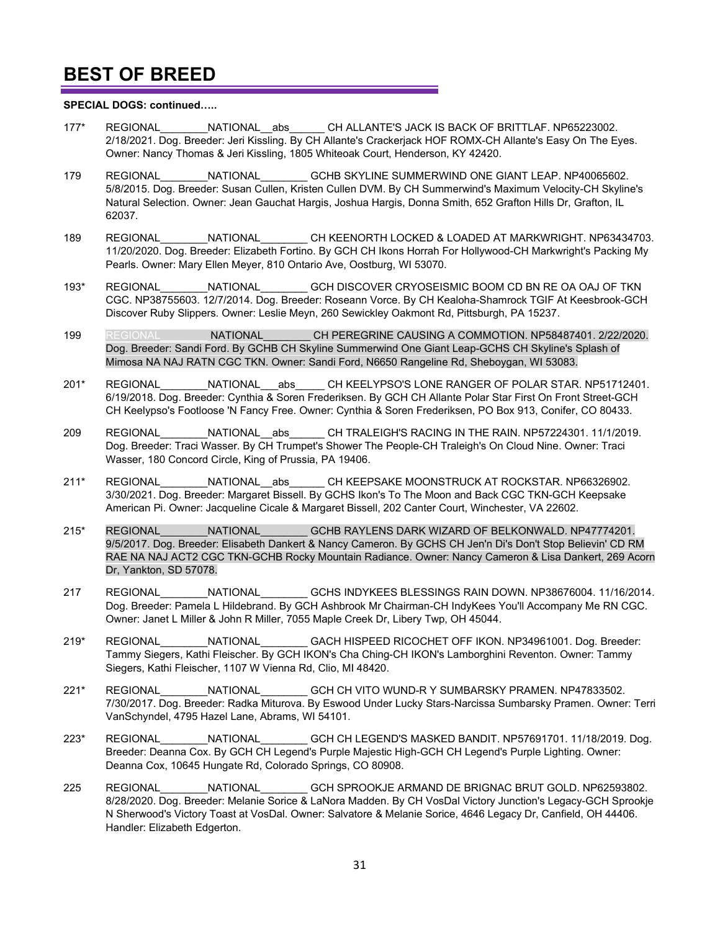#### **SPECIAL DOGS: continued…..**

- 177\* REGIONAL\_\_\_\_\_\_\_\_NATIONAL\_\_abs\_\_\_\_\_\_ CH ALLANTE'S JACK IS BACK OF BRITTLAF. NP65223002. 2/18/2021. Dog. Breeder: Jeri Kissling. By CH Allante's Crackerjack HOF ROMX-CH Allante's Easy On The Eyes. Owner: Nancy Thomas & Jeri Kissling, 1805 Whiteoak Court, Henderson, KY 42420.
- 179 REGIONAL MATIONAL GCHB SKYLINE SUMMERWIND ONE GIANT LEAP. NP40065602. 5/8/2015. Dog. Breeder: Susan Cullen, Kristen Cullen DVM. By CH Summerwind's Maximum Velocity-CH Skyline's Natural Selection. Owner: Jean Gauchat Hargis, Joshua Hargis, Donna Smith, 652 Grafton Hills Dr, Grafton, IL 62037.
- 189 REGIONAL\_\_\_\_\_\_\_\_NATIONAL\_\_\_\_\_\_\_\_ CH KEENORTH LOCKED & LOADED AT MARKWRIGHT. NP63434703. 11/20/2020. Dog. Breeder: Elizabeth Fortino. By GCH CH Ikons Horrah For Hollywood-CH Markwright's Packing My Pearls. Owner: Mary Ellen Meyer, 810 Ontario Ave, Oostburg, WI 53070.
- 193\* REGIONAL\_\_\_\_\_\_\_\_NATIONAL\_\_\_\_\_\_\_\_ GCH DISCOVER CRYOSEISMIC BOOM CD BN RE OA OAJ OF TKN CGC. NP38755603. 12/7/2014. Dog. Breeder: Roseann Vorce. By CH Kealoha-Shamrock TGIF At Keesbrook-GCH Discover Ruby Slippers. Owner: Leslie Meyn, 260 Sewickley Oakmont Rd, Pittsburgh, PA 15237.
- 199 REGIONAL **NATIONAL CH PEREGRINE CAUSING A COMMOTION. NP58487401. 2/22/2020.** Dog. Breeder: Sandi Ford. By GCHB CH Skyline Summerwind One Giant Leap-GCHS CH Skyline's Splash of Mimosa NA NAJ RATN CGC TKN. Owner: Sandi Ford, N6650 Rangeline Rd, Sheboygan, WI 53083.
- 201\* REGIONAL NATIONAL abs CH KEELYPSO'S LONE RANGER OF POLAR STAR. NP51712401. 6/19/2018. Dog. Breeder: Cynthia & Soren Frederiksen. By GCH CH Allante Polar Star First On Front Street-GCH CH Keelypso's Footloose 'N Fancy Free. Owner: Cynthia & Soren Frederiksen, PO Box 913, Conifer, CO 80433.
- 209 REGIONAL\_\_\_\_\_\_\_\_NATIONAL\_\_abs\_\_\_\_\_\_ CH TRALEIGH'S RACING IN THE RAIN. NP57224301. 11/1/2019. Dog. Breeder: Traci Wasser. By CH Trumpet's Shower The People-CH Traleigh's On Cloud Nine. Owner: Traci Wasser, 180 Concord Circle, King of Prussia, PA 19406.
- 211\* REGIONAL MATIONAL abs CH KEEPSAKE MOONSTRUCK AT ROCKSTAR. NP66326902. 3/30/2021. Dog. Breeder: Margaret Bissell. By GCHS Ikon's To The Moon and Back CGC TKN-GCH Keepsake American Pi. Owner: Jacqueline Cicale & Margaret Bissell, 202 Canter Court, Winchester, VA 22602.
- 215\* REGIONAL\_\_\_\_\_\_\_\_NATIONAL\_\_\_\_\_\_\_\_ GCHB RAYLENS DARK WIZARD OF BELKONWALD. NP47774201. 9/5/2017. Dog. Breeder: Elisabeth Dankert & Nancy Cameron. By GCHS CH Jen'n Di's Don't Stop Believin' CD RM RAE NA NAJ ACT2 CGC TKN-GCHB Rocky Mountain Radiance. Owner: Nancy Cameron & Lisa Dankert, 269 Acorn Dr, Yankton, SD 57078.
- 217 REGIONAL\_\_\_\_\_\_\_\_NATIONAL\_\_\_\_\_\_\_\_ GCHS INDYKEES BLESSINGS RAIN DOWN. NP38676004. 11/16/2014. Dog. Breeder: Pamela L Hildebrand. By GCH Ashbrook Mr Chairman-CH IndyKees You'll Accompany Me RN CGC. Owner: Janet L Miller & John R Miller, 7055 Maple Creek Dr, Libery Twp, OH 45044.
- 219\* REGIONAL\_\_\_\_\_\_\_\_NATIONAL\_\_\_\_\_\_\_\_ GACH HISPEED RICOCHET OFF IKON. NP34961001. Dog. Breeder: Tammy Siegers, Kathi Fleischer. By GCH IKON's Cha Ching-CH IKON's Lamborghini Reventon. Owner: Tammy Siegers, Kathi Fleischer, 1107 W Vienna Rd, Clio, MI 48420.
- 221\* REGIONAL\_\_\_\_\_\_\_\_NATIONAL\_\_\_\_\_\_\_\_ GCH CH VITO WUND-R Y SUMBARSKY PRAMEN. NP47833502. 7/30/2017. Dog. Breeder: Radka Miturova. By Eswood Under Lucky Stars-Narcissa Sumbarsky Pramen. Owner: Terri VanSchyndel, 4795 Hazel Lane, Abrams, WI 54101.
- 223\* REGIONAL\_\_\_\_\_\_\_\_NATIONAL\_\_\_\_\_\_\_\_ GCH CH LEGEND'S MASKED BANDIT. NP57691701. 11/18/2019. Dog. Breeder: Deanna Cox. By GCH CH Legend's Purple Majestic High-GCH CH Legend's Purple Lighting. Owner: Deanna Cox, 10645 Hungate Rd, Colorado Springs, CO 80908.
- 225 REGIONAL\_\_\_\_\_\_\_\_NATIONAL\_\_\_\_\_\_\_\_ GCH SPROOKJE ARMAND DE BRIGNAC BRUT GOLD. NP62593802. 8/28/2020. Dog. Breeder: Melanie Sorice & LaNora Madden. By CH VosDal Victory Junction's Legacy-GCH Sprookje N Sherwood's Victory Toast at VosDal. Owner: Salvatore & Melanie Sorice, 4646 Legacy Dr, Canfield, OH 44406. Handler: Elizabeth Edgerton.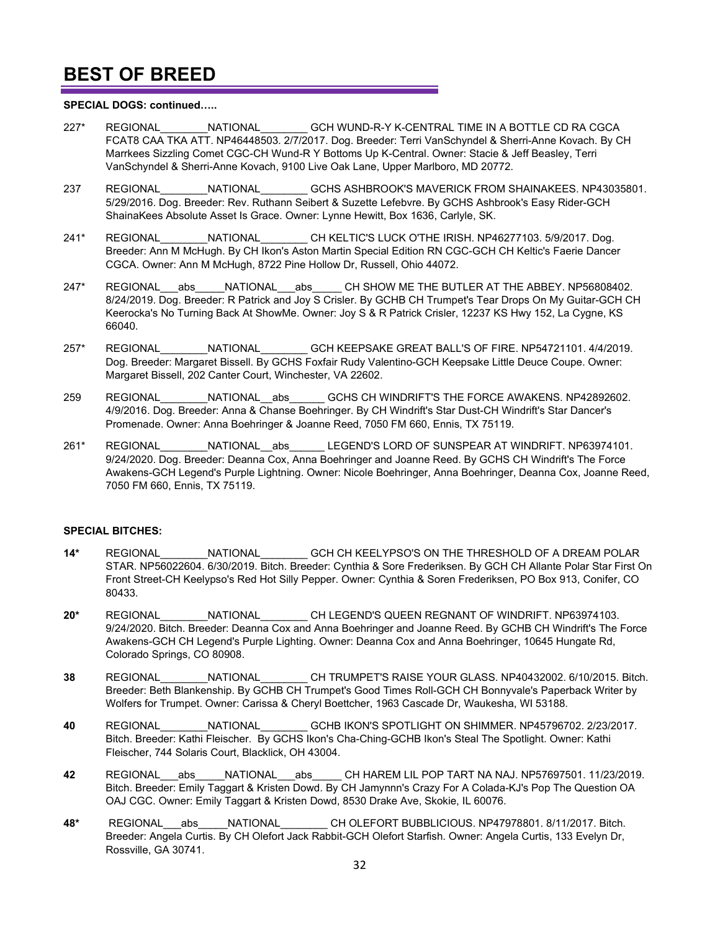#### **SPECIAL DOGS: continued…..**

- 227\* REGIONAL\_\_\_\_\_\_\_\_NATIONAL\_\_\_\_\_\_\_\_ GCH WUND-R-Y K-CENTRAL TIME IN A BOTTLE CD RA CGCA FCAT8 CAA TKA ATT. NP46448503. 2/7/2017. Dog. Breeder: Terri VanSchyndel & Sherri-Anne Kovach. By CH Marrkees Sizzling Comet CGC-CH Wund-R Y Bottoms Up K-Central. Owner: Stacie & Jeff Beasley, Terri VanSchyndel & Sherri-Anne Kovach, 9100 Live Oak Lane, Upper Marlboro, MD 20772.
- 237 REGIONAL\_\_\_\_\_\_\_\_NATIONAL\_\_\_\_\_\_\_\_ GCHS ASHBROOK'S MAVERICK FROM SHAINAKEES. NP43035801. 5/29/2016. Dog. Breeder: Rev. Ruthann Seibert & Suzette Lefebvre. By GCHS Ashbrook's Easy Rider-GCH ShainaKees Absolute Asset Is Grace. Owner: Lynne Hewitt, Box 1636, Carlyle, SK.
- 241\* REGIONAL NATIONAL CH KELTIC'S LUCK O'THE IRISH. NP46277103. 5/9/2017. Dog. Breeder: Ann M McHugh. By CH Ikon's Aston Martin Special Edition RN CGC-GCH CH Keltic's Faerie Dancer CGCA. Owner: Ann M McHugh, 8722 Pine Hollow Dr, Russell, Ohio 44072.
- 247\* REGIONAL abs NATIONAL abs CH SHOW ME THE BUTLER AT THE ABBEY. NP56808402. 8/24/2019. Dog. Breeder: R Patrick and Joy S Crisler. By GCHB CH Trumpet's Tear Drops On My Guitar-GCH CH Keerocka's No Turning Back At ShowMe. Owner: Joy S & R Patrick Crisler, 12237 KS Hwy 152, La Cygne, KS 66040.
- 257\* REGIONAL\_\_\_\_\_\_\_\_NATIONAL\_\_\_\_\_\_\_\_ GCH KEEPSAKE GREAT BALL'S OF FIRE. NP54721101. 4/4/2019. Dog. Breeder: Margaret Bissell. By GCHS Foxfair Rudy Valentino-GCH Keepsake Little Deuce Coupe. Owner: Margaret Bissell, 202 Canter Court, Winchester, VA 22602.
- 259 REGIONAL\_\_\_\_\_\_\_\_NATIONAL\_\_abs\_\_\_\_\_\_ GCHS CH WINDRIFT'S THE FORCE AWAKENS. NP42892602. 4/9/2016. Dog. Breeder: Anna & Chanse Boehringer. By CH Windrift's Star Dust-CH Windrift's Star Dancer's Promenade. Owner: Anna Boehringer & Joanne Reed, 7050 FM 660, Ennis, TX 75119.
- 261\* REGIONAL\_\_\_\_\_\_\_\_NATIONAL\_\_abs\_\_\_\_\_\_ LEGEND'S LORD OF SUNSPEAR AT WINDRIFT. NP63974101. 9/24/2020. Dog. Breeder: Deanna Cox, Anna Boehringer and Joanne Reed. By GCHS CH Windrift's The Force Awakens-GCH Legend's Purple Lightning. Owner: Nicole Boehringer, Anna Boehringer, Deanna Cox, Joanne Reed, 7050 FM 660, Ennis, TX 75119.

#### **SPECIAL BITCHES:**

- **14\*** REGIONAL\_\_\_\_\_\_\_\_NATIONAL\_\_\_\_\_\_\_\_ GCH CH KEELYPSO'S ON THE THRESHOLD OF A DREAM POLAR STAR. NP56022604. 6/30/2019. Bitch. Breeder: Cynthia & Sore Frederiksen. By GCH CH Allante Polar Star First On Front Street-CH Keelypso's Red Hot Silly Pepper. Owner: Cynthia & Soren Frederiksen, PO Box 913, Conifer, CO 80433.
- **20\*** REGIONAL\_\_\_\_\_\_\_\_NATIONAL\_\_\_\_\_\_\_\_ CH LEGEND'S QUEEN REGNANT OF WINDRIFT. NP63974103. 9/24/2020. Bitch. Breeder: Deanna Cox and Anna Boehringer and Joanne Reed. By GCHB CH Windrift's The Force Awakens-GCH CH Legend's Purple Lighting. Owner: Deanna Cox and Anna Boehringer, 10645 Hungate Rd, Colorado Springs, CO 80908.
- **38** REGIONAL\_\_\_\_\_\_\_\_NATIONAL\_\_\_\_\_\_\_\_ CH TRUMPET'S RAISE YOUR GLASS. NP40432002. 6/10/2015. Bitch. Breeder: Beth Blankenship. By GCHB CH Trumpet's Good Times Roll-GCH CH Bonnyvale's Paperback Writer by Wolfers for Trumpet. Owner: Carissa & Cheryl Boettcher, 1963 Cascade Dr, Waukesha, WI 53188.
- **40** REGIONAL\_\_\_\_\_\_\_\_NATIONAL\_\_\_\_\_\_\_\_ GCHB IKON'S SPOTLIGHT ON SHIMMER. NP45796702. 2/23/2017. Bitch. Breeder: Kathi Fleischer. By GCHS Ikon's Cha-Ching-GCHB Ikon's Steal The Spotlight. Owner: Kathi Fleischer, 744 Solaris Court, Blacklick, OH 43004.
- **42** REGIONAL\_\_\_abs\_\_\_\_\_NATIONAL\_\_\_abs\_\_\_\_\_ CH HAREM LIL POP TART NA NAJ. NP57697501. 11/23/2019. Bitch. Breeder: Emily Taggart & Kristen Dowd. By CH Jamynnn's Crazy For A Colada-KJ's Pop The Question OA OAJ CGC. Owner: Emily Taggart & Kristen Dowd, 8530 Drake Ave, Skokie, IL 60076.
- **48\*** REGIONAL\_\_\_abs\_\_\_\_\_NATIONAL\_\_\_\_\_\_\_\_ CH OLEFORT BUBBLICIOUS. NP47978801. 8/11/2017. Bitch. Breeder: Angela Curtis. By CH Olefort Jack Rabbit-GCH Olefort Starfish. Owner: Angela Curtis, 133 Evelyn Dr, Rossville, GA 30741.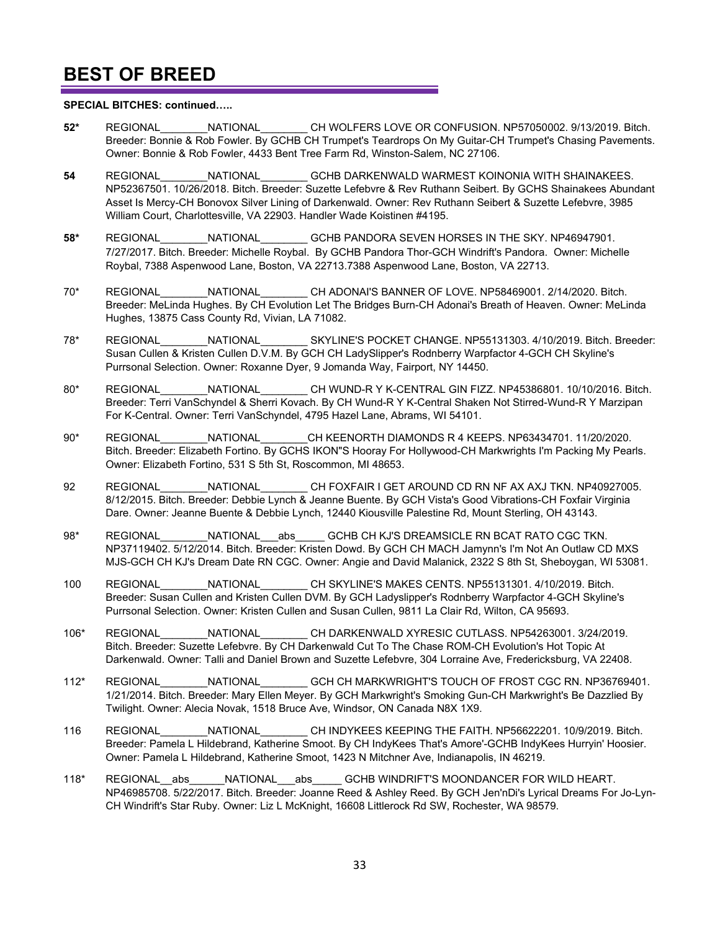#### **SPECIAL BITCHES: continued…..**

- **52\*** REGIONAL\_\_\_\_\_\_\_\_NATIONAL\_\_\_\_\_\_\_\_ CH WOLFERS LOVE OR CONFUSION. NP57050002. 9/13/2019. Bitch. Breeder: Bonnie & Rob Fowler. By GCHB CH Trumpet's Teardrops On My Guitar-CH Trumpet's Chasing Pavements. Owner: Bonnie & Rob Fowler, 4433 Bent Tree Farm Rd, Winston-Salem, NC 27106.
- **54** REGIONAL\_\_\_\_\_\_\_\_NATIONAL\_\_\_\_\_\_\_\_ GCHB DARKENWALD WARMEST KOINONIA WITH SHAINAKEES. NP52367501. 10/26/2018. Bitch. Breeder: Suzette Lefebvre & Rev Ruthann Seibert. By GCHS Shainakees Abundant Asset Is Mercy-CH Bonovox Silver Lining of Darkenwald. Owner: Rev Ruthann Seibert & Suzette Lefebvre, 3985 William Court, Charlottesville, VA 22903. Handler Wade Koistinen #4195.
- **58\*** REGIONAL\_\_\_\_\_\_\_\_NATIONAL\_\_\_\_\_\_\_\_ GCHB PANDORA SEVEN HORSES IN THE SKY. NP46947901. 7/27/2017. Bitch. Breeder: Michelle Roybal. By GCHB Pandora Thor-GCH Windrift's Pandora. Owner: Michelle Roybal, 7388 Aspenwood Lane, Boston, VA 22713.7388 Aspenwood Lane, Boston, VA 22713.
- 70\* REGIONAL NATIONAL CH ADONAI'S BANNER OF LOVE. NP58469001. 2/14/2020. Bitch. Breeder: MeLinda Hughes. By CH Evolution Let The Bridges Burn-CH Adonai's Breath of Heaven. Owner: MeLinda Hughes, 13875 Cass County Rd, Vivian, LA 71082.
- 78\* REGIONAL\_\_\_\_\_\_\_\_NATIONAL\_\_\_\_\_\_\_\_ SKYLINE'S POCKET CHANGE. NP55131303. 4/10/2019. Bitch. Breeder: Susan Cullen & Kristen Cullen D.V.M. By GCH CH LadySlipper's Rodnberry Warpfactor 4-GCH CH Skyline's Purrsonal Selection. Owner: Roxanne Dyer, 9 Jomanda Way, Fairport, NY 14450.
- 80\* REGIONAL NATIONAL CH WUND-R Y K-CENTRAL GIN FIZZ. NP45386801. 10/10/2016. Bitch. Breeder: Terri VanSchyndel & Sherri Kovach. By CH Wund-R Y K-Central Shaken Not Stirred-Wund-R Y Marzipan For K-Central. Owner: Terri VanSchyndel, 4795 Hazel Lane, Abrams, WI 54101.
- 90\* REGIONAL\_\_\_\_\_\_\_\_NATIONAL\_\_\_\_\_\_\_\_CH KEENORTH DIAMONDS R 4 KEEPS. NP63434701. 11/20/2020. Bitch. Breeder: Elizabeth Fortino. By GCHS IKON"S Hooray For Hollywood-CH Markwrights I'm Packing My Pearls. Owner: Elizabeth Fortino, 531 S 5th St, Roscommon, MI 48653.
- 92 REGIONAL MATIONAL CH FOXFAIR I GET AROUND CD RN NF AX AXJ TKN. NP40927005. 8/12/2015. Bitch. Breeder: Debbie Lynch & Jeanne Buente. By GCH Vista's Good Vibrations-CH Foxfair Virginia Dare. Owner: Jeanne Buente & Debbie Lynch, 12440 Kiousville Palestine Rd, Mount Sterling, OH 43143.
- 98\* REGIONAL NATIONAL abs GCHB CH KJ'S DREAMSICLE RN BCAT RATO CGC TKN. NP37119402. 5/12/2014. Bitch. Breeder: Kristen Dowd. By GCH CH MACH Jamynn's I'm Not An Outlaw CD MXS MJS-GCH CH KJ's Dream Date RN CGC. Owner: Angie and David Malanick, 2322 S 8th St, Sheboygan, WI 53081.
- 100 REGIONAL\_\_\_\_\_\_\_\_NATIONAL\_\_\_\_\_\_\_\_ CH SKYLINE'S MAKES CENTS. NP55131301. 4/10/2019. Bitch. Breeder: Susan Cullen and Kristen Cullen DVM. By GCH Ladyslipper's Rodnberry Warpfactor 4-GCH Skyline's Purrsonal Selection. Owner: Kristen Cullen and Susan Cullen, 9811 La Clair Rd, Wilton, CA 95693.
- 106\* REGIONAL\_\_\_\_\_\_\_\_NATIONAL\_\_\_\_\_\_\_\_ CH DARKENWALD XYRESIC CUTLASS. NP54263001. 3/24/2019. Bitch. Breeder: Suzette Lefebvre. By CH Darkenwald Cut To The Chase ROM-CH Evolution's Hot Topic At Darkenwald. Owner: Talli and Daniel Brown and Suzette Lefebvre, 304 Lorraine Ave, Fredericksburg, VA 22408.
- 112\* REGIONAL\_\_\_\_\_\_\_\_NATIONAL\_\_\_\_\_\_\_\_ GCH CH MARKWRIGHT'S TOUCH OF FROST CGC RN. NP36769401. 1/21/2014. Bitch. Breeder: Mary Ellen Meyer. By GCH Markwright's Smoking Gun-CH Markwright's Be Dazzlied By Twilight. Owner: Alecia Novak, 1518 Bruce Ave, Windsor, ON Canada N8X 1X9.
- 116 REGIONAL\_\_\_\_\_\_\_\_NATIONAL\_\_\_\_\_\_\_\_ CH INDYKEES KEEPING THE FAITH. NP56622201. 10/9/2019. Bitch. Breeder: Pamela L Hildebrand, Katherine Smoot. By CH IndyKees That's Amore'-GCHB IndyKees Hurryin' Hoosier. Owner: Pamela L Hildebrand, Katherine Smoot, 1423 N Mitchner Ave, Indianapolis, IN 46219.
- 118\* REGIONAL\_\_abs\_\_\_\_\_\_NATIONAL\_\_\_abs\_\_\_\_\_ GCHB WINDRIFT'S MOONDANCER FOR WILD HEART. NP46985708. 5/22/2017. Bitch. Breeder: Joanne Reed & Ashley Reed. By GCH Jen'nDi's Lyrical Dreams For Jo-Lyn-CH Windrift's Star Ruby. Owner: Liz L McKnight, 16608 Littlerock Rd SW, Rochester, WA 98579.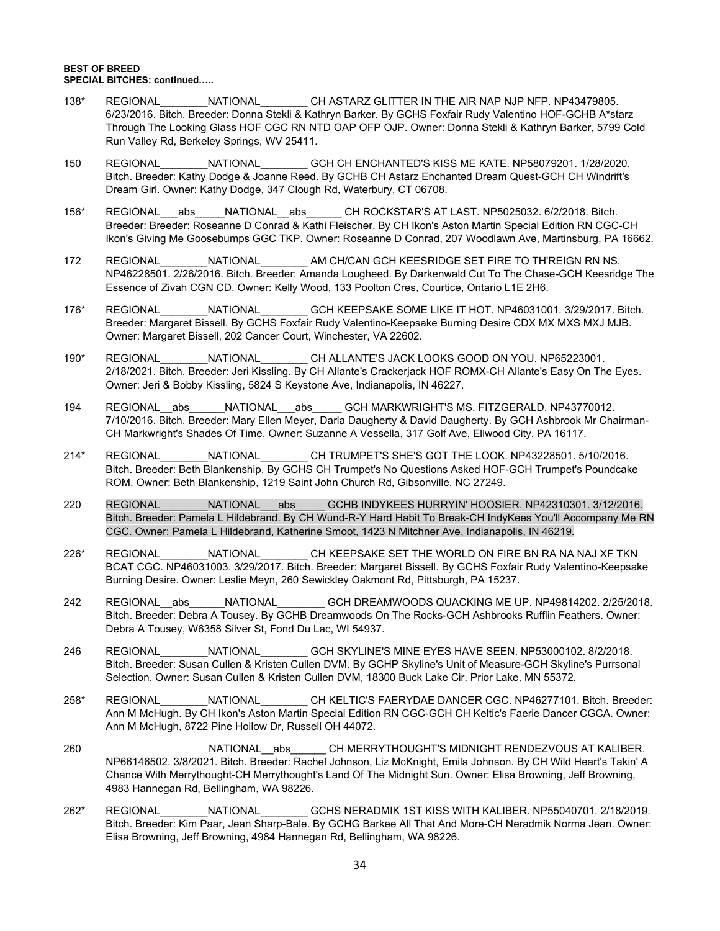#### **BEST OF BREED SPECIAL BITCHES: continued…..**

- 138\* REGIONAL\_\_\_\_\_\_\_\_NATIONAL\_\_\_\_\_\_\_\_ CH ASTARZ GLITTER IN THE AIR NAP NJP NFP. NP43479805. 6/23/2016. Bitch. Breeder: Donna Stekli & Kathryn Barker. By GCHS Foxfair Rudy Valentino HOF-GCHB A\*starz Through The Looking Glass HOF CGC RN NTD OAP OFP OJP. Owner: Donna Stekli & Kathryn Barker, 5799 Cold Run Valley Rd, Berkeley Springs, WV 25411.
- 150 REGIONAL\_\_\_\_\_\_\_\_NATIONAL\_\_\_\_\_\_\_\_ GCH CH ENCHANTED'S KISS ME KATE. NP58079201. 1/28/2020. Bitch. Breeder: Kathy Dodge & Joanne Reed. By GCHB CH Astarz Enchanted Dream Quest-GCH CH Windrift's Dream Girl. Owner: Kathy Dodge, 347 Clough Rd, Waterbury, CT 06708.
- 156\* REGIONAL\_\_abs\_\_\_\_NATIONAL\_abs\_\_\_\_\_\_CH ROCKSTAR'S AT LAST. NP5025032. 6/2/2018. Bitch. Breeder: Breeder: Roseanne D Conrad & Kathi Fleischer. By CH Ikon's Aston Martin Special Edition RN CGC-CH Ikon's Giving Me Goosebumps GGC TKP. Owner: Roseanne D Conrad, 207 Woodlawn Ave, Martinsburg, PA 16662.
- 172 REGIONAL\_\_\_\_\_\_\_\_NATIONAL\_\_\_\_\_\_\_\_ AM CH/CAN GCH KEESRIDGE SET FIRE TO TH'REIGN RN NS. NP46228501. 2/26/2016. Bitch. Breeder: Amanda Lougheed. By Darkenwald Cut To The Chase-GCH Keesridge The Essence of Zivah CGN CD. Owner: Kelly Wood, 133 Poolton Cres, Courtice, Ontario L1E 2H6.
- 176\* REGIONAL NATIONAL GCH KEEPSAKE SOME LIKE IT HOT. NP46031001. 3/29/2017. Bitch. Breeder: Margaret Bissell. By GCHS Foxfair Rudy Valentino-Keepsake Burning Desire CDX MX MXS MXJ MJB. Owner: Margaret Bissell, 202 Cancer Court, Winchester, VA 22602.
- 190\* REGIONAL\_\_\_\_\_\_\_\_NATIONAL\_\_\_\_\_\_\_\_ CH ALLANTE'S JACK LOOKS GOOD ON YOU. NP65223001. 2/18/2021. Bitch. Breeder: Jeri Kissling. By CH Allante's Crackerjack HOF ROMX-CH Allante's Easy On The Eyes. Owner: Jeri & Bobby Kissling, 5824 S Keystone Ave, Indianapolis, IN 46227.
- 194 REGIONAL abs NATIONAL abs GCH MARKWRIGHT'S MS. FITZGERALD. NP43770012. 7/10/2016. Bitch. Breeder: Mary Ellen Meyer, Darla Daugherty & David Daugherty. By GCH Ashbrook Mr Chairman-CH Markwright's Shades Of Time. Owner: Suzanne A Vessella, 317 Golf Ave, Ellwood City, PA 16117.
- 214\* REGIONAL\_\_\_\_\_\_\_\_NATIONAL\_\_\_\_\_\_\_\_ CH TRUMPET'S SHE'S GOT THE LOOK. NP43228501. 5/10/2016. Bitch. Breeder: Beth Blankenship. By GCHS CH Trumpet's No Questions Asked HOF-GCH Trumpet's Poundcake ROM. Owner: Beth Blankenship, 1219 Saint John Church Rd, Gibsonville, NC 27249.
- 220 REGIONAL MATIONAL abs GCHB INDYKEES HURRYIN' HOOSIER. NP42310301. 3/12/2016. Bitch. Breeder: Pamela L Hildebrand. By CH Wund-R-Y Hard Habit To Break-CH IndyKees You'll Accompany Me RN CGC. Owner: Pamela L Hildebrand, Katherine Smoot, 1423 N Mitchner Ave, Indianapolis, IN 46219.
- 226\* REGIONAL\_\_\_\_\_\_\_\_NATIONAL\_\_\_\_\_\_\_\_ CH KEEPSAKE SET THE WORLD ON FIRE BN RA NA NAJ XF TKN BCAT CGC. NP46031003. 3/29/2017. Bitch. Breeder: Margaret Bissell. By GCHS Foxfair Rudy Valentino-Keepsake Burning Desire. Owner: Leslie Meyn, 260 Sewickley Oakmont Rd, Pittsburgh, PA 15237.
- 242 REGIONAL abs NATIONAL GCH DREAMWOODS QUACKING ME UP. NP49814202. 2/25/2018. Bitch. Breeder: Debra A Tousey. By GCHB Dreamwoods On The Rocks-GCH Ashbrooks Rufflin Feathers. Owner: Debra A Tousey, W6358 Silver St, Fond Du Lac, WI 54937.
- 246 REGIONAL\_\_\_\_\_\_\_\_NATIONAL\_\_\_\_\_\_\_\_ GCH SKYLINE'S MINE EYES HAVE SEEN. NP53000102. 8/2/2018. Bitch. Breeder: Susan Cullen & Kristen Cullen DVM. By GCHP Skyline's Unit of Measure-GCH Skyline's Purrsonal Selection. Owner: Susan Cullen & Kristen Cullen DVM, 18300 Buck Lake Cir, Prior Lake, MN 55372.
- 258\* REGIONAL\_\_\_\_\_\_\_\_NATIONAL\_\_\_\_\_\_\_\_ CH KELTIC'S FAERYDAE DANCER CGC. NP46277101. Bitch. Breeder: Ann M McHugh. By CH Ikon's Aston Martin Special Edition RN CGC-GCH CH Keltic's Faerie Dancer CGCA. Owner: Ann M McHugh, 8722 Pine Hollow Dr, Russell OH 44072.
- 260 **NATIONAL** abs CH MERRYTHOUGHT'S MIDNIGHT RENDEZVOUS AT KALIBER. NP66146502. 3/8/2021. Bitch. Breeder: Rachel Johnson, Liz McKnight, Emila Johnson. By CH Wild Heart's Takin' A Chance With Merrythought-CH Merrythought's Land Of The Midnight Sun. Owner: Elisa Browning, Jeff Browning, 4983 Hannegan Rd, Bellingham, WA 98226.
- 262\* REGIONAL\_\_\_\_\_\_\_\_NATIONAL\_\_\_\_\_\_\_\_ GCHS NERADMIK 1ST KISS WITH KALIBER. NP55040701. 2/18/2019. Bitch. Breeder: Kim Paar, Jean Sharp-Bale. By GCHG Barkee All That And More-CH Neradmik Norma Jean. Owner: Elisa Browning, Jeff Browning, 4984 Hannegan Rd, Bellingham, WA 98226.